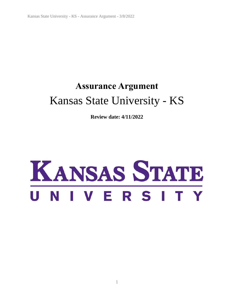## **Assurance Argument** Kansas State University - KS

**Review date: 4/11/2022**

# KANSAS STATE **NIVERSITY**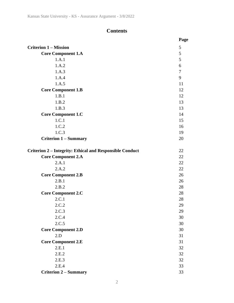## **Contents**

|                                                          | Page |
|----------------------------------------------------------|------|
| <b>Criterion 1 – Mission</b>                             | 5    |
| <b>Core Component 1.A</b>                                | 5    |
| 1.A.1                                                    | 5    |
| 1.A.2                                                    | 6    |
| 1.A.3                                                    | 7    |
| 1.A.4                                                    | 9    |
| 1.A.5                                                    | 11   |
| <b>Core Component 1.B</b>                                | 12   |
| 1.B.1                                                    | 12   |
| 1.B.2                                                    | 13   |
| 1.B.3                                                    | 13   |
| <b>Core Component 1.C</b>                                | 14   |
| 1.C.1                                                    | 15   |
| 1.C.2                                                    | 16   |
| 1.C.3                                                    | 19   |
| <b>Criterion 1 - Summary</b>                             | 20   |
| Criterion 2 - Integrity: Ethical and Responsible Conduct | 22   |
| <b>Core Component 2.A</b>                                | 22   |
| 2.A.1                                                    | 22   |
| 2.A.2                                                    | 22   |
| <b>Core Component 2.B</b>                                | 26   |
| 2.B.1                                                    | 26   |
| 2.B.2                                                    | 28   |
| <b>Core Component 2.C</b>                                | 28   |
| 2.C.1                                                    | 28   |
| 2.C.2                                                    | 29   |
| 2.C.3                                                    | 29   |
| 2.C.4                                                    | 30   |
| 2.C.5                                                    | 30   |
| <b>Core Component 2.D</b>                                | 30   |
| 2.D                                                      | 31   |
| <b>Core Component 2.E</b>                                | 31   |
| 2.E.1                                                    | 32   |
| 2.E.2                                                    | 32   |
| 2.E.3                                                    | 32   |
| 2.E.4                                                    | 33   |
| <b>Criterion 2 - Summary</b>                             | 33   |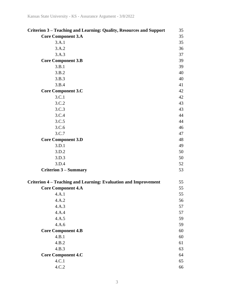| Criterion 3 – Teaching and Learning: Quality, Resources and Support | 35 |
|---------------------------------------------------------------------|----|
| <b>Core Component 3.A</b>                                           | 35 |
| 3.A.1                                                               | 35 |
| 3.A.2                                                               | 36 |
| 3.A.3                                                               | 37 |
| <b>Core Component 3.B</b>                                           | 39 |
| 3.B.1                                                               | 39 |
| 3.B.2                                                               | 40 |
| 3.B.3                                                               | 40 |
| 3.B.4                                                               | 41 |
| <b>Core Component 3.C</b>                                           | 42 |
| 3.C.1                                                               | 42 |
| 3.C.2                                                               | 43 |
| 3.C.3                                                               | 43 |
| 3.C.4                                                               | 44 |
| 3.C.5                                                               | 44 |
| 3.C.6                                                               | 46 |
| 3.C.7                                                               | 47 |
| <b>Core Component 3.D</b>                                           | 48 |
| 3.D.1                                                               | 49 |
| 3.D.2                                                               | 50 |
| 3.D.3                                                               | 50 |
| 3.D.4                                                               | 52 |
| <b>Criterion 3 – Summary</b>                                        | 53 |
| Criterion 4 – Teaching and Learning: Evaluation and Improvement     | 55 |
| <b>Core Component 4.A</b>                                           | 55 |
| 4.A.1                                                               | 55 |
| 4.A.2                                                               | 56 |
| 4.A.3                                                               | 57 |
| 4.A.4                                                               | 57 |
| 4.A.5                                                               | 59 |
| 4.A.6                                                               | 59 |
| <b>Core Component 4.B</b>                                           | 60 |
| 4.B.1                                                               | 60 |
| 4.B.2                                                               | 61 |
| 4.B.3                                                               | 63 |
| <b>Core Component 4.C</b>                                           | 64 |
| 4.C.1                                                               | 65 |
| 4.C.2                                                               | 66 |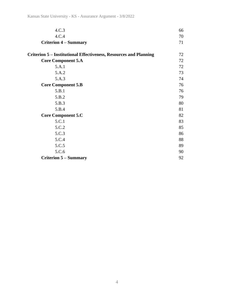| 4.C.3                                                             | 66 |
|-------------------------------------------------------------------|----|
| 4.C.4                                                             | 70 |
| <b>Criterion 4 – Summary</b>                                      | 71 |
| Criterion 5 – Institutional Effectiveness, Resources and Planning | 72 |
| <b>Core Component 5.A</b>                                         | 72 |
| 5.A.1                                                             | 72 |
| 5.A.2                                                             | 73 |
| 5.A.3                                                             | 74 |
| <b>Core Component 5.B</b>                                         | 76 |
| 5.B.1                                                             | 76 |
| 5.B.2                                                             | 79 |
| 5.B.3                                                             | 80 |
| 5.B.4                                                             | 81 |
| <b>Core Component 5.C</b>                                         | 82 |
| 5.C.1                                                             | 83 |
| 5.C.2                                                             | 85 |
| 5.C.3                                                             | 86 |
| 5.C.4                                                             | 88 |
| 5.C.5                                                             | 89 |
| 5.C.6                                                             | 90 |
| <b>Criterion 5 – Summary</b>                                      | 92 |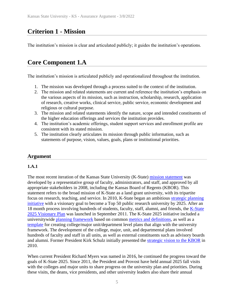## **Criterion 1 - Mission**

The institution's mission is clear and articulated publicly; it guides the institution's operations.

## **Core Component 1.A**

The institution's mission is articulated publicly and operationalized throughout the institution.

- 1. The mission was developed through a process suited to the context of the institution.
- 2. The mission and related statements are current and reference the institution's emphasis on the various aspects of its mission, such as instruction, scholarship, research, application of research, creative works, clinical service, public service, economic development and religious or cultural purpose.
- 3. The mission and related statements identify the nature, scope and intended constituents of the higher education offerings and services the institution provides.
- 4. The institution's academic offerings, student support services and enrollment profile are consistent with its stated mission.
- 5. The institution clearly articulates its mission through public information, such as statements of purpose, vision, values, goals, plans or institutional priorities.

#### **Argument**

#### **1.A.1**

The most recent iteration of the Kansas State University (K-State) [mission statement](file:///C:/Users/evidence/viewfile%3ffileid=1307012) was developed by a representative group of faculty, administrators, and staff, and approved by all appropriate stakeholders in 2008, including the Kansas Board of Regents (KBOR). This statement refers to the broad mission of K-State as a land grant university, with its tripartite focus on research, teaching, and service. In 2010, K-State began an ambitious [strategic planning](file:///C:/Users/evidence/viewfile%3ffileId=1400321)  [initiative](file:///C:/Users/evidence/viewfile%3ffileId=1400321) with a visionary goal to become a Top 50 public research university by 2025. After an 18 month process involving hundreds of students, faculty, staff, alumni, and friends, the [K-State](file:///C:/Users/evidence/viewfile%3ffileId=1392955)  [2025 Visionary Plan](file:///C:/Users/evidence/viewfile%3ffileId=1392955) was launched in September 2011. The K-State 2025 initiative included a universitywide planning [framework](file:///C:/Users/evidence/viewfile%3ffileid=1393201) based on common [metrics and definitions,](file:///C:/Users/evidence/viewfile%3ffileId=1316097) as well as a [template](file:///C:/Users/evidence/viewfile%3ffileId=1316090) for creating college/major unit/department level plans that align with the university framework. The development of the college, major, unit, and departmental plans involved hundreds of faculty and staff in all units, as well as external constituents such as advisory boards and alumni. Former President Kirk Schulz initially presented the [strategic vision](file:///C:/Users/evidence/viewfile%3ffileId=1316091) [to the KBOR](file:///C:/Users/evidence/viewfile%3ffileid=1316091) in 2010.

When current President Richard Myers was named in 2016, he continued the progress toward the goals of K-State 2025. Since 2011, the President and Provost have held annual 2025 fall visits with the colleges and major units to share progress on the university plan and priorities. During these visits, the deans, vice presidents, and other university leaders also share their annual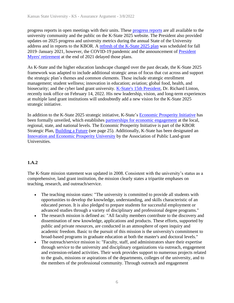progress reports in open meetings with their units. These [progress reports](file:///C:/Users/evidence/viewfile%3ffileId=1393202) are all available to the university community and the public on the K-State 2025 website. The President also provided updates on 2025 progress and university metrics during the annual State of the University address and in reports to the KBOR. A refresh [of the K-State 2025 plan](file:///C:/Users/evidence/viewfile%3ffileId=1316096) was scheduled for fall 2019–January 2021, however, the COVID-19 pandemic and the announcement of [President](file:///C:/Users/evidence/viewfile%3ffileid=1315561)  [Myers' retirement](file:///C:/Users/evidence/viewfile%3ffileid=1315561) at the end of 2021 delayed those plans.

As K-State and the higher education landscape changed over the past decade, the K-State 2025 framework was adapted to include additional strategic areas of focus that cut across and support the strategic plan's themes and common elements. These include strategic enrollment management; student wellness; innovation in education; aviation; global food, health, and biosecurity; and the cyber land grant university. [K-State's 15th President,](file:///C:/Users/evidence/viewfile%3ffileId=1360992) Dr. Richard Linton, recently took office on February 14, 2022. His new leadership, vision, and long-term experiences at multiple land grant institutions will undoubtedly add a new vision for the K-State 2025 strategic initiative.

In addition to the K-State 2025 strategic initiative, K-State's [Economic Prosperity Initiative](file:///C:/Users/evidence/viewfile%3ffileId=1361030) has been formally unveiled, which establishes [partnerships](file:///C:/Users/evidence/viewfile%3ffileid=1361029) [for economic engagement](file:///C:/Users/evidence/viewfile%3ffileid=1361029) at the local, regional, state, and national levels. The Economic Prosperity Initiative is part of the KBOR Strategic Plan, [Building a Future](file:///C:/Users/evidence/viewfile%3ffileId=1361032) (see page 25). Additionally, K-State has been designated an [Innovation and Economic Prosperity University](file:///C:/Users/evidence/viewfile%3ffileId=1361031) by the Association of Public Land-grant Universities.

#### **1.A.2**

The K-State mission statement was updated in 2008. Consistent with the university's status as a comprehensive, land grant institution, the mission clearly states a tripartite emphases on teaching, research, and outreach/service.

- The teaching mission states: "The university is committed to provide all students with opportunities to develop the knowledge, understanding, and skills characteristic of an educated person. It is also pledged to prepare students for successful employment or advanced studies through a variety of disciplinary and professional degree programs."
- The research mission is defined as: "All faculty members contribute to the discovery and dissemination of new knowledge, applications and products. These efforts, supported by public and private resources, are conducted in an atmosphere of open inquiry and academic freedom. Basic to the pursuit of this mission is the university's commitment to broad-based programs in graduate education at both the master's and doctoral levels."
- The outreach/service mission is: "Faculty, staff, and administrators share their expertise through service to the university and disciplinary organizations via outreach, engagement and extension-related activities. Their work provides support to numerous projects related to the goals, missions or aspirations of the departments, colleges of the university, and to the members of the professional community. Through outreach and engagement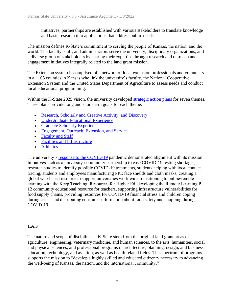initiatives, partnerships are established with various stakeholders to translate knowledge and basic research into applications that address public needs."

The mission defines K-State's commitment to serving the people of Kansas, the nation, and the world. The faculty, staff, and administrators serve the university, disciplinary organizations, and a diverse group of stakeholders by sharing their expertise through research and outreach and engagement initiatives integrally related to the land grant mission.

The Extension system is comprised of a network of local extension professionals and volunteers in all 105 counties in Kansas who link the university's faculty, the National Cooperative Extension System and the United States Department of Agriculture to assess needs and conduct local educational programming.

Within the K-State 2025 vision, the university developed [strategic action plans](file:///C:/Users/evidence/viewfile%3ffileId=1316105) for seven themes. These plans provide long and short-term goals for each theme:

- [Research, Scholarly and Creative Activity, and Discovery](file:///C:/Users/evidence/viewfile%3ffileId=1316099)
- [Undergraduate Educational Experience](file:///C:/Users/evidence/viewfile%3ffileId=1316100)
- [Graduate Scholarly Experience](file:///C:/Users/evidence/viewfile%3ffileId=1316102)
- [Engagement, Outreach, Extension, and Service](file:///C:/Users/evidence/viewfile%3ffileId=1316101)
- [Faculty and Staff](file:///C:/Users/evidence/viewfile%3ffileId=1316103)
- [Facilities and Infrastructure](file:///C:/Users/evidence/viewfile%3ffileId=1316104)
- [Athletics](file:///C:/Users/evidence/viewfile%3ffileId=1316106)

The university's [response to the COVID-19](file:///C:/Users/evidence/viewfile%3ffileId=1316107) pandemic demonstrated alignment with its mission. Initiatives such as a university-community partnership to ease COVID-19 testing shortages, research studies to identify possible COVID-19 treatments, students helping with local contact tracing, students and employees manufacturing PPE face shields and cloth masks, creating a global web-based resource to support universities worldwide transitioning to online/remote learning with the Keep Teaching: Resources for Higher Ed, developing the Remote Learning P-12 community educational resource for teachers, supporting infrastructure vulnerabilities for food supply chains, providing resources for COVID-19 financial stress and children coping during crisis, and distributing consumer information about food safety and shopping during COVID-19.

#### **1.A.3**

The nature and scope of disciplines at K-State stem from the original land grant areas of agriculture, engineering, veterinary medicine, and human sciences, to the arts, humanities, social and physical sciences, and professional programs in architecture, planning, design, and business, education, technology, and aviation, as well as health related fields. This spectrum of programs supports the mission to "develop a highly skilled and educated citizenry necessary to advancing the well-being of Kansas, the nation, and the international community."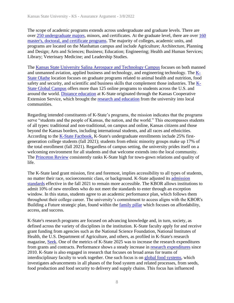The scope of academic programs extends across undergraduate and graduate levels. There are over 250 [undergraduate majors,](file:///C:/Users/evidence/viewfile%3ffileid=1316156) minors, and certificates. At the graduate level, there are over [160](file:///C:/Users/evidence/viewfile%3ffileId=1316149)  master's, [doctoral, and certificate](file:///C:/Users/evidence/viewfile%3ffileId=1316149) programs. The majority of colleges, academic units, and programs are located on the Manhattan campus and include Agriculture; Architecture, Planning and Design; Arts and Sciences; Business; Education; Engineering; Health and Human Services; Library; Veterinary Medicine; and Leadership Studies.

The [Kansas State University Salina Aerospace and Technology Campus](file:///C:/Users/evidence/viewfile%3ffileId=1316152) focuses on both manned and unmanned aviation, applied business and technology, and engineering technology. The [K-](file:///C:/Users/evidence/viewfile%3ffileId=1316146)[State Olathe](file:///C:/Users/evidence/viewfile%3ffileId=1316146) location focuses on graduate programs related to animal health and nutrition, food safety and security, and scientific and business skills that complement those industries. The [K-](file:///C:/Users/evidence/viewfile%3ffileId=1316143)[State Global Campus](file:///C:/Users/evidence/viewfile%3ffileId=1316143) offers more than 125 online programs to students across the U.S. and around the world. [Distance education](file:///C:/Users/evidence/viewfile%3ffileId=1316155) at K-State originated through the Kansas Cooperative Extension Service, which brought the [research and education](file:///C:/Users/evidence/viewfile%3ffileId=1316153) from the university into local communities.

Regarding intended constituents of K-State's programs, the mission indicates that the programs serve "students and the people of Kansas, the nation, and the world." This encompasses students of all types: traditional and non-traditional, on campus and online, Kansas citizens and those beyond the Kansas borders, including international students, and all races and ethnicities. According to the [K-State](file:///C:/Users/evidence/viewfile%3ffileid=1342078) [Factbook,](file:///C:/Users/evidence/viewfile%3ffileId=1342078) K-State's undergraduate enrollments include 25% firstgeneration college students (fall 2021); students from ethnic minority groups make up 17% of the total enrollment (fall 2021). Regardless of campus setting, the university prides itself on a welcoming environment for all students and that welcome extends into the local community. The [Princeton Review](file:///C:/Users/evidence/viewfile%3ffileId=1353280) consistently ranks K-State high for town-gown relations and quality of life.

The K-State land grant mission, first and foremost, implies accessibility to all types of students, no matter their race, socioeconomic class, or background. K-State adjusted its [admission](file:///C:/Users/evidence/viewfile%3ffileId=1316151)  [standards](file:///C:/Users/evidence/viewfile%3ffileId=1316151) effective in the fall 2021 to remain more accessible. The KBOR allows institutions to admit 10% of new enrollees who do not meet the standards to enter through an exception window. In this status, students agree to an academic performance plan, which follows them throughout their college career. The university's commitment to access aligns with the KBOR's Building a Future strategic plan, found within the [family](file:///C:/Users/evidence/viewfile%3ffileId=1316150) pillar which focuses on affordability, access, and success.

K-State's research programs are focused on advancing knowledge and, in turn, society, as defined across the variety of disciplines in the institution. K-State faculty apply for and receive grant funding from agencies such as the National Science Foundation, National Institutes of Health, the U.S. Department of Agriculture, and others, as profiled in K-State's research magazine, [Seek.](file:///C:/Users/evidence/viewfile%3ffileId=1361138) One of the metrics of K-State 2025 was to increase the research expenditures from grants and contracts. Performance shows a steady increase in [research expenditures](file:///C:/Users/evidence/viewfile%3ffileId=1316154) since 2010. K-State is also engaged in research that focuses on broad areas for teams of interdisciplinary faculty to work together. One such focus is on [global food systems,](file:///C:/Users/evidence/viewfile%3ffileId=1316148) which investigates advancements in all phases of the food system and related processes, from seeds, food production and food security to delivery and supply chains. This focus has influenced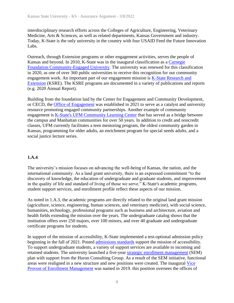interdisciplinary research efforts across the Colleges of Agriculture, Engineering, Veterinary Medicine, Arts & Sciences, as well as related departments, Kansas Government and industry. Today, K-State is the only university in the country with four USAID Feed the Future Innovation Labs.

Outreach, through Extension programs or other engagement activities, serves the people of Kansas and beyond. In 2010, K-State was in the inaugural classification as a [Carnegie](file:///C:/Users/evidence/viewfile%3ffileId=1400326)  [Foundation Community-Engaged University.](file:///C:/Users/evidence/viewfile%3ffileId=1400326) The university was renewed for this classification in 2020, as one of over 360 public universities to receive this recognition for our community engagement work. An important part of our engagement mission is [K-State Research and](file:///C:/Users/evidence/viewfile%3ffileId=1316144)  [Extension](file:///C:/Users/evidence/viewfile%3ffileId=1316144) (KSRE). The KSRE programs are documented in a variety of publications and reports (e.g. 2020 Annual Report).

Building from the foundation laid by the Center for Engagement and Community Development, or CECD, the [Office of Engagement](file:///C:/Users/evidence/viewfile%3ffileId=1392961) was established in 2021 to serve as a catalyst and university resource promoting engaged community partnerships. Another example of community engagement is [K-State's UFM Community Learning Center](file:///C:/Users/evidence/viewfile%3ffileId=1361137) that has served as a bridge between the campus and Manhattan communities for over 50 years. In addition to credit and noncredit classes, UFM currently facilitates a teen mentoring program, the oldest community garden in Kansas, programming for older adults, an enrichment program for special needs adults, and a social justice lecture series.

#### **1.A.4**

The university's mission focuses on advancing the well-being of Kansas, the nation, and the international community. As a land grant university, there is an expressed commitment "to the discovery of knowledge, the education of undergraduate and graduate students, and improvement in the quality of life and standard of living of those we serve." K-State's academic programs, student support services, and enrollment profile reflect these aspects of our mission.

As noted in 1.A.3, the academic programs are directly related to the original land grant mission (agriculture, science, engineering, human sciences, and veterinary medicine), with social science, humanities, technology, professional programs such as business and architecture, aviation and health fields extending the mission over the years. The undergraduate catalog shows that the institution offers over 250 majors, over 100 minors, and over 40 graduate and undergraduate certificate programs for students.

In support of the mission of accessibility, K-State implemented a test-optional admission policy beginning in the fall of 2021. Posted [admissions standards](file:///C:/Users/evidence/viewfile%3ffileid=1316151) support the mission of accessibility. To support undergraduate students, a variety of support services are available to incoming and retained students. The university launched a five-year [strategic enrollment management](file:///C:/Users/evidence/viewfile%3ffileId=1400327) (SEM) plan with support from the Huron Consulting Group. As a result of the SEM initiative, functional areas were realigned in a new structure and new positions were created. The inaugural [Vice](file:///C:/Users/evidence/viewfile%3ffileId=1316191)  [Provost of Enrollment Management](file:///C:/Users/evidence/viewfile%3ffileId=1316191) was named in 2019. this position oversees the offices of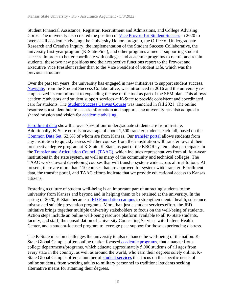Student Financial Assistance, Registrar, Recruitment and Admissions, and College Advising Corps. The university also created the position of [Vice Provost for Student Success](file:///C:/Users/evidence/viewfile%3ffileId=1316189) in 2020 to oversee all academic advising, the University Honors program, the Office of Undergraduate Research and Creative Inquiry, the implementation of the Student Success Collaborative, the university first-year program (K-State First), and other programs aimed at supporting student success. In order to better coordinate with colleges and academic programs to recruit and retain students, these two new positions and their respective functions report to the Provost and Executive Vice President rather than to the Vice President of Student Life, which was the previous structure. 

Over the past ten years, the university has engaged in new initiatives to support student success. [Navigate,](file:///C:/Users/evidence/viewfile%3ffileid=1316192) from the Student Success Collaborative, was introduced in 2016 and the university reemphasized its commitment to expanding the use of the tool as part of the SEM plan. This allows academic advisors and student support services at K-State to provide consistent and coordinated care for students. The[Student Success Canvas Course](file:///C:/Users/evidence/viewfile%3ffileid=1316190) was launched in fall 2021. The online resource is a student hub to access information and support. The university has also adopted a shared mission and vision for [academic advising.](file:///C:/Users/evidence/viewfile%3ffileid=1316188)

[Enrollment data](file:///C:/Users/evidence/viewfile%3ffileid=1316147) show that over 75% of our undergraduate students are from in-state. Additionally, K-State enrolls an average of about 1,500 transfer students each fall, based on the [Common Data Set,](file:///C:/Users/evidence/viewfile%3ffileid=1316147) 62.5% of whom are from Kansas. Our [transfer portal](file:///C:/Users/evidence/viewfile%3ffileId=1320858) allows students from any institution to quickly assess whether courses from their institution will transfer toward their prospective degree program at K-State. K-State, as part of the KBOR system, also participates in the [Transfer and Articulation Council](file:///C:/Users/evidence/viewfile%3ffileId=1320859) (TAAC), which includes representatives from all four-year institutions in the state system, as well as many of the community and technical colleges. The TAAC works toward developing courses that will transfer system-wide across all institutions. At present, there are more than 110 courses that are approved for system-wide transfer. Enrollment data, the transfer portal, and TAAC efforts indicate that we provide educational access to Kansas citizens.

Fostering a culture of student well-being is an important part of attracting students to the university from Kansas and beyond and in helping them to be retained at the university. In the spring of 2020, K-State became a [JED Foundation campus](file:///C:/Users/evidence/viewfile%3ffileId=1339850) to strengthen mental health, substance misuse and suicide prevention programs. More than just a student services effort, the JED initiative brings together multiple university stakeholders to focus on the well-being of students. Action steps include an online well-being resource platform available to all K-State students, faculty, and staff, the consolidation of University Counseling Services with Lafene Health Center, and a student-focused program to leverage peer support for those experiencing distress.

The K-State mission challenges the university to also enhance the well-being of the nation. K-State Global Campus offers online market focused [academic programs,](file:///C:/Users/evidence/viewfile%3ffileId=1322070) that emanate from college departments/programs, which educate approximately 5,000 students of all ages from every state in the country, as well as around the world, who earn their degrees solely online. K-State Global Campus offers a number of [student services](file:///C:/Users/evidence/viewfile%3ffileId=1322071) that focus on the specific needs of online students, from working adults to military personnel to traditional students seeking alternative means for attaining their degrees.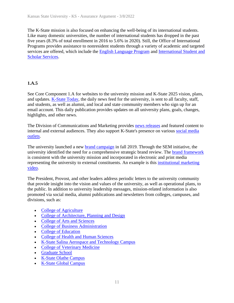The K-State mission is also focused on enhancing the well-being of its international students. Like many domestic universities, the number of international students has dropped in the past five years (8.3% of total enrollment in 2016 to 5.6% in 2020). Still, the Office of International Programs provides assistance to nonresident students through a variety of academic and targeted services are offered, which include the [English Language Program](file:///C:/Users/evidence/viewfile%3ffileId=1400329) and [International Student and](file:///C:/Users/evidence/viewfile%3ffileId=1322072)  [Scholar Services.](file:///C:/Users/evidence/viewfile%3ffileId=1322072)

#### **1.A.5**

See Core Component 1.A for websites to the university mission and K-State 2025 vision, plans, and updates. [K-State Today,](file:///C:/Users/evidence/viewfile%3ffileId=1322932) the daily news feed for the university, is sent to all faculty, staff, and students, as well as alumni, and local and state community members who sign up for an email account. This daily publication provides updates on all university plans, goals, changes, highlights, and other news.

The Division of Communications and Marketing provides [news releases](file:///C:/Users/evidence/viewfile%3ffileId=1322931) and featured content to internal and external audiences. They also support K-State's presence on various [social media](file:///C:/Users/evidence/viewfile%3ffileid=1323243)  [outlets.](file:///C:/Users/evidence/viewfile%3ffileid=1323243)

The university launched a new **[brand campaign](file:///C:/Users/evidence/viewfile%3ffileId=1323236)** in fall 2019. Through the SEM initiative, the university identified the need for a comprehensive strategic brand review. The [brand framework](file:///C:/Users/evidence/viewfile%3ffileid=1392928) is consistent with the university mission and incorporated in electronic and print media representing the university to external constituents. An example is this [institutional](file:///C:/Users/evidence/viewfile%3ffileId=1323240) marketing [video.](file:///C:/Users/evidence/viewfile%3ffileId=1323240)

The President, Provost, and other leaders address periodic letters to the university community that provide insight into the vision and values of the university, as well as operational plans, to the public. In addition to university leadership messages, mission-related information is also promoted via social media, alumni publications and newsletters from colleges, campuses, and divisions, such as:

- [College of Agriculture](file:///C:/Users/evidence/viewfile%3ffileId=1323232)
- [College of Architecture, Planning and Design](file:///C:/Users/evidence/viewfile%3ffileId=1322933)
- [College of Arts and Sciences](file:///C:/Users/evidence/viewfile%3ffileId=1400330)
- [College of Business Administration](file:///C:/Users/evidence/viewfile%3ffileId=1323233)
- [College of Education](file:///C:/Users/evidence/viewfile%3ffileId=1323234)
- [College of Health and Human Sciences](file:///C:/Users/evidence/viewfile%3ffileId=1323235)
- [K-State Salina Aerospace and Technology Campus](file:///C:/Users/evidence/viewfile%3ffileId=1323239)
- [College of Veterinary Medicine](file:///C:/Users/evidence/viewfile%3ffileId=1323241)
- [Graduate School](file:///C:/Users/evidence/viewfile%3ffileId=1342077)
- [K-State Olathe Campus](file:///C:/Users/evidence/viewfile%3ffileid=1361257)
- [K-State Global Campus](file:///C:/Users/evidence/viewfile%3ffileId=1361322)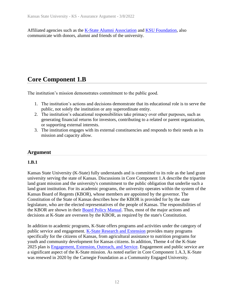Affiliated agencies such as the [K-State Alumni Association](file:///C:/Users/evidence/viewfile%3ffileId=1323237) and [KSU Foundation,](file:///C:/Users/evidence/viewfile%3ffileId=1323269) also communicate with donors, alumni and friends of the university.

## **Core Component 1.B**

The institution's mission demonstrates commitment to the public good.

- 1. The institution's actions and decisions demonstrate that its educational role is to serve the public, not solely the institution or any superordinate entity.
- 2. The institution's educational responsibilities take primacy over other purposes, such as generating financial returns for investors, contributing to a related or parent organization, or supporting external interests.
- 3. The institution engages with its external constituencies and responds to their needs as its mission and capacity allow.

#### **Argument**

#### **1.B.1**

Kansas State University (K-State) fully understands and is committed to its role as the land grant university serving the state of Kansas. Discussions in Core Component 1.A describe the tripartite land grant mission and the university's commitment to the public obligation that underlie such a land grant institution. For its academic programs, the university operates within the system of the Kansas Board of Regents (KBOR), whose members are appointed by the governor. The Constitution of the State of Kansas describes how the KBOR is provided for by the state legislature, who are the elected representatives of the people of Kansas. The responsibilities of the KBOR are shown in their [Board Policy](file:///C:/Users/evidence/viewfile%3ffileId=1322232) Manual. Thus, most of the major actions and decisions at K-State are overseen by the KBOR, as required by the state's Constitution.

In addition to academic programs, K-State offers programs and activities under the category of public service and engagement. [K-State Research and Extension](file:///C:/Users/evidence/viewfile%3ffileId=1400417) provides many programs specifically for the citizens of Kansas, from agricultural assistance to nutrition programs for youth and community development for Kansas citizens. In addition, Theme 4 of the K-State 2025 plan is [Engagement, Extension, Outreach, and Service.](file:///C:/Users/evidence/viewfile%3ffileId=1323280) Engagement and public service are a significant aspect of the K-State mission. As noted earlier in Core Component 1.A.3, K-State was renewed in 2020 by the Carnegie Foundation as a Community Engaged University.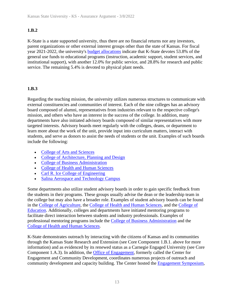#### **1.B.2**

K-State is a state supported university, thus there are no financial returns nor any investors, parent organizations or other external interest groups other than the state of Kansas. For fiscal year 2021-2022, the university's [budget allocations](file:///C:/Users/evidence/viewfile%3ffileId=1342081) indicate that K-State devotes 53.8% of the general use funds to educational programs (instruction, academic support, student services, and institutional support), with another 12.0% for public service, and 28.8% for research and public service. The remaining 5.4% is devoted to physical plant needs.

#### **1.B.3**

Regarding the teaching mission, the university utilizes numerous structures to communicate with external constituencies and communities of interest. Each of the nine colleges has an advisory board composed of alumni, representatives from industries relevant to the respective college's mission, and others who have an interest in the success of the college. In addition, many departments have also initiated advisory boards composed of similar representatives with more targeted interests. Advisory boards meet regularly with the colleges, deans, or department to learn more about the work of the unit, provide input into curriculum matters, interact with students, and serve as donors to assist the needs of students or the unit. Examples of such boards include the following:

- [College of Arts and Sciences](file:///C:/Users/evidence/viewfile%3ffileId=1323711)
- [College of Architecture, Planning and Design](file:///C:/Users/evidence/viewfile%3ffileId=1323710)
- [College of Business Administration](file:///C:/Users/evidence/viewfile%3ffileId=1323713)
- [College of Health and Human Sciences](file:///C:/Users/evidence/viewfile%3ffileId=1323712)
- [Carl R. Ice College of Engineering](file:///C:/Users/evidence/viewfile%3ffileId=1323714)
- [Salina Aerospace and Technology Campus](file:///C:/Users/evidence/viewfile%3ffileId=1361330)

Some departments also utilize student advisory boards in order to gain specific feedback from the students in their programs. These groups usually advise the dean or the leadership team in the college but may also have a broader role. Examples of student advisory boards can be found in the [College of Agriculture,](file:///C:/Users/evidence/viewfile%3ffileId=1323725) the [College of Health and Human Sciences,](file:///C:/Users/evidence/viewfile%3ffileId=1323719) and the [College of](file:///C:/Users/evidence/viewfile%3ffileId=1323726)  [Education.](file:///C:/Users/evidence/viewfile%3ffileId=1323726) Additionally, colleges and departments have initiated mentoring programs to facilitate direct interaction between students and industry professionals. Examples of professional mentoring programs include the [College of Business Administration](file:///C:/Users/evidence/viewfile%3ffileId=1323734) and the [College of Health and Human Sciences.](file:///C:/Users/evidence/viewfile%3ffileId=1323724)

K-State demonstrates outreach by interacting with the citizens of Kansas and its communities through the Kansas State Research and Extension (see Core Component 1.B.1. above for more information) and as evidenced by its renewed status as a Carnegie Engaged University (see Core Component 1.A.3). In addition, the [Office of Engagement,](file:///C:/Users/evidence/viewfile%3ffileId=1400418) formerly called the Center for Engagement and Community Development, coordinates numerous projects of outreach and community development and capacity building. The Center hosted the [Engagement Symposium,](file:///C:/Users/evidence/viewfile%3ffileid=1323730)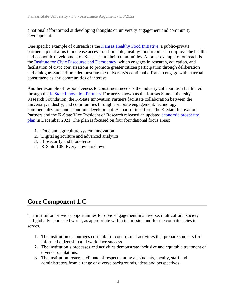a national effort aimed at developing thoughts on university engagement and community development.

One specific example of outreach is the [Kansas Healthy Food Initiative,](file:///C:/Users/evidence/viewfile%3ffileId=1323717) a public-private partnership that aims to increase access to affordable, healthy food in order to improve the health and economic development of Kansans and their communities. Another example of outreach is the [Institute for Civic](file:///C:/Users/evidence/viewfile%3ffileId=1323732) Discourse and Democracy, which engages in research, education, and facilitation of civic conversations to promote greater citizen participation through deliberation and dialogue. Such efforts demonstrate the university's continual efforts to engage with external constituencies and communities of interest.

Another example of responsiveness to constituent needs is the industry collaboration facilitated through the [K-State Innovation Partners.](file:///C:/Users/evidence/viewfile%3ffileid=1361340) Formerly known as the Kansas State University Research Foundation, the K-State Innovation Partners facilitate collaboration between the university, industry, and communities through corporate engagement, technology commercialization and economic development. As part of its efforts, the K-State Innovation Partners and the K-State Vice President of Research released an updated [economic prosperity](file:///C:/Users/evidence/viewfile%3ffileId=1361341)  [plan](file:///C:/Users/evidence/viewfile%3ffileId=1361341) in December 2021. The plan is focused on four foundational focus areas:

- 1. Food and agriculture system innovation
- 2. Digital agriculture and advanced analytics
- 3. Biosecurity and biodefense
- 4. K-State 105: Every Town to Gown

## **Core Component 1.C**

The institution provides opportunities for civic engagement in a diverse, multicultural society and globally connected world, as appropriate within its mission and for the constituencies it serves.

- 1. The institution encourages curricular or cocurricular activities that prepare students for informed citizenship and workplace success.
- 2. The institution's processes and activities demonstrate inclusive and equitable treatment of diverse populations.
- 3. The institution fosters a climate of respect among all students, faculty, staff and administrators from a range of diverse backgrounds, ideas and perspectives.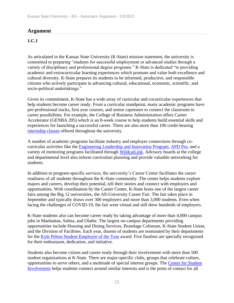#### **Argument**

#### **1.C.1**

As articulated in the Kansas State University (K-State) mission statement, the university is committed to preparing "students for successful employment or advanced studies through a variety of disciplinary and professional degree programs." K-State is dedicated "to providing academic and extracurricular learning experiences which promote and value both excellence and cultural diversity. K-State prepares its students to be informed, productive, and responsible citizens who actively participate in advancing cultural, educational, economic, scientific, and socio-political undertakings."

Given its commitment, K-State has a wide array of curricular and cocurricular experiences that help students become career ready. From a curricular standpoint, many academic programs have pre-professional tracks, first year courses, and senior capstones to connect the classroom to career possibilities. For example, the College of Business Administration offers Career Accelerator (GENBA 205) which is an 8-week course to help students build essential skills and experiences for launching a successful career. There are also more than 100 credit-bearing [internship classes](file:///C:/Users/evidence/viewfile%3ffileId=1393178) offered throughout the university.

A number of academic programs facilitate industry and employer connections through cocurricular activities like the [Engineering Leadership and Innovation Program,](file:///C:/Users/evidence/viewfile%3ffileId=1393181) [APD Pro,](file:///C:/Users/evidence/viewfile%3ffileId=1393180) and a variety of mentoring programs facilitated through [WildcatLink.](file:///C:/Users/evidence/viewfile%3ffileId=1393186) Advisory boards at the college and departmental level also inform curriculum planning and provide valuable networking for students.

In addition to program-specific services, the university's Career Center facilitates the career readiness of all students throughout the K-State community. The center helps students explore majors and careers, develop their potential, tell their stories and connect with employers and opportunities. With coordination by the Career Center, K-State hosts one of the largest career fairs among the Big 12 universities, the All-University Career Fair. The fair takes place in September and typically draws over 300 employers and more than 3,000 students. Even when facing the challenges of COVID-19, the fair went virtual and still drew hundreds of employers.

K-State students also can become career ready by taking advantage of more than 4,000 campus jobs in Manhattan, Salina, and Olathe. The largest on-campus departments providing opportunities include Housing and Dining Services, Bramlage Coliseum, K-State Student Union, and the Division of Facilities. Each year, dozens of students are nominated by their departments for the [Kyle Pelton Student Employee of the Year](file:///C:/Users/evidence/viewfile%3ffileId=1393182) award. Five finalists are specially recognized for their enthusiasm, dedication, and initiative.

Students also become citizen and career ready through their involvement with more than 500 student organizations at K-State. There are major-specific clubs, groups that celebrate culture, opportunities to serve others, and a multitude of special interest groups. The [Center for Student](file:///C:/Users/evidence/viewfile%3ffileId=1400898)  [Involvement](file:///C:/Users/evidence/viewfile%3ffileId=1400898) helps students connect around similar interests and is the point of contact for all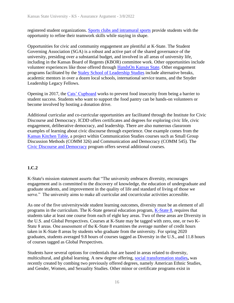registered student organizations. [Sports clubs and intramural sports](file:///C:/Users/evidence/viewfile%3ffileId=1393184) provide students with the opportunity to refine their teamwork skills while staying in shape.

Opportunities for civic and community engagement are plentiful at K-State. The Student Governing Association (SGA) is a robust and active part of the shared governance of the university, presiding over a substantial budget, and involved in all areas of university life, including in the Kansas Board of Regents (KBOR) committee work. Other opportunities include volunteer experiences like those offered through [HandsOn Kansas State.](file:///C:/Users/evidence/viewfile%3ffileId=1393179) Other engagement programs facilitated by the [Staley School of Leadership Studies](file:///C:/Users/evidence/viewfile%3ffileId=1393187) include alternative breaks, academic mentors in over a dozen local schools, international service teams, and the Snyder Leadership Legacy Fellows.

Opening in 2017, the [Cats' Cupboard](file:///C:/Users/evidence/viewfile%3ffileId=1393193) works to prevent food insecurity from being a barrier to student success. Students who want to support the food pantry can be hands-on volunteers or become involved by hosting a donation drive.

Additional curricular and co-curricular opportunities are facilitated through the Institute for Civic Discourse and Democracy. ICDD offers certificates and degrees for exploring civic life, civic engagement, deliberative democracy, and leadership. There are also numerous classroom examples of learning about civic discourse through experience. One example comes from the [Kansas Kitchen Table,](file:///C:/Users/evidence/viewfile%3ffileId=1393183) a project within Communication Studies courses such as Small Group Discussion Methods (COMM 326) and Communication and Democracy (COMM 545). The [Civic Discourse and Democracy](file:///C:/Users/evidence/viewfile%3ffileId=1393177) program offers several additional courses.

#### **1.C.2**

K-State's mission statement asserts that "The university embraces diversity, encourages engagement and is committed to the discovery of knowledge, the education of undergraduate and graduate students, and improvement in the quality of life and standard of living of those we serve."  The university aims to make all curricular and cocurricular activities accessible.

As one of the five universitywide student learning outcomes, diversity must be an element of all programs in the curriculum. The K-State general education program, [K-State 8,](file:///C:/Users/evidence/viewfile%3ffileid=1324675) requires that students take at least one course from each of eight key areas. Two of these areas are Diversity in the U.S. and Global Perspectives. Courses at K-State may be tagged with zero, one, or two K-State 8 areas. One assessment of the K-State 8 examines the average number of credit hours taken in K-State 8 areas by students who graduate from the university. For spring 2020 graduates, students averaged 9.8 hours of courses tagged as Diversity in the U.S., and 11.8 hours of courses tagged as Global Perspectives.

Students have several options for credentials that are based in areas related to diversity, multicultural, and global learning. A new degree offering, [social transformation studies](file:///C:/Users/evidence/viewfile%3ffileId=1400430)**,** was recently created by combing two previously offered degrees, namely American Ethnic Studies, and Gender, Women, and Sexuality Studies. Other minor or certificate programs exist in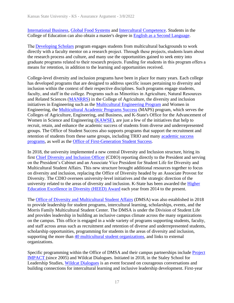[International Business,](file:///C:/Users/evidence/viewfile%3ffileid=1324672) [Global Food Systems](file:///C:/Users/evidence/viewfile%3ffileId=1393194) and [Intercultural Competence.](file:///C:/Users/evidence/viewfile%3ffileid=1324666) Students in the College of Education can also obtain a master's degree in [English as a Second Language.](file:///C:/Users/evidence/viewfile%3ffileid=1324669)

The[Developing Scholars](file:///C:/Users/evidence/viewfile%3ffileid=1324681) program engages students from multicultural backgrounds to work directly with a faculty mentor on a research project. Through these projects, students learn about the research process and culture, and many use the opportunities gained to seek entry into graduate programs related to their research projects. Funding for students in this program offers a means for retention, in addition to the learning and opportunities received.

College-level diversity and inclusion programs have been in place for many years. Each college has developed programs that are designed to address specific issues pertaining to diversity and inclusion within the context of their respective disciplines. Such programs engage students, faculty, and staff in the college. Programs such as Minorities in Agriculture, Natural Resources and Related Sciences [\(MANRRS\)](file:///C:/Users/evidence/viewfile%3ffileid=1324680) in the College of Agriculture, the diversity and inclusion initiatives in Engineering such as the [Multicultural Engineering Program](file:///C:/Users/evidence/viewfile%3ffileid=1324668) and Women in Engineering, the [Multicultural Academic Programs Success](file:///C:/Users/evidence/viewfile%3ffileid=1324682) (MAPS) program, which serves the Colleges of Agriculture, Engineering, and Business, and K-State's Office for the Advancement of Women in Science and Engineering [\(KAWSE\)](file:///C:/Users/evidence/viewfile%3ffileId=1393176), are just a few of the initiatives that help to recruit, retain, and enhance the academic success of students from diverse and underrepresented groups. The Office of Student Success also supports programs that support the recruitment and retention of students from these same groups, including TRIO and many [academic success](file:///C:/Users/evidence/viewfile%3ffileid=1324662)  [programs,](file:///C:/Users/evidence/viewfile%3ffileid=1324662) as well as the [Office of First-Generation Student Success.](file:///C:/Users/evidence/viewfile%3ffileid=1324684)   

In 2018, the university implemented a new central Diversity and Inclusion structure, hiring its first [Chief Diversity and Inclusion Officer](file:///C:/Users/evidence/viewfile%3ffileid=1324661) (CDIO) reporting directly to the President and serving on the President's Cabinet and an Associate Vice President for Student Life for Diversity and Multicultural Student Affairs. This new structure brought additional resources together to focus on diversity and inclusion, replacing the Office of Diversity headed by an Associate Provost for Diversity. The CDIO oversees university-level initiatives and the strategic direction of the university related to the areas of diversity and inclusion. K-State has been awarded the [Higher](file:///C:/Users/evidence/viewfile%3ffileid=1327217)  [Education Excellence in Diversity \(HEED\) Award](file:///C:/Users/evidence/viewfile%3ffileid=1327217) each year from 2014 to the present.

The [Office of Diversity and Multicultural Student Affairs](file:///C:/Users/evidence/viewfile%3ffileid=1324674) (DMSA) was also established in 2018 to provide leadership for student programs, intercultural learning, scholarships, events, and the Morris Family Multicultural Student Center. The DMSA is under the Division of Student Life and provides leadership in building an inclusive campus climate across the many organizations on the campus. This office is engaged in a wide variety of programs supporting students, faculty, and staff across areas such as recruitment and retention of diverse and underrepresented students, scholarship opportunities, programming for students in the areas of diversity and inclusion, supporting the more than [40 multicultural student organizations,](file:///C:/Users/evidence/viewfile%3ffileid=1324679) and links to external organizations.

Specific programming within the Office of DMSA and their campus partnerships include [Project](file:///C:/Users/evidence/viewfile%3ffileid=1324683)  [IMPACT \(](file:///C:/Users/evidence/viewfile%3ffileid=1324683)since 2005) and Wildcat Dialogues. Initiated in 2018, in the Staley School for Leadership Studies, [Wildcat Dialogues](file:///C:/Users/evidence/viewfile%3ffileid=1324677) is an event focused on courageous conversations and building connections for intercultural learning and inclusive leadership development. First-year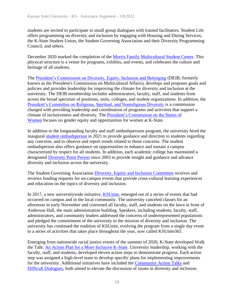students are invited to participate in small group dialogues with trained facilitators. Student Life offers programming on diversity and inclusion by engaging with Housing and Dining Services, the K-State Student Union, the Student Governing Association and their Diversity Programming Council, and others.

December 2020 marked the completion of the [Morris Family Multicultural Student Center.](file:///C:/Users/evidence/viewfile%3ffileid=1324678) This physical structure is a venue for programs, exhibits, and events, and celebrates the culture and heritage of all students.

The [President's Commission on Diversity, Equity, Inclusion and Belonging](file:///C:/Users/evidence/viewfile%3ffileid=1327753) (DEIB; formerly known as the President's Commission on Multicultural Affairs), develops and proposes goals and policies and provides leadership for improving the climate for diversity and inclusion at the university. The DEIB membership includes administrators, faculty, staff, and students from across the broad spectrum of positions, units, colleges, and student organizations. In addition, the [President's Committee on Religious, Spiritual, and Nonreligious Diversity](file:///C:/Users/evidence/viewfile%3ffileId=1327442) is a commission charged with providing leadership and coordination of programs and activities that support a climate of inclusiveness and diversity. The [President's Commission on the Status](file:///C:/Users/evidence/viewfile%3ffileId=1393185) of [Women](file:///C:/Users/evidence/viewfile%3ffileId=1393185) focuses on gender equity and opportunities for women at K-State.

In addition to the longstanding faculty and staff ombudspersons program, the university hired the inaugural [student ombudsperson](file:///C:/Users/evidence/viewfile%3ffileId=1327742) in 2021 to provide guidance and direction to students regarding any concerns, and to observe and report trends related to those concerns. The student ombudsperson also offers guidance on opportunities to enhance and sustain a campus characterized by respect for all students. In addition, each academic college has maintained a designated [Diversity Point Person](file:///C:/Users/evidence/viewfile%3ffileId=1327740) since 2003 to provide insight and guidance and advance diversity and inclusion across the university.

The Student Governing Association [Diversity, Equity and Inclusion Committee](file:///C:/Users/evidence/viewfile%3ffileId=1400469) receives and reviews funding requests for on-campus events that provide cross-cultural learning experiences and education on the topics of diversity and inclusion.

In 2017, a new university wide initiative, [KSUnite,](file:///C:/Users/evidence/viewfile%3ffileid=1324676) emerged out of a series of events that had occurred on campus and in the local community. The university canceled classes for an afternoon in early November and convened all faculty, staff, and students on the lawn in front of Anderson Hall, the main administration building. Speakers, including students, faculty, staff, administrators, and community leaders addressed the concerns of underrepresented populations and pledged the commitment of the university to the mission of diversity and inclusion. The university has continued the tradition of KSUnite, evolving the program from a single day event to a series of activities that takes place throughout the year, now called KSUnite365.

Emerging from nationwide racial justice events of the summer of 2020, K-State developed Walk the Talk: [An Action Plan for a More Inclusive K-State.](file:///C:/Users/evidence/viewfile%3ffileid=1324660) University leadership, working with the faculty, staff, and students, developed eleven action steps to demonstrate progress. Each action step was assigned a high-level team to develop specific plans for implementing improvements for the university. Additional initiatives have included the [Community Action Talks](file:///C:/Users/evidence/viewfile%3ffileid=1324664) and [Difficult Dialogues,](file:///C:/Users/evidence/viewfile%3ffileid=1324673) both aimed to elevate the discussion of issues in diversity and inclusion.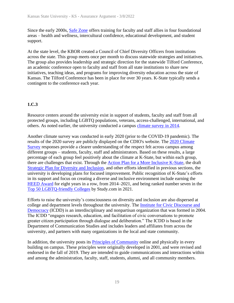Since the early 2000s, [Safe Zone](file:///C:/Users/evidence/viewfile%3ffileid=1324659) offers training for faculty and staff allies in four foundational areas – health and wellness, intercultural confidence, educational development, and student support.

At the state level, the KBOR created a Council of Chief Diversity Officers from institutions across the state. This group meets once per month to discuss statewide strategies and initiatives. The group also provides leadership and strategic direction for the statewide Tilford Conference, an academic conference open to faculty and staff from all state institutions to share new initiatives, teaching ideas, and programs for improving diversity education across the state of Kansas. The Tilford Conference has been in place for over 30 years. K-State typically sends a contingent to the conference each year.

#### **1.C.3**

Resource centers around the university exist in support of students, faculty and staff from all protected groups, including LGBTQ populations, veterans, access-challenged, international, and others. As noted earlier, the university conducted a campus [climate survey](file:///C:/Users/evidence/viewfile%3ffileid=1327768) in 2014.

Another climate survey was conducted in early 2020 (prior to the COVID-19 pandemic). The results of the 2020 survey are publicly displayed on the CDIO's website. The [2020 Climate](file:///C:/Users/evidence/viewfile%3ffileId=1327219)  [Survey](file:///C:/Users/evidence/viewfile%3ffileId=1327219) responses provide a clearer understanding of the respect felt across campus among different groups – students, faculty, staff and administrators. Based on these results, a large percentage of each group feel positively about the climate at K-State, but within each group, there are challenges that exist. Through the [Action Plan for a More Inclusive K-State,](file:///C:/Users/evidence/viewfile%3ffileid=1324660) the draft [Strategic Plan for Diversity and Inclusion,](file:///C:/Users/evidence/viewfile%3ffileId=1327216) and other efforts identified in previous sections, the university is developing plans for focused improvement. Public recognition of K-State's efforts in its support and focus on creating a diverse and inclusive environment include earning the [HEED Award](file:///C:/Users/evidence/viewfile%3ffileId=1327217) for eight years in a row, from 2014–2021, and being ranked number seven in the [Top 50 LGBTQ-friendly Colleges](file:///C:/Users/evidence/viewfile%3ffileId=1327218) by Study.com in 2021.

Efforts to raise the university's consciousness on diversity and inclusion are also dispersed at college and department levels throughout the university. The [Institute for Civic Discourse and](file:///C:/Users/evidence/viewfile%3ffileid=1324671)  [Democracy](file:///C:/Users/evidence/viewfile%3ffileid=1324671) (ICDD) is an interdisciplinary and nonpartisan organization that was formed in 2004. The ICDD "engages research, education, and facilitation of civic conversations to promote greater citizen participation through dialogue and deliberation." The ICDD is based in the Department of Communication Studies and includes leaders and affiliates from across the university, and partners with many organizations in the local and state community.

In addition, the university posts its [Principles of Community](file:///C:/Users/evidence/viewfile%3ffileId=1327215) online and physically in every building on campus. These principles were originally developed in 2001, and were revised and endorsed in the fall of 2019. They are intended to guide communications and interactions within and among the administration, faculty, staff, students, alumni, and all community members.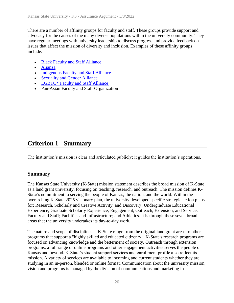There are a number of affinity groups for faculty and staff. These groups provide support and advocacy for the causes of the many diverse populations within the university community. They have regular meetings with university leadership to discuss progress and provide feedback on issues that affect the mission of diversity and inclusion. Examples of these affinity groups include:

- [Black Faculty and Staff Alliance](file:///C:/Users/evidence/viewfile%3ffileid=1327751)
- [Alianza](file:///C:/Users/evidence/viewfile%3ffileid=1327756)
- [Indigenous Faculty and Staff Alliance](file:///C:/Users/evidence/viewfile%3ffileid=1327755)
- [Sexuality and Gender Alliance](file:///C:/Users/evidence/viewfile%3ffileid=1327754)
- LGBTQ<sup>\*</sup> Faculty and Staff Alliance
- Pan-Asian Faculty and Staff Organization

## **Criterion 1 - Summary**

The institution's mission is clear and articulated publicly; it guides the institution's operations.

#### **Summary**

The Kansas State University (K-State) mission statement describes the broad mission of K-State as a land grant university, focusing on teaching, research, and outreach. The mission defines K-State's commitment to serving the people of Kansas, the nation, and the world. Within the overarching K-State 2025 visionary plan, the university developed specific strategic action plans for: Research, Scholarly and Creative Activity, and Discovery; Undergraduate Educational Experience; Graduate Scholarly Experience; Engagement, Outreach, Extension, and Service; Faculty and Staff; Facilities and Infrastructure; and Athletics. It is through these seven broad areas that the university undertakes its day-to-day work.

The nature and scope of disciplines at K-State range from the original land grant areas to other programs that support a "highly skilled and educated citizenry." K-State's research programs are focused on advancing knowledge and the betterment of society. Outreach through extension programs, a full range of online programs and other engagement activities serves the people of Kansas and beyond. K-State's student support services and enrollment profile also reflect its mission. A variety of services are available to incoming and current students whether they are studying in an in-person, blended or online format. Communication about the university mission, vision and programs is managed by the division of communications and marketing in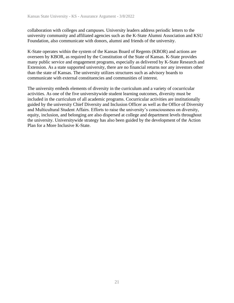collaboration with colleges and campuses. University leaders address periodic letters to the university community and affiliated agencies such as the K-State Alumni Association and KSU Foundation, also communicate with donors, alumni and friends of the university.

K-State operates within the system of the Kansas Board of Regents (KBOR) and actions are overseen by KBOR, as required by the Constitution of the State of Kansas. K-State provides many public service and engagement programs, especially as delivered by K-State Research and Extension. As a state supported university, there are no financial returns nor any investors other than the state of Kansas. The university utilizes structures such as advisory boards to communicate with external constituencies and communities of interest.

The university embeds elements of diversity in the curriculum and a variety of cocurricular activities. As one of the five universitywide student learning outcomes, diversity must be included in the curriculum of all academic programs. Cocurricular activities are institutionally guided by the university Chief Diversity and Inclusion Officer as well as the Office of Diversity and Multicultural Student Affairs. Efforts to raise the university's consciousness on diversity, equity, inclusion, and belonging are also dispersed at college and department levels throughout the university. Universitywide strategy has also been guided by the development of the Action Plan for a More Inclusive K-State.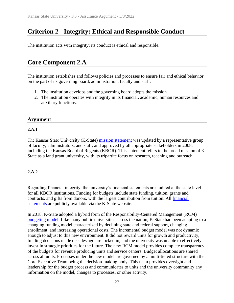## **Criterion 2 - Integrity: Ethical and Responsible Conduct**

The institution acts with integrity; its conduct is ethical and responsible.

## **Core Component 2.A**

The institution establishes and follows policies and processes to ensure fair and ethical behavior on the part of its governing board, administration, faculty and staff.

- 1. The institution develops and the governing board adopts the mission.
- 2. The institution operates with integrity in its financial, academic, human resources and auxiliary functions.

#### **Argument**

#### **2.A.1**

The Kansas State University (K-State) [mission statement](file:///C:/Users/evidence/viewfile%3ffileId=1328175) was updated by a representative group of faculty, administrators, and staff, and approved by all appropriate stakeholders in 2008, including the Kansas Board of Regents (KBOR). This statement refers to the broad mission of K-State as a land grant university, with its tripartite focus on research, teaching and outreach.

#### **2.A.2**

Regarding financial integrity, the university's financial statements are audited at the state level for all KBOR institutions. Funding for budgets include state funding, tuition, grants and contracts, and gifts from donors, with the largest contribution from tuition. All [financial](file:///C:/Users/evidence/viewfile%3ffileId=1328164)  [statements](file:///C:/Users/evidence/viewfile%3ffileId=1328164) are publicly available via the K-State website.

In 2018, K-State adopted a hybrid form of the Responsibility-Centered Management (RCM) [budgeting model.](file:///C:/Users/evidence/viewfile%3ffileId=1328169) Like many public universities across the nation, K-State had been adapting to a changing funding model characterized by declining state and federal support, changing enrollment, and increasing operational costs. The incremental budget model was not dynamic enough to adjust to this new environment. It did not reward units for growth and productivity, funding decisions made decades ago are locked in, and the university was unable to effectively invest in strategic priorities for the future. The new RCM model provides complete transparency of the budgets for revenue producing units and service centers. Budget allocations are shared across all units. Processes under the new model are governed by a multi-tiered structure with the Core Executive Team being the decision-making body. This team provides oversight and leadership for the budget process and communicates to units and the university community any information on the model, changes to processes, or other activity.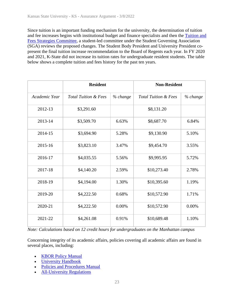Since tuition is an important funding mechanism for the university, the determination of tuition and fee increases begins with institutional budget and finance specialists and then the [Tuition and](file:///C:/Users/evidence/viewfile%3ffileId=1400899)  [Fees Strategies Committee,](file:///C:/Users/evidence/viewfile%3ffileId=1400899) a student-led committee under the Student Governing Association (SGA) reviews the proposed changes. The Student Body President and University President copresent the final tuition increase recommendation to the Board of Regents each year. In FY 2020 and 2021, K-State did not increase its tuition rates for undergraduate resident students. The table below shows a complete tuition and fees history for the past ten years.

|               | <b>Resident</b>                 |          | <b>Non-Resident</b>             |          |
|---------------|---------------------------------|----------|---------------------------------|----------|
| Academic Year | <b>Total Tuition &amp; Fees</b> | % change | <b>Total Tuition &amp; Fees</b> | % change |
| 2012-13       | \$3,291.60                      |          | \$8,131.20                      |          |
| 2013-14       | \$3,509.70                      | 6.63%    | \$8,687.70                      | 6.84%    |
| 2014-15       | \$3,694.90                      | 5.28%    | \$9,130.90                      | 5.10%    |
| 2015-16       | \$3,823.10                      | 3.47%    | \$9,454.70                      | 3.55%    |
| 2016-17       | \$4,035.55                      | 5.56%    | \$9,995.95                      | 5.72%    |
| 2017-18       | \$4,140.20                      | 2.59%    | \$10,273.40                     | 2.78%    |
| 2018-19       | \$4,194.00                      | 1.30%    | \$10,395.60                     | 1.19%    |
| 2019-20       | \$4,222.50                      | 0.68%    | \$10,572.90                     | 1.71%    |
| 2020-21       | \$4,222.50                      | 0.00%    | \$10,572.90                     | 0.00%    |
| 2021-22       | \$4,261.08                      | 0.91%    | \$10,689.48                     | 1.10%    |

*Note: Calculations based on 12 credit hours for undergraduates on the Manhattan campus*

Concerning integrity of its academic affairs, policies covering all academic affairs are found in several places, including:

- [KBOR Policy Manual](file:///C:/Users/evidence/viewfile%3ffileid=1328166)
- [University Handbook](file:///C:/Users/evidence/viewfile%3ffileId=1328186)
- [Policies and Procedures Manual](file:///C:/Users/evidence/viewfile%3ffileid=1328179)
- [All-University Regulations](file:///C:/Users/evidence/viewfile%3ffileid=1328163)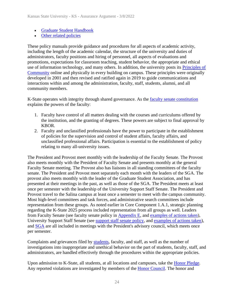- [Graduate Student Handbook](file:///C:/Users/evidence/viewfile%3ffileid=1328171)
- [Other related policies](file:///C:/Users/evidence/viewfile%3ffileid=1328177)

These policy manuals provide guidance and procedures for all aspects of academic activity, including the length of the academic calendar, the structure of the university and duties of administrators, faculty positions and hiring of personnel, all aspects of evaluations and promotions, expectations for classroom teaching, student behavior, the appropriate and ethical use of information technology, and many others. In addition, the university posts its [Principles of](file:///C:/Users/evidence/viewfile%3ffileid=1328180)  [Community](file:///C:/Users/evidence/viewfile%3ffileid=1328180) online and physically in every building on campus. These principles were originally developed in 2001 and then revised and ratified again in 2019 to guide communications and interactions within and among the administration, faculty, staff, students, alumni, and all community members.

K-State operates with integrity through shared governance. As the [faculty senate constitution](file:///C:/Users/evidence/viewfile%3ffileId=1391503) explains the powers of the faculty:

- 1. Faculty have control of all matters dealing with the courses and curriculums offered by the institution, and the granting of degrees. These powers are subject to final approval by KBOR.
- 2. Faculty and unclassified professionals have the power to participate in the establishment of policies for the supervision and control of student affairs, faculty affairs, and unclassified professional affairs. Participation is essential to the establishment of policy relating to many all-university issues.

The President and Provost meet monthly with the leadership of the Faculty Senate. The Provost also meets monthly with the President of Faculty Senate and presents monthly at the general Faculty Senate meeting. The Provost also has liaisons in all standing committees of the faculty senate. The President and Provost meet separately each month with the leaders of the SGA. The provost also meets monthly with the leader of the Graduate Student Association, and has presented at their meetings in the past, as well as those of the SGA. The President meets at least once per semester with the leadership of the University Support Staff Senate. The President and Provost travel to the Salina campus at least once a semester to meet with the campus community. Most high-level committees and task forces, and administrative search committees include representation from these groups. As noted earlier in Core Component 1.A.1, strategic planning regarding the K-State 2025 process included representation from all groups as well. Leaders from Faculty Senate (see faculty senate policy in [Appendix E,](file:///C:/Users/evidence/viewfile%3ffileid=1328187) and [examples of actions taken\)](file:///C:/Users/evidence/viewfile%3ffileid=1328194), University Support Staff Senate (see [support staff senate policy,](file:///C:/Users/evidence/viewfile%3ffileid=1328176) and [examples of actions taken\)](file:///C:/Users/evidence/viewfile%3ffileid=1328196), and [SGA](file:///C:/Users/evidence/viewfile%3ffileid=1328181) are all included in meetings with the President's advisory council, which meets once per semester.

Complaints and grievances filed by [students,](file:///C:/Users/evidence/viewfile%3ffileid=1328165) faculty, and staff, as well as the number of investigations into inappropriate and unethical behavior on the part of students, faculty, staff, and administrators, are handled effectively through the procedures within the appropriate policies.

Upon admission to K-State, all students, at all locations and campuses, take the [Honor Pledge.](file:///C:/Users/evidence/viewfile%3ffileid=1328193) Any reported violations are investigated by members of the [Honor Council.](file:///C:/Users/evidence/viewfile%3ffileid=1328174) The honor and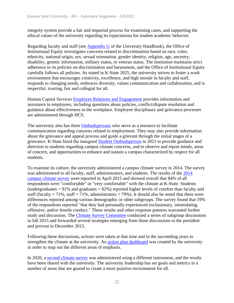integrity system provide a fair and impartial process for examining cases, and supporting the ethical values of the university regarding its expectations for student academic behavior.

Regarding faculty and staff (see [Appendix G](file:///C:/Users/evidence/viewfile%3ffileid=1328195) of the University Handbook), the Office of Institutional Equity investigates concerns related to discrimination based on race, color, ethnicity, national origin, sex, sexual orientation, gender identity, religion, age, ancestry, disability, genetic information, military status, or veteran status. The institution maintains strict adherence to its policies on discrimination and harassment, and the Office of Institutional Equity carefully follows all policies. As stated in K-State 2025, the university strives to foster a work environment that encourages creativity, excellence, and high morale in faculty and staff, responds to changing needs, embraces diversity, values communication and collaboration, and is respectful, trusting, fair and collegial for all.

Human Capital Services [Employee Relations and Engagement](file:///C:/Users/evidence/viewfile%3ffileid=1328192) provides information and assistance to employees, including questions about policies, conflict/dispute resolution and guidance about effectiveness in the workplace. Employee disciplinary and grievance processes are administered through HCS.

The university also has three **[Ombudspersons](file:///C:/Users/evidence/viewfile%3ffileid=1328184)** who serve as a resource to facilitate communication regarding concerns related to employment. They may also provide information about the grievance and appeal process and guide a grievant through the initial stages of a grievance. K-State hired the inaugural[Student Ombudsperson](file:///C:/Users/evidence/viewfile%3ffileid=1328182) in 2021 to provide guidance and direction to students regarding campus climate concerns, and to observe and report trends, areas of concern, and opportunities to enhance and sustain a campus characterized by respect for all students.

To examine its culture, the university administered a campus climate survey in 2014. The survey was administered to all faculty, staff, administrators, and students. The results of the [2014](file:///C:/Users/evidence/viewfile%3ffileid=1328167)  [campus climate survey](file:///C:/Users/evidence/viewfile%3ffileid=1328167) were reported in April 2015 and showed overall that 84% of all respondents were "comfortable" or "very comfortable" with the climate at K-State. Students (undergraduates  $= 91\%$  and graduates  $= 82\%$ ) reported higher levels of comfort than faculty and staff (faculty = 71%, staff = 71%, administrators = 79%). It should also be noted that there were differences reported among various demographic or other subgroups. The survey found that 19% of the respondents reported "that they had personally experienced exclusionary, intimidating, offensive, and/or hostile conduct." These results and other response patterns warranted further study and discussion. The [Climate Survey Committee](file:///C:/Users/evidence/viewfile%3ffileid=1328168) conducted a series of subgroup discussions in fall 2015 and forwarded several strategies emerging from those discussions to the president and provost in December 2015.

Following these discussions, actions were taken at that time and in the succeeding years to strengthen the climate at the university. An [action plan dashboard](file:///C:/Users/evidence/viewfile%3ffileId=1360960) was created by the university in order to map out the different areas of emphasis.

In 2020, a [second climate survey](file:///C:/Users/evidence/viewfile%3ffileid=1328172) was administered using a different instrument, and the results have been shared with the university. The university leadership has set goals and metrics in a number of areas that are geared to create a more positive environment for all.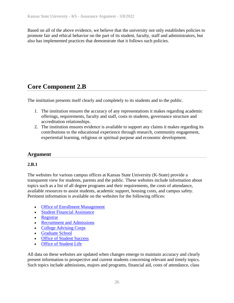Based on all of the above evidence, we believe that the university not only establishes policies to promote fair and ethical behavior on the part of its student, faculty, staff and administrators, but also has implemented practices that demonstrate that it follows such policies.

## **Core Component 2.B**

The institution presents itself clearly and completely to its students and to the public.

- 1. The institution ensures the accuracy of any representations it makes regarding academic offerings, requirements, faculty and staff, costs to students, governance structure and accreditation relationships.
- 2. The institution ensures evidence is available to support any claims it makes regarding its contributions to the educational experience through research, community engagement, experiential learning, religious or spiritual purpose and economic development.

#### **Argument**

#### **2.B.1**

The websites for various campus offices at Kansas State University (K-State) provide a transparent view for students, parents and the public. These websites include information about topics such as a list of all degree programs and their requirements, the costs of attendance, available resources to assist students, academic support, housing costs, and campus safety. Pertinent information is available on the websites for the following offices:

- [Office of Enrollment Management](file:///C:/Users/evidence/viewfile%3ffileId=1400901)
- [Student Financial Assistance](file:///C:/Users/evidence/viewfile%3ffileId=1334602)
- [Registrar](file:///C:/Users/evidence/viewfile%3ffileId=1334600)
- [Recruitment and Admissions](file:///C:/Users/evidence/viewfile%3ffileId=1334589)
- [College Advising Corps](file:///C:/Users/evidence/viewfile%3ffileId=1334596)
- [Graduate School](file:///C:/Users/evidence/viewfile%3ffileId=1334591)
- [Office of Student Success](file:///C:/Users/evidence/viewfile%3ffileId=1334586)
- [Office of Student Life](file:///C:/Users/evidence/viewfile%3ffileId=1334594)

All data on these websites are updated when changes emerge to maintain accuracy and clearly present information to prospective and current students concerning relevant and timely topics. Such topics include admissions, majors and programs, financial aid, costs of attendance, class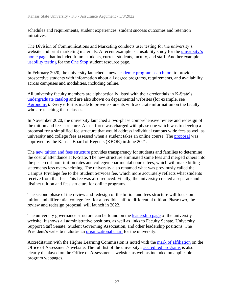schedules and requirements, student experiences, student success outcomes and retention initiatives.

The Division of Communications and Marketing conducts user testing for the university's website and print marketing materials. A recent example is a usability study for the university's [home page](file:///C:/Users/evidence/viewfile%3ffileId=1401374) that included future students, current students, faculty, and staff. Another example is [usability testing](file:///C:/Users/evidence/viewfile%3ffileId=1334601) for the [One Stop](file:///C:/Users/evidence/viewfile%3ffileId=1401375) student resource page.

In February 2020, the university launched a new [academic program search tool](file:///C:/Users/evidence/viewfile%3ffileId=1334598) to provide prospective students with information about all degree programs, requirements, and availability across campuses and modalities, including online.

All university faculty members are alphabetically listed with their credentials in K-State's [undergraduate catalog](file:///C:/Users/evidence/viewfile%3ffileId=1334588) and are also shown on departmental websites (for example, see [Agronomy\)](file:///C:/Users/evidence/viewfile%3ffileId=1334590). Every effort is made to provide students with accurate information on the faculty who are teaching their classes.

In November 2020, the university launched a two-phase comprehensive review and redesign of the tuition and fees structure. A task force was charged with phase one which was to develop a proposal for a simplified fee structure that would address individual campus wide fees as well as university and college fees assessed when a student takes an online course. The [proposal](file:///C:/Users/evidence/viewfile%3ffileId=1334595) was approved by the Kansas Board of Regents (KBOR) in June 2021.

The [new tuition and fees structure](file:///C:/Users/evidence/viewfile%3ffileid=1334597) provides transparency for students and families to determine the cost of attendance at K-State. The new structure eliminated some fees and merged others into the per-credit-hour tuition rates and college/departmental course fees, which will make billing statements less overwhelming. The university also renamed what was previously called the Campus Privilege fee to the Student Services fee, which more accurately reflects what students receive from that fee. This fee was also reduced. Finally, the university created a separate and distinct tuition and fees structure for online programs.

The second phase of the review and redesign of the tuition and fees structure will focus on tuition and differential college fees for a possible shift to differential tuition. Phase two, the review and redesign proposal, will launch in 2022.

The university governance structure can be found on the [leadership page](file:///C:/Users/evidence/viewfile%3ffileid=1334593) of the university website. It shows all administrative positions, as well as links to Faculty Senate, University Support Staff Senate, Student Governing Association, and other leadership positions. The President's website includes an <u>organizational chart</u> for the university.

Accreditation with the Higher Learning Commission is noted with the [mark of affiliation](file:///C:/Users/evidence/viewfile%3ffileId=1339852) on the Office of Assessment's website. The full list of the university's [accredited programs](file:///C:/Users/evidence/viewfile%3ffileId=1339851) is also clearly displayed on the Office of Assessment's website, as well as included on applicable program webpages.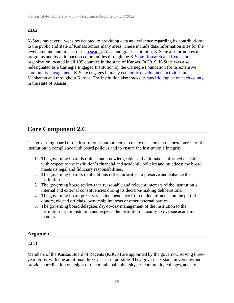#### **2.B.2**

K-State has several websites devoted to providing data and evidence regarding its contributions to the public and state of Kansas across many areas. These include data/information sites for the level, amount, and impact of its [research.](file:///C:/Users/evidence/viewfile%3ffileid=1334599) As a land grant institution, K-State also promotes its programs and local impact on communities through the [K-State Research and Extension](file:///C:/Users/evidence/viewfile%3ffileid=1334604) organization located in all 105 counties in the state of Kansas. In 2019, K-State was also redesignated as a Carnegie Engaged Institution by the Carnegie Foundation for its extensive [community engagement.](file:///C:/Users/evidence/viewfile%3ffileid=1334587) K-State engages in many [economic development activities](file:///C:/Users/evidence/viewfile%3ffileId=1360974) in Manhattan and throughout Kansas. The institution also tracks its [specific impact on each county](file:///C:/Users/evidence/viewfile%3ffileid=1334592) in the state of Kansas.

## **Core Component 2.C**

The governing board of the institution is autonomous to make decisions in the best interest of the institution in compliance with board policies and to ensure the institution's integrity.

- 1. The governing board is trained and knowledgeable so that it makes informed decisions with respect to the institution's financial and academic policies and practices; the board meets its legal and fiduciary responsibilities.
- 2. The governing board's deliberations reflect priorities to preserve and enhance the institution.
- 3. The governing board reviews the reasonable and relevant interests of the institution's internal and external constituencies during its decision-making deliberations.
- 4. The governing board preserves its independence from undue influence on the part of donors, elected officials, ownership interests or other external parties.
- 5. The governing board delegates day-to-day management of the institution to the institution's administration and expects the institution's faculty to oversee academic matters.

#### **Argument**

#### **2.C.1**

Members of the Kansas Board of Regents (KBOR) are appointed by the governor, serving threeyear terms, with one additional three-year term possible. They govern six state universities and provide coordination oversight of one municipal university, 19 community colleges, and six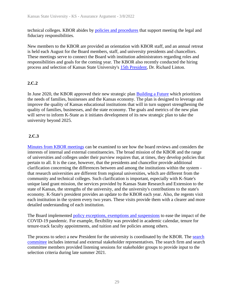technical colleges. KBOR abides by [policies and procedures](file:///C:/Users/evidence/viewfile%3ffileId=1336499) that support meeting the legal and fiduciary responsibilities.

New members to the KBOR are provided an orientation with KBOR staff, and an annual retreat is held each August for the Board members, staff, and university presidents and chancellors. These meetings serve to connect the Board with institution administrators regarding roles and responsibilities and goals for the coming year. The KBOR also recently conducted the hiring process and selection of Kansas State University's [15th President,](file:///C:/Users/evidence/viewfile%3ffileId=1360975) Dr. Richard Linton.  

#### **2.C.2**

In June 2020, the KBOR approved their new strategic plan **[Building a Future](file:///C:/Users/evidence/viewfile%3ffileId=1336504)** which prioritizes the needs of families, businesses and the Kansas economy. The plan is designed to leverage and improve the quality of Kansas educational institutions that will in turn support strengthening the quality of families, businesses, and the state economy. The goals and metrics of the new plan will serve to inform K-State as it initiates development of its new strategic plan to take the university beyond 2025.

#### **2.C.3**

[Minutes from KBOR meetings](file:///C:/Users/evidence/viewfile%3ffileId=1336520) can be examined to see how the board reviews and considers the interests of internal and external constituencies. The broad mission of the KBOR and the range of universities and colleges under their purview requires that, at times, they develop policies that pertain to all. It is the case, however, that the presidents and chancellor provide additional clarification concerning the differences between and among the institutions within the system that research universities are different from regional universities, which are different from the community and technical colleges. Such clarification is important, especially with K-State's unique land grant mission, the services provided by Kansas State Research and Extension to the state of Kansas, the strengths of the university, and the university's contributions to the state's economy. K-State's president provides an update to the KBOR each year. Also, the regents visit each institution in the system every two years. These visits provide them with a clearer and more detailed understanding of each institution.

The Board implemented [policy exceptions, exemptions and suspensions](file:///C:/Users/evidence/viewfile%3ffileId=1336499) to ease the impact of the COVID-19 pandemic. For example, flexibility was provided in academic calendar, tenure for tenure-track faculty appointments, and tuition and fee policies among others.

The process to select a new President for the university is coordinated by the KBOR. The [search](file:///C:/Users/evidence/viewfile%3ffileId=1360977)  [committee](file:///C:/Users/evidence/viewfile%3ffileId=1360977) includes internal and external stakeholder representatives. The search firm and search committee members provided listening sessions for stakeholder groups to provide input to the selection criteria during late summer 2021.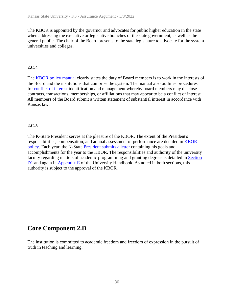The KBOR is appointed by the governor and advocates for public higher education in the state when addressing the executive or legislative branches of the state government, as well as the general public. The chair of the Board presents to the state legislature to advocate for the system universities and colleges.

#### **2.C.4**

The [KBOR policy manual](file:///C:/Users/evidence/viewfile%3ffileid=1336499) clearly states the duty of Board members is to work in the interests of the Board and the institutions that comprise the system. The manual also outlines procedures for [conflict of interest](file:///C:/Users/evidence/viewfile%3ffileId=1336521) identification and management whereby board members may disclose contracts, transactions, memberships, or affiliations that may appear to be a conflict of interest. All members of the Board submit a written statement of substantial interest in accordance with Kansas law.

#### **2.C.5**

The K-State President serves at the pleasure of the KBOR. The extent of the President's responsibilities, compensation, and annual assessment of performance are detailed in [KBOR](file:///C:/Users/evidence/viewfile%3ffileId=1336499)  [policy.](file:///C:/Users/evidence/viewfile%3ffileId=1336499) Each year, the K-State [President submits a letter](file:///C:/Users/evidence/viewfile%3ffileId=1336502) containing his goals and accomplishments for the year to the KBOR. The responsibilities and authority of the university faculty regarding matters of academic programming and granting degrees is detailed in [Section](file:///C:/Users/evidence/viewfile%3ffileId=1400960)   $D1$  and again in [Appendix E](file:///C:/Users/evidence/viewfile%3ffileId=1336518) of the University Handbook. As noted in both sections, this authority is subject to the approval of the KBOR.

## **Core Component 2.D**

The institution is committed to academic freedom and freedom of expression in the pursuit of truth in teaching and learning.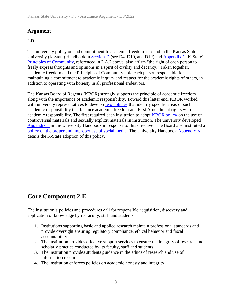#### **Argument**

#### **2.D**

The university policy on and commitment to academic freedom is found in the Kansas State University (K-State) Handbook in [Section D](file:///C:/Users/evidence/viewfile%3ffileId=1400963) (see D4, D10, and D12) and [Appendix C.](file:///C:/Users/evidence/viewfile%3ffileId=1336402) K-State's [Principles of Community,](file:///C:/Users/evidence/viewfile%3ffileId=1336404) referenced in 2.A.2 above, also affirm "the right of each person to freely express thoughts and opinions in a spirit of civility and decency." Taken together, academic freedom and the Principles of Community hold each person responsible for maintaining a commitment to academic inquiry and respect for the academic rights of others, in addition to operating with honesty in all professional endeavors.

The Kansas Board of Regents (KBOR) strongly supports the principle of academic freedom along with the importance of academic responsibility. Toward this latter end, KBOR worked with university representatives to develop [two policies](file:///C:/Users/evidence/viewfile%3ffileId=1360987) that identify specific areas of such academic responsibility that balance academic freedom and First Amendment rights with academic responsibility. The first required each institution to adopt [KBOR policy](file:///C:/Users/evidence/viewfile%3ffileId=1336405) on the use of controversial materials and sexually explicit materials in instruction. The university developed [Appendix T](file:///C:/Users/evidence/viewfile%3ffileId=1400964) in the University Handbook in response to this directive. The Board also instituted a [policy on the proper and improper use of social media.](file:///C:/Users/evidence/viewfile%3ffileId=1336407) The University Handbook [Appendix X](file:///C:/Users/evidence/viewfile%3ffileId=1336403) details the K-State adoption of this policy.

## **Core Component 2.E**

The institution's policies and procedures call for responsible acquisition, discovery and application of knowledge by its faculty, staff and students.

- 1. Institutions supporting basic and applied research maintain professional standards and provide oversight ensuring regulatory compliance, ethical behavior and fiscal accountability.
- 2. The institution provides effective support services to ensure the integrity of research and scholarly practice conducted by its faculty, staff and students.
- 3. The institution provides students guidance in the ethics of research and use of information resources.
- 4. The institution enforces policies on academic honesty and integrity.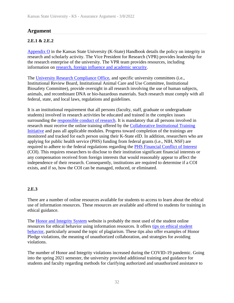#### **Argument**

#### **2.E.1 & 2.E.2**

[Appendix O](file:///C:/Users/evidence/viewfile%3ffileId=1336601) in the Kansas State University (K-State) Handbook details the policy on integrity in research and scholarly activity. The Vice President for Research (VPR) provides leadership for the research enterprise of the university. The VPR team provides resources, including information on [research, foreign influence and academic security.](file:///C:/Users/evidence/viewfile%3ffileId=1336598)

The [University Research Compliance Office,](file:///C:/Users/evidence/viewfile%3ffileId=1336603) and specific university committees (i.e., Institutional Review Board, Institutional Animal Care and Use Committee, Institutional Biosafety Committee), provide oversight in all research involving the use of human subjects, animals, and recombinant DNA or bio-hazardous materials. Such research must comply with all federal, state, and local laws, regulations and guidelines.

It is an institutional requirement that all persons (faculty, staff, graduate or undergraduate students) involved in research activities be educated and trained in the complex issues surrounding the [responsible conduct of research.](file:///C:/Users/evidence/viewfile%3ffileId=1336599) It is mandatory that all persons involved in research must receive the online training offered by the [Collaborative Institutional Training](file:///C:/Users/evidence/viewfile%3ffileId=1336588)  [Initiative](file:///C:/Users/evidence/viewfile%3ffileId=1336588) and pass all applicable modules. Progress toward completion of the trainings are monitored and tracked for each person using their K-State eID. In addition, researchers who are applying for public health service (PHS) funding from federal grants (i.e., NIH, NSF) are required to adhere to the federal regulations regarding the [PHS Financial Conflict of Interest](file:///C:/Users/evidence/viewfile%3ffileId=1336587) (COI). This requires researchers to disclose to their institution significant financial interests or any compensation received from foreign interests that would reasonably appear to affect the independence of their research. Consequently, institutions are required to determine if a COI exists, and if so, how the COI can be managed, reduced, or eliminated.

#### **2.E.3**

There are a number of online resources available for students to access to learn about the ethical use of information resources. These resources are available and offered to students for training in ethical guidance.

The [Honor and Integrity System](file:///C:/Users/evidence/viewfile%3ffileId=1336591) website is probably the most used of the student online resources for ethical behavior using information resources. It offers [tips on ethical student](file:///C:/Users/evidence/viewfile%3ffileId=1336600)  [behavior,](file:///C:/Users/evidence/viewfile%3ffileId=1336600) particularly around the topic of plagiarism. These tips also offer examples of Honor Pledge violations, the meaning of unauthorized collaboration, and strategies for avoiding violations.

The number of Honor and Integrity violations increased during the COVID-19 pandemic. Going into the spring 2021 semester, the university provided additional training and guidance for students and faculty regarding methods for clarifying authorized and unauthorized assistance to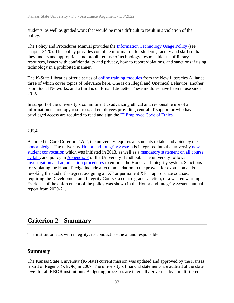students, as well as graded work that would be more difficult to result in a violation of the policy.

The Policy and Procedures Manual provides the [Information Technology Usage Policy](file:///C:/Users/evidence/viewfile%3ffileId=1336592) (see chapter 3420). This policy provides complete information for students, faculty and staff so that they understand appropriate and prohibited use of technology, responsible use of library resources, issues with confidentiality and privacy, how to report violations, and sanctions if using technology in a prohibited manner.

The K-State Libraries offer a series of [online training modules](file:///C:/Users/evidence/viewfile%3ffileId=1336594) from the New Literacies Alliance, three of which cover topics of relevance here. One is on Illegal and Unethical Behavior, another is on Social Networks, and a third is on Email Etiquette. These modules have been in use since 2015.

In support of the university's commitment to advancing ethical and responsible use of all information technology resources, all employees providing central IT support or who have privileged access are required to read and sign the [IT Employee Code of Ethics.](file:///C:/Users/evidence/viewfile%3ffileId=1336593)

#### **2.E.4**

As noted in Core Criterion 2.A.2, the university requires all students to take and abide by the [honor pledge.](file:///C:/Users/evidence/viewfile%3ffileId=1336589) The university [Honor and Integrity System](file:///C:/Users/evidence/viewfile%3ffileId=1336591) is integrated into the university new [student convocation](file:///C:/Users/evidence/viewfile%3ffileId=1336596) which was initiated in 2013, as well as a [mandatory statement on all course](file:///C:/Users/evidence/viewfile%3ffileId=1336595)  [syllabi,](file:///C:/Users/evidence/viewfile%3ffileId=1336595) and policy in [Appendix F](file:///C:/Users/evidence/viewfile%3ffileId=1336602) of the University Handbook. The university follows [investigation and adjudication procedures](file:///C:/Users/evidence/viewfile%3ffileId=1336590) to enforce the Honor and Integrity system. Sanctions for violating the Honor Pledge include a recommendation to the provost for expulsion and/or revoking the student's degree, assigning an XF or permanent XF in appropriate courses, requiring the Development and Integrity Course, a course grade sanction, or a written warning. Evidence of the enforcement of the policy was shown in the Honor and Integrity System annual report from 2020-21.

## **Criterion 2 - Summary**

The institution acts with integrity; its conduct is ethical and responsible.

#### **Summary**

The Kansas State University (K-State) current mission was updated and approved by the Kansas Board of Regents (KBOR) in 2008. The university's financial statements are audited at the state level for all KBOR institutions. Budgeting processes are internally governed by a multi-tiered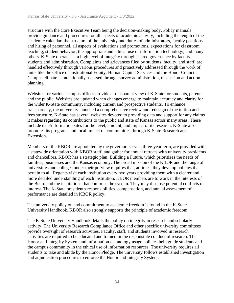structure with the Core Executive Team being the decision-making body. Policy manuals provide guidance and procedures for all aspects of academic activity, including the length of the academic calendar, the structure of the university and duties of administrators, faculty positions and hiring of personnel, all aspects of evaluations and promotions, expectations for classroom teaching, student behavior, the appropriate and ethical use of information technology, and many others. K-State operates at a high level of integrity through shared governance by faculty, students and administration. Complaints and grievances filed by students, faculty, and staff, are handled effectively through various procedures and proactively addressed through the work of units like the Office of Institutional Equity, Human Capital Services and the Honor Council. Campus climate is intentionally assessed through survey administration, discussion and action planning.

Websites for various campus offices provide a transparent view of K-State for students, parents and the public. Websites are updated when changes emerge to maintain accuracy and clarity for the wider K-State community, including current and prospective students. To enhance transparency, the university launched a comprehensive review and redesign of the tuition and fees structure. K-State has several websites devoted to providing data and support for any claims it makes regarding its contributions to the public and state of Kansas across many areas. These include data/information sites for the level, amount, and impact of its research. K-State also promotes its programs and local impact on communities through K-State Research and Extension.

Members of the KBOR are appointed by the governor, serve a three-year term, are provided with a statewide orientation with KBOR staff, and gather for annual retreats with university presidents and chancellors. KBOR has a strategic plan, Building a Future, which prioritizes the needs of families, businesses and the Kansas economy. The broad mission of the KBOR and the range of universities and colleges under their purview requires that, at times, they develop policies that pertain to all. Regents visit each institution every two years providing them with a clearer and more detailed understanding of each institution. KBOR members are to work in the interests of the Board and the institutions that comprise the system. They may disclose potential conflicts of interest. The K-State president's responsibilities, compensation, and annual assessment of performance are detailed in KBOR policy.

The university policy on and commitment to academic freedom is found in the K-State University Handbook. KBOR also strongly supports the principle of academic freedom.

The K-State University Handbook details the policy on integrity in research and scholarly activity. The University Research Compliance Office and other specific university committees provide oversight of research activities. Faculty, staff, and students involved in research activities are required to be educated and trained in the responsible conduct of research. The Honor and Integrity System and information technology usage policies help guide students and the campus community in the ethical use of information resources. The university requires all students to take and abide by the Honor Pledge. The university follows established investigation and adjudication procedures to enforce the Honor and Integrity System.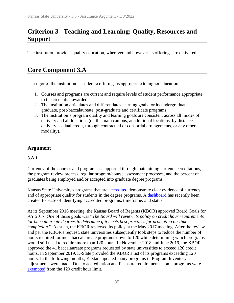## **Criterion 3 - Teaching and Learning: Quality, Resources and Support**

The institution provides quality education, wherever and however its offerings are delivered.

## **Core Component 3.A**

The rigor of the institution's academic offerings is appropriate to higher education.

- 1. Courses and programs are current and require levels of student performance appropriate to the credential awarded.
- 2. The institution articulates and differentiates learning goals for its undergraduate, graduate, post-baccalaureate, post-graduate and certificate programs.
- 3. The institution's program quality and learning goals are consistent across all modes of delivery and all locations (on the main campus, at additional locations, by distance delivery, as dual credit, through contractual or consortial arrangements, or any other modality).

#### **Argument**

#### **3.A.1**

Currency of the courses and programs is supported through maintaining current accreditations, the program review process, regular program/course assessment processes, and the percent of graduates being employed and/or accepted into graduate degree programs.

Kansas State University's programs that are [accredited](file:///C:/Users/evidence/viewfile%3ffileid=1326872) demonstrate clear evidence of currency and of appropriate quality for students in the degree programs. A [dashboard](file:///C:/Users/evidence/viewfile%3ffileid=1341815) has recently been created for ease of identifying accredited programs, timeframe, and status.

At its September 2016 meeting, the Kansas Board of Regents (KBOR) approved Board Goals for AY 2017. One of those goals was "*The Board will review its policy on credit hour requirements for baccalaureate degrees to determine if it meets best practices for promoting on-time completion*." As such, the KBOR reviewed its policy at the May 2017 meeting. After the review and per the KBOR's request, state universities subsequently took steps to reduce the number of hours required for most baccalaureate programs down to 120 while determining which programs would still need to require more than 120 hours. In November 2018 and June 2019, the KBOR approved the 41 baccalaureate programs requested by state universities to exceed 120 credit hours. In September 2019, K-State provided the KBOR a list of its programs exceeding 120 hours. In the following months, K-State updated many programs in Program Inventory as adjustments were made. Due to accreditation and licensure requirements, some programs were [exempted](file:///C:/Users/evidence/viewfile%3ffileId=1355125) from the 120 credit hour limit.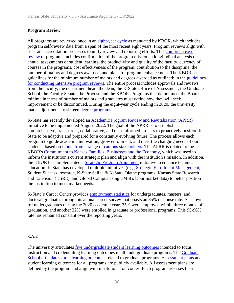#### **Program Review**

All programs are reviewed once in an [eight-year cycle](file:///C:/Users/evidence/viewfile%3ffileId=1326873) as mandated by KBOR, which includes program self-review data from a span of the most recent eight years. Program reviews align with separate accreditation processes to unify review and reporting efforts. This [comprehensive](file:///C:/Users/evidence/viewfile%3ffileId=1326877)  [review](file:///C:/Users/evidence/viewfile%3ffileId=1326877) of programs includes confirmation of the program mission, a longitudinal analysis of annual assessments of student learning, the productivity and quality of the faculty, currency of courses in the programs, cost effectiveness of the program, contribution to the discipline, the number of majors and degrees awarded, and plans for program enhancement. The KBOR has set guidelines for the minimum number of majors and degrees awarded as outlined: in the [guidelines](file:///C:/Users/evidence/viewfile%3ffileId=1326871)  [for conducting intensive program reviews.](file:///C:/Users/evidence/viewfile%3ffileId=1326871) The entire process includes approvals and reviews from the faculty, the department head, the dean, the K-State Office of Assessment, the Graduate School, the Faculty Senate, the Provost, and the KBOR. Programs that do not meet the Board minima in terms of number of majors and graduates must define how they will seek improvement or be discontinued. During the eight-year cycle ending in 2020, the university made adjustments to sixteen [degree programs.](file:///C:/Users/evidence/viewfile%3ffileId=1342068)

K-State has recently developed an [Academic Program Review and Revitalization \(APRR\)](file:///C:/Users/evidence/viewfile%3ffileId=1326874)  initiative to be implemented August, 2022. The goal of the APRR is to establish a comprehensive, transparent, collaborative, and data-informed process to proactively position K-State to be adaptive and prepared for a constantly evolving future. The process allows each program to guide academic innovation, grow enrollment, and meet the changing needs of our students, based on inputs [from a range of campus stakeholders.](file:///C:/Users/evidence/viewfile%3ffileId=1326875) The APRR is related to the KBOR's Commitment to Kansas [Families, Businesses and the Economy,](file:///C:/Users/evidence/viewfile%3ffileId=1326881) which was used to inform the institution's current strategic plan and align with the institution's mission. In addition, the KBOR has implemented a [Strategic Program Alignment](file:///C:/Users/evidence/viewfile%3ffileId=1391447) initiative to enhance technical education. K-State has developed multiple initiatives (e.g., **Strategic Enrollment Management**, Student Success, research, K-State Salina & K-State Olathe programs, Kansas State Research and Extension (KSRE), and Global Campus using EMSI's labor market data) to better position the institution to meet market needs.

K-State's Career Center provides [employment statistics](file:///C:/Users/evidence/viewfile%3ffileId=1365619) for undergraduates, masters, and doctoral graduates through its annual career survey that boasts an 85% response rate. As shown for undergraduates during the 2020 academic year, 75% were employed within three months of graduation, and another 22% were enrolled in graduate or professional programs. This 95-96% rate has remained constant over the reporting years.

#### **3.A.2**

The university articulates [five undergraduate student learning outcomes](file:///C:/Users/evidence/viewfile%3ffileId=1326887) intended to focus instruction and credentialing learning outcomes in all undergraduate programs. The [Graduate](file:///C:/Users/evidence/viewfile%3ffileId=1326888)  [School articulates three learning outcomes](file:///C:/Users/evidence/viewfile%3ffileId=1326888) related to graduate programs. [Assessment plans](file:///C:/Users/evidence/viewfile%3ffileId=1326802) and student learning outcomes for all programs are publicly available. All assessment plans are defined by the program and align with institutional outcomes. Each program assesses their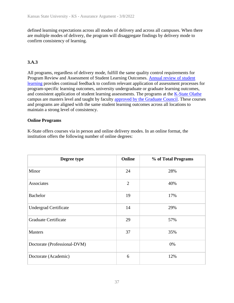defined learning expectations across all modes of delivery and across all campuses. When there are multiple modes of delivery, the program will disaggregate findings by delivery mode to confirm consistency of learning.

### **3.A.3**

All programs, regardless of delivery mode, fulfill the same quality control requirements for Program Review and Assessment of Student Learning Outcomes. [Annual review of student](file:///C:/Users/evidence/viewfile%3ffileId=1342076)  [learning](file:///C:/Users/evidence/viewfile%3ffileId=1342076) provides continual feedback to confirm relevant application of assessment processes for program-specific learning outcomes, university undergraduate or graduate learning outcomes, and consistent application of student learning assessments. The programs at the [K-State](file:///C:/Users/evidence/viewfile%3ffileid=1336537) Olathe campus are masters level and taught by faculty [approved by the Graduate Council.](file:///C:/Users/evidence/viewfile%3ffileId=1354933) These courses and programs are aligned with the same student learning outcomes across all locations to maintain a strong level of consistency.

### **Online Programs**

K-State offers courses via in person and online delivery modes. In an online format, the institution offers the following number of online degrees:

| Degree type                  | Online         | % of Total Programs |
|------------------------------|----------------|---------------------|
| Minor                        | 24             | 28%                 |
| Associates                   | $\overline{2}$ | 40%                 |
| <b>Bachelor</b>              | 19             | 17%                 |
| <b>Undergrad Certificate</b> | 14             | 29%                 |
| <b>Graduate Certificate</b>  | 29             | 57%                 |
| <b>Masters</b>               | 37             | 35%                 |
| Doctorate (Professional-DVM) |                | 0%                  |
| Doctorate (Academic)         | 6              | 12%                 |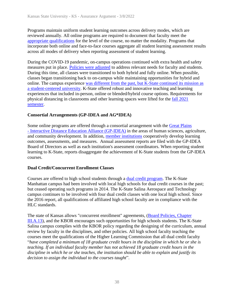Programs maintain uniform student learning outcomes across delivery modes, which are reviewed annually. All online programs are required to document that faculty meet the [appropriate qualifications](file:///C:/Users/evidence/viewfile%3ffileId=1342079) for the level of the course, no matter the modality. Programs that incorporate both online and face-to-face courses aggregate all student learning assessment results across all modes of delivery when reporting assessment of student learning.

During the COVID-19 pandemic, on-campus operations continued with extra health and safety measures put in place. [Policies were adjusted](file:///C:/Users/evidence/viewfile%3ffileId=1342082) to address relevant needs for faculty and students. During this time, all classes were transitioned to both hybrid and fully online. When possible, classes began transitioning back to on-campus while maintaining opportunities for hybrid and online. The campus experience was different from [the past, but K-State continued](file:///C:/Users/evidence/viewfile%3ffileId=1326882) its mission as [a student-centered university.](file:///C:/Users/evidence/viewfile%3ffileId=1326882) K-State offered robust and innovative teaching and learning experiences that included in-person, online or blended/hybrid course options. Requirements for physical distancing in classrooms and other learning spaces were lifted for the fall [2021](file:///C:/Users/evidence/viewfile%3ffileId=1326885)  [semester.](file:///C:/Users/evidence/viewfile%3ffileId=1326885)

### **Consortial Arrangements (GP-IDEA and AG\*IDEA)**

Some online programs are offered through a consortial arrangement with the [Great Plains](file:///C:/Users/evidence/viewfile%3ffileid=1326890)  - [Interactive Distance Education Alliance \(GP-IDEA\)](file:///C:/Users/evidence/viewfile%3ffileid=1326890) in the areas of human sciences, agriculture, and community development. In addition, [member institutions](file:///C:/Users/evidence/viewfile%3ffileId=1326886) cooperatively develop learning outcomes, assessments, and measures. Annual assessment reports are filed with the GP-IDEA Board of Directors as well as each institution's assessment coordinators. When reporting student learning to K-State, reports disaggregate the achievement of K-State students from the GP-IDEA courses.

### **Dual Credit/Concurrent Enrollment Classes**

Courses are offered to high school students through a [dual credit program.](file:///C:/Users/evidence/viewfile%3ffileId=1326883) The K-State Manhattan campus had been involved with local high schools for dual credit courses in the past; but ceased operating such programs in 2014. The K-State Salina Aerospace and Technology campus continues to be involved with four dual credit classes with one local high school. Since the 2016 report, all qualifications of affiliated high school faculty are in compliance with the HLC standards.

The state of Kansas allows "concurrent enrollment" agreements, (Board [Policies, Chapter](file:///C:/Users/evidence/viewfile%3ffileId=1326884)  [III.A.13\)](file:///C:/Users/evidence/viewfile%3ffileId=1326884), and the KBOR encourages such opportunities for high schools students. The K-State Salina campus complies with the KBOR policy regarding the designing of the curriculum, annual review by faculty in the disciplines, and other policies. All high school faculty teaching the courses meet the qualifications of the Higher Learning Commission that all dual credit faculty "*have completed a minimum of 18 graduate credit hours in the discipline in which he or she is teaching. If an individual faculty member has not achieved 18 graduate credit hours in the discipline in which he or she teaches, the institution should be able to explain and justify its decision to assign the individual to the courses taught*".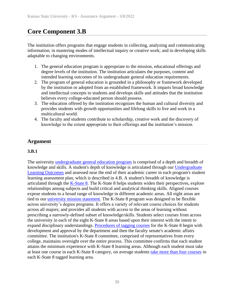# **Core Component 3.B**

The institution offers programs that engage students in collecting, analyzing and communicating information; in mastering modes of intellectual inquiry or creative work; and in developing skills adaptable to changing environments.

- 1. The general education program is appropriate to the mission, educational offerings and degree levels of the institution. The institution articulates the purposes, content and intended learning outcomes of its undergraduate general education requirements.
- 2. The program of general education is grounded in a philosophy or framework developed by the institution or adopted from an established framework. It imparts broad knowledge and intellectual concepts to students and develops skills and attitudes that the institution believes every college-educated person should possess.
- 3. The education offered by the institution recognizes the human and cultural diversity and provides students with growth opportunities and lifelong skills to live and work in a multicultural world.
- 4. The faculty and students contribute to scholarship, creative work and the discovery of knowledge to the extent appropriate to their offerings and the institution's mission.

## **Argument**

### **3.B.1**

The university [undergraduate general education program](file:///C:/Users/evidence/viewfile%3ffileId=1326797) is comprised of a depth and breadth of knowledge and skills. A student's depth of knowledge is articulated through our [Undergraduate](file:///C:/Users/evidence/viewfile%3ffileId=1326887)  [Learning Outcomes](file:///C:/Users/evidence/viewfile%3ffileId=1326887) and assessed near the end of their academic career in each program's student learning assessment plan, which is described in 4.B. A student's breadth of knowledge is articulated through the [K-State 8.](file:///C:/Users/evidence/viewfile%3ffileId=1326798) The K-State 8 helps students widen their perspectives, explore relationships among subjects and build critical and analytical thinking skills. Aligned courses expose students to a broad range of knowledge in different academic areas. All eight areas are tied to our [university mission statement.](file:///C:/Users/evidence/viewfile%3ffileId=1326796) The K-State 8 program was designed to be flexible across university's degree programs. It offers a variety of relevant course choices for students across all majors; and provides all students with access to the areas of learning without prescribing a narrowly-defined subset of knowledge/skills. Students select courses from across the university in each of the eight K-State 8 areas based upon their interest with the intent to expand disciplinary understandings. [Procedures of tagging courses](file:///C:/Users/evidence/viewfile%3ffileId=1326795) for the K-State 8 begin with development and approval by the department and then the faculty senate's academic affairs committee. The institution's K-State 8 committee, comprised of representatives from every college, maintains oversight over the entire process. This committee confirms that each student attains the minimum experience with K-State 8 learning areas. Although each student must take at least one course in each K-State 8 category, on average students [take more than four courses](file:///C:/Users/evidence/viewfile%3ffileId=1326799) in each K-State 8 tagged learning area.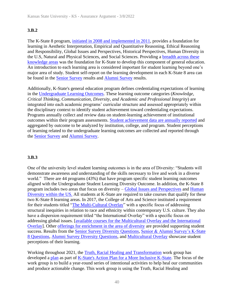### **3.B.2**

The K-State 8 program, [initiated in 2008 and implemented in 2011,](file:///C:/Users/evidence/viewfile%3ffileId=1354937) provides a foundation for learning in Aesthetic Interpretation, Empirical and Quantitative Reasoning, Ethical Reasoning and Responsibility, Global Issues and Perspectives, Historical Perspectives, Human Diversity in the U.S, Natural and Physical Sciences, and Social Sciences. Providing a [breadth across these](file:///C:/Users/evidence/viewfile%3ffileId=1354935)  [knowledge areas](file:///C:/Users/evidence/viewfile%3ffileId=1354935) was the foundation for K-State to develop this component of general education. An introduction to each learning area is considered important for student learning beyond one's major area of study. Student self-report on the learning development in each K-State 8 area can be found in the [Senior Survey](file:///C:/Users/evidence/viewfile%3ffileId=1354955) results and [Alumni Survey](file:///C:/Users/evidence/viewfile%3ffileId=1354956) results.

Additionally, K-State's general education program defines credentialing expectations of learning in the [Undergraduate Learning Outcomes.](file:///C:/Users/evidence/viewfile%3ffileId=1326887) These learning outcome categories (*Knowledge, Critical Thinking, Communication, Diversity, and Academic and Professional Integrity*) are integrated into each academic programs' curricular structure and assessed appropriately within the disciplinary context to identify student achievement toward credentialing expectations. Programs annually collect and review data on student-learning achievement of institutional outcomes within their program assessments. [Student achievement data are annually reported](file:///C:/Users/evidence/viewfile%3ffileId=1342118) and aggregated by outcome to be analyzed by institution, college, and program. Student perceptions of learning related to the undergraduate learning outcomes are collected and reported through the [Senior Survey](file:///C:/Users/evidence/viewfile%3ffileId=1326816) and [Alumni Survey.](file:///C:/Users/evidence/viewfile%3ffileId=1326806)

### **3.B.3**

One of the university level student learning outcomes is in the area of Diversity: "Students will demonstrate awareness and understanding of the skills necessary to live and work in a diverse world." There are 44 programs (43%) that have program specific student learning outcomes aligned with the Undergraduate Student Learning Diversity Outcome. In addition, the K-State 8 program includes two areas that focus on diversity – [Global Issues and Perspectives](file:///C:/Users/evidence/viewfile%3ffileId=1326808) and [Human](file:///C:/Users/evidence/viewfile%3ffileId=1326808)  [Diversity within the US.](file:///C:/Users/evidence/viewfile%3ffileId=1326808) All students at K-State are required to take courses that qualify for these two K-State 8 learning areas. In 2017, the College of Arts and Science instituted a requirement for their students titled ["The Multi-Cultural Overlay"](file:///C:/Users/evidence/viewfile%3ffileid=1326807) with a specific focus of addressing structural inequities in relation to race and ethnicity within contemporary U.S. culture. They also have a dispersion requirement titled "the International Overlay" with a specific focus on addressing global issues. [\[available courses for the Multicultural Overlay and the International](file:///C:/Users/evidence/viewfile%3ffileId=1326812)  [Overlay\]](file:///C:/Users/evidence/viewfile%3ffileId=1326812). Other [offerings for enrichment in the area of diversity](file:///C:/Users/evidence/viewfile%3ffileid=1326811) are provided supporting student success. Results from the [Senior Survey Diversity Questions,](file:///C:/Users/evidence/viewfile%3ffileid=1326815) [Senior & Alumni Survey's K-State](file:///C:/Users/evidence/viewfile%3ffileId=1326898)  [8 Questions,](file:///C:/Users/evidence/viewfile%3ffileId=1326898) [Alumni Survey Diversity Questions,](file:///C:/Users/evidence/viewfile%3ffileid=1326805) and [Multicultural Overlay](file:///C:/Users/evidence/viewfile%3ffileid=1326813) showcase student perceptions of their learning.

Working throughout 2021, the [Truth, Racial Healing and Transformation](file:///C:/Users/evidence/viewfile%3ffileId=1336633) work group has developed a [plan](file:///C:/Users/evidence/viewfile%3ffileId=1336634) as part of [K-State's Action Plan for a More Inclusive K-State.](file:///C:/Users/evidence/viewfile%3ffileId=1399509) The focus of the work group is to build a year-round series of intentional activities to help heal our communities and produce actionable change. This work group is using the Truth, Racial Healing and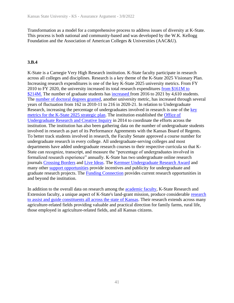Transformation as a model for a comprehensive process to address issues of diversity at K-State. This process is both national and community-based and was developed by the W.K. Kellogg Foundation and the Association of American Colleges & Universities (AAC&U).

### **3.B.4**

K-State is a Carnegie Very High Research institution. K-State faculty participate in research across all colleges and disciplines. Research is a key theme of the K-State 2025 Visionary Plan. Increasing research expenditures is one of the key K-State 2025 university metrics. From FY 2010 to FY 2020, the university increased its total research expenditures [from \\$161M to](file:///C:/Users/evidence/viewfile%3ffileId=1334307)  [\\$214M.](file:///C:/Users/evidence/viewfile%3ffileId=1334307) The number of graduate students has [increased](file:///C:/Users/evidence/viewfile%3ffileid=1326821) from 2016 to 2021 by 4,610 students. The [number of doctoral degrees granted,](file:///C:/Users/evidence/viewfile%3ffileid=1326820) another university metric, has increased through several years of fluctuation from 162 in 2010-11 to 216 in 2020-21. In relation to Undergraduate Research, increasing the percentage of undergraduates involved in research is one of the [key](file:///C:/Users/evidence/viewfile%3ffileid=1326818)  [metrics for the K-State 2025 strategic plan.](file:///C:/Users/evidence/viewfile%3ffileid=1326818) The institution established the [Office of](file:///C:/Users/evidence/viewfile%3ffileid=1326824)  [Undergraduate Research and Creative Inquiry](file:///C:/Users/evidence/viewfile%3ffileid=1326824) in 2014 to coordinate the efforts across the institution. The institution has also been gathering data on the number of undergraduate students involved in research as part of its Performance Agreements with the Kansas Board of Regents. To better track students involved in research, the Faculty Senate approved a course number for undergraduate research in every college. All undergraduate-serving colleges and most departments have added undergraduate research courses to their respective curricula so that K-State can recognize, transcript, and measure the "percentage of undergraduates involved in formalized research experience" annually. K-State has two undergraduate online research journals [Crossing Borders](file:///C:/Users/evidence/viewfile%3ffileId=1391458) and [Live Ideas.](file:///C:/Users/evidence/viewfile%3ffileid=1326823) The [Kermser Undergraduate](file:///C:/Users/evidence/viewfile%3ffileId=1354973) Research Award and many other [support opportunities](file:///C:/Users/evidence/viewfile%3ffileId=1354974) provide incentives and publicity for undergraduate and graduate research projects. The [Funding Connection](file:///C:/Users/evidence/viewfile%3ffileId=1354972) provides current research opportunities in and beyond the institution.

In addition to the overall data on research among the **academic faculty**, K-State Research and Extension faculty, a unique aspect of K-State's land-grant mission, produce considerable [research](file:///C:/Users/evidence/viewfile%3ffileid=1326822)  [to assist and guide constituents all across the state of Kansas.](file:///C:/Users/evidence/viewfile%3ffileid=1326822) Their research extends across many agriculture-related fields providing valuable and practical direction for family farms, rural life, those employed in agriculture-related fields, and all Kansas citizens.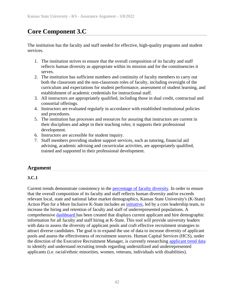# **Core Component 3.C**

The institution has the faculty and staff needed for effective, high-quality programs and student services.

- 1. The institution strives to ensure that the overall composition of its faculty and staff reflects human diversity as appropriate within its mission and for the constituencies it serves.
- 2. The institution has sufficient numbers and continuity of faculty members to carry out both the classroom and the non-classroom roles of faculty, including oversight of the curriculum and expectations for student performance, assessment of student learning, and establishment of academic credentials for instructional staff.
- 3. All instructors are appropriately qualified, including those in dual credit, contractual and consortial offerings.
- 4. Instructors are evaluated regularly in accordance with established institutional policies and procedures.
- 5. The institution has processes and resources for assuring that instructors are current in their disciplines and adept in their teaching roles; it supports their professional development.
- 6. Instructors are accessible for student inquiry.
- 7. Staff members providing student support services, such as tutoring, financial aid advising, academic advising and cocurricular activities, are appropriately qualified, trained and supported in their professional development.

## **Argument**

## **3.C.1**

Current trends demonstrate consistency in the [percentage of faculty diversity.](file:///C:/Users/evidence/viewfile%3ffileid=1326826) In order to ensure that the overall composition of its faculty and staff reflects human diversity and/or exceeds relevant local, state and national labor market demographics, Kansas State University's (K-State) Action Plan for a More Inclusive K-State includes an [initiative,](file:///C:/Users/evidence/viewfile%3ffileId=1326827) led by a core leadership team, to increase the hiring and retention of faculty and staff of underrepresented populations. A comprehensive [dashboard h](file:///C:/Users/evidence/viewfile%3ffileId=1399705)as been created that displays current applicant and hire demographic information for all faculty and staff hiring at K-State. This tool will provide university leaders with data to assess the diversity of applicant pools and craft effective recruitment strategies to attract diverse candidates. The goal is to expand the use of data to increase diversity of applicant pools and assess the effectiveness of recruitment sources. Human Capital Services (HCS), under the direction of the Executive Recruitment Manager, is currently researching [applicant trend data](file:///C:/Users/evidence/viewfile%3ffileId=1357442) to identify and understand recruiting trends regarding underutilized and underrepresented applicants (i.e. racial/ethnic minorities, women, veterans, individuals with disabilities).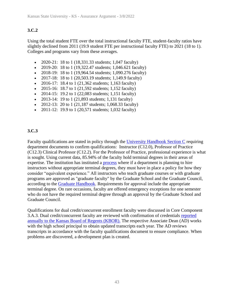## **3.C.2**

Using the total student FTE over the total instructional faculty FTE, student-faculty ratios have slightly declined from 2011 (19.9 student FTE per instructional faculty FTE) to 2021 (18 to 1). Colleges and programs vary from these averages.

- 2020-21: 18 to 1 (18,331.33 students; 1,047 faculty)
- 2019-20: 18 to 1 (19,322.47 students; 1,046.621 faculty)
- 2018-19: 18 to 1 (19,964.54 students; 1,090.276 faculty)
- 2017-18: 18 to 1 (20,503.19 students; 1,149.9 faculty)
- 2016-17: 18.4 to 1 (21,362 students; 1,163 faculty)
- 2015-16: 18.7 to 1 (21,592 students; 1,152 faculty)
- 2014-15: 19.2 to 1 (22,083 students; 1,151 faculty)
- 2013-14: 19 to 1 (21,893 students; 1,131 faculty)
- 2012-13: 20 to 1 (21,187 students; 1,068.33 faculty)
- 2011-12: 19.9 to 1 (20,571 students; 1,032 faculty)

### **3.C.3**

Faculty qualifications are stated in policy through the University [Handbook Section C](file:///C:/Users/evidence/viewfile%3ffileId=1360010) requiring department documents to confirm qualifications: Instructor (C12.0), Professor of Practice (C12.3) Clinical Professor (C12.2). For the Professor of Practice, professional experience is what is sought. Using current data, 85.94% of the faculty hold terminal degrees in their areas of expertise. The institution has instituted a [process](file:///C:/Users/evidence/viewfile%3ffileId=1326830) where if a department is planning to hire instructors without appropriate terminal degrees, they must have in place a policy for how they consider "equivalent experience." All instructors who teach graduate courses or with graduate programs are approved as "graduate faculty" by the Graduate School and the Graduate Council, according to the [Graduate Handbook.](file:///C:/Users/evidence/viewfile%3ffileId=1326831) Requirements for approval include the appropriate terminal degree. On rare occasions, faculty are offered emergency exceptions for one semester who do not have the required terminal degree through an approval by the Graduate School and Graduate Council.

Qualifications for dual credit/concurrent enrollment faculty were discussed in Core Component 3.A.3. Dual credit/concurrent faculty are reviewed with confirmation of credentials [reported](file:///C:/Users/evidence/viewfile%3ffileId=1357350)  [annually to the Kansas Board of Regents \(KBOR\).](file:///C:/Users/evidence/viewfile%3ffileId=1357350) The respective Associate Dean (AD) works with the high school principal to obtain updated transcripts each year. The AD reviews transcripts in accordance with the faculty qualifications document to ensure compliance. When problems are discovered, a development plan is created.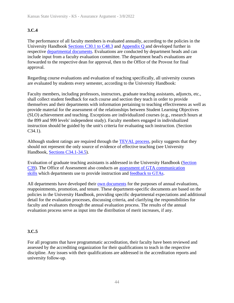## **3.C.4**

The performance of all faculty members is evaluated annually, according to the policies in the University Handbook Sections [C30.1 to C48.3](file:///C:/Users/evidence/viewfile%3ffileId=1326836) and [Appendix Q](file:///C:/Users/evidence/viewfile%3ffileId=1326837) and developed further in respective [departmental documents.](file:///C:/Users/evidence/viewfile%3ffileId=1399694) Evaluations are conducted by department heads and can include input from a faculty evaluation committee. The department head's evaluations are forwarded to the respective dean for approval, then to the Office of the Provost for final approval.

Regarding course evaluations and evaluation of teaching specifically, all university courses are evaluated by students every semester, according to the University Handbook:

Faculty members, including professors, instructors, graduate teaching assistants, adjuncts, etc., shall collect student feedback for each course and section they teach in order to provide themselves and their departments with information pertaining to teaching effectiveness as well as provide material for the assessment of the relationships between Student Learning Objectives (SLO) achievement and teaching. Exceptions are individualized courses (e.g., research hours at the 899 and 999 levels' independent study). Faculty members engaged in individualized instruction should be guided by the unit's criteria for evaluating such instruction. (Section C34.1).

Although student ratings are required through the [TEVAL process,](file:///C:/Users/evidence/viewfile%3ffileId=1355045) policy suggests that they should not represent the only source of evidence of effective teaching (see University Handbook, [Sections C34.1-34.5\)](file:///C:/Users/evidence/viewfile%3ffileId=1326840).

Evaluation of graduate teaching assistants is addressed in the University Handbook [\(Section](file:///C:/Users/evidence/viewfile%3ffileId=1326839)  [C39\)](file:///C:/Users/evidence/viewfile%3ffileId=1326839). The Office of Assessment also conducts an [assessment of GTA communication](file:///C:/Users/evidence/viewfile%3ffileId=1326834) [skills](file:///C:/Users/evidence/viewfile%3ffileId=1326834) which departments use to provide instruction and [feedback to GTAs.](file:///C:/Users/evidence/viewfile%3ffileId=1326833)

All departments have developed their [own documents](file:///C:/Users/evidence/viewfile%3ffileId=1326835) for the purposes of annual evaluations, reappointments, promotion, and tenure. These department-specific documents are based on the policies in the University Handbook, providing specific departmental expectations and additional detail for the evaluation processes, discussing criteria, and clarifying the responsibilities for faculty and evaluators through the annual evaluation process. The results of the annual evaluation process serve as input into the distribution of merit increases, if any.

### **3.C.5**

For all programs that have programmatic accreditation, their faculty have been reviewed and assessed by the accrediting organization for their qualifications to teach in the respective discipline. Any issues with their qualifications are addressed in the accreditation reports and university follow-up.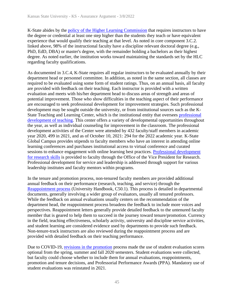K-State abides by the [policy of the Higher Learning Commission](file:///C:/Users/evidence/viewfile%3ffileId=1355050) that requires instructors to have the degree or credential at least one step higher than the students they teach or have equivalent experience that would qualify their teaching at that level. As noted in core component 3.C.2. linked above, 98% of the instructional faculty have a discipline relevant doctoral degree (e.g., PhD, EdD, DBA) or master's degree, with the remainder holding a bachelors as their highest degree. As noted earlier, the institution works toward maintaining the standards set by the HLC regarding faculty qualifications.

As documented in 3.C.4, K-State requires all regular instructors to be evaluated annually by their department head or personnel committee. In addition, as noted in the same section, all classes are required to be evaluated using some form of student ratings. Thus, on an annual basis, all faculty are provided with feedback on their teaching. Each instructor is provided with a written evaluation and meets with his/her department head to discuss areas of strength and areas of potential improvement. Those who show difficulties in the teaching aspect of their performance are encouraged to seek professional development for improvement strategies. Such professional development may be sought outside the university, or from institutional sources such as the K-State Teaching and Learning Center, which is the institutional entity that oversees [professional](file:///C:/Users/evidence/viewfile%3ffileid=1326845)  [development of teaching.](file:///C:/Users/evidence/viewfile%3ffileid=1326845) This center offers a variety of developmental opportunities throughout the year, as well as individual counseling for improvement in the classroom. The professional development activities of the Center were attended by 432 faculty/staff members in academic year 2020, 499 in 2021, and as of October 10, 2021: 294 for the 2022 academic year. K-State Global Campus provides stipends to faculty members who have an interest in attending online learning conferences and purchases institutional access to virtual conference and curated sessions to enhance engagement with online learning best practices. [Professional development](file:///C:/Users/evidence/viewfile%3ffileId=1355048)  [for research skills](file:///C:/Users/evidence/viewfile%3ffileId=1355048) is provided to faculty through the Office of the Vice President for Research. Professional development for service and leadership is addressed through support for various leadership institutes and faculty mentors within programs.

In the tenure and promotion process, non-tenured faculty members are provided additional annual feedback on their performance (research, teaching, and service) through the [Reappointment process](file:///C:/Users/evidence/viewfile%3ffileId=1326843) (University Handbook, C50.1). This process is detailed in departmental documents, generally involving a wider group of evaluators, usually all tenured professors. While the feedback on annual evaluations usually centers on the recommendation of the department head, the reappointment process broadens the feedback to include more voices and perspectives. Reappointment letters generally provide detailed feedback to the untenured faculty member that is geared to help them to succeed in the journey toward tenure/promotion. Currency in the field, teaching effectiveness, scholarly activity, university and discipline service activities, and student learning are considered evidence used by departments to provide such feedback. Non-tenure-track instructors are also reviewed during the reappointment process and are provided with detailed feedback on their teaching performance.

Due to COVID-19, [revisions in the promotion](file:///C:/Users/evidence/viewfile%3ffileId=1326846) process made the use of student evaluation scores optional from the spring, summer and fall 2020 semesters. Student evaluations were collected, but faculty could choose whether to include them for annual evaluations, reappointments, promotion and tenure decisions, and Professorial Performance Awards (PPA). Mandatory use of student evaluations was reinstated in 2021.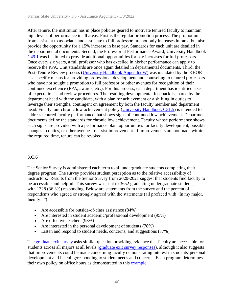After tenure, the institution has in place policies geared to motivate tenured faculty to maintain high levels of performance in all areas. First is the regular promotion process. The promotion from assistant to associate, and associate to full professor, are not only increases in rank, but also provide the opportunity for a 15% increase in base pay. Standards for each unit are detailed in the departmental documents. Second, the Professorial Performance Award, University Handbook [C49.1](file:///C:/Users/evidence/viewfile%3ffileId=1326847) was instituted to provide additional opportunities for pay increases for full professors. Once every six years, a full professor who has excelled in his/her performance can apply to receive the PPA. Unit standards are once again detailed in departmental documents. Third, the Post-Tenure Review process [\(University Handbook](file:///C:/Users/evidence/viewfile%3ffileId=1326842) Appendix W) was mandated by the KBOR as a specific means for providing professional development and counseling to tenured professors who have not sought a promotion to full professor or other avenues for recognition of their continued excellence (PPA, awards, etc.). For this process, each department has identified a set of expectations and review procedures. The resulting developmental feedback is shared by the department head with the candidate, with a plan for achievement or a shifting in duties to leverage their strengths, contingent on agreement by both the faculty member and department head. Finally, our chronic low achievement policy [\(University Handbook C31.5\)](file:///C:/Users/evidence/viewfile%3ffileid=1326844) is intended to address tenured faculty performance that shows signs of continued low achievement. Department documents define the standards for chronic low achievement. Faculty whose performance shows such signs are provided with a performance plan, opportunities for faculty development, possible changes in duties, or other avenues to assist improvement. If improvements are not made within the required time, tenure can be revoked.

### **3.C.6**

The Senior Survey is administered each term to all undergraduate students completing their degree program. The survey provides student perception as to the relative accessibility of instructors. Results from the Senior Survey from 2020-2021 suggest that students find faculty to be accessible and helpful. This survey was sent to 3652 graduating undergraduate students, with 1328 (36.3%) responding. Below are statements from the survey and the percent of respondents who agreed or strongly agreed with the statements (all prefaced with "In my major, faculty..."):

- Are accessible for outside-of-class assistance (84%)
- Are interested in student academic/professional development (95%)
- Are effective teachers (93%)
- Are interested in the personal development of students (78%)
- Listen and respond to student needs, concerns, and suggestions (77%)

The [graduate exit survey](file:///C:/Users/evidence/viewfile%3ffileid=1342449) asks similar question providing evidence that faculty are accessible for students across all majors at all levels [\(graduate exit survey responses\)](file:///C:/Users/evidence/viewfile%3ffileId=1355150), although it also suggests that improvements could be made concerning faculty demonstrating interest in students' personal development and listening/responding to student needs and concerns. Each program determines their own policy on office hours as demonstrated in this [example.](file:///C:/Users/evidence/viewfile%3ffileId=1355054)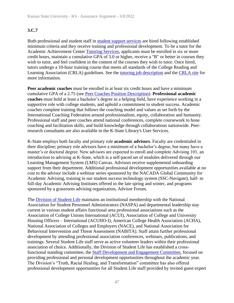### **3.C.7**

Both professional and student staff in [student support services](file:///C:/Users/evidence/viewfile%3ffileId=1355055) are hired following established minimum criteria and they receive training and professional development. To be a tutor for the Academic Achievement Center [Tutoring Services,](file:///C:/Users/evidence/viewfile%3ffileId=1342537) applicants must be enrolled in six or more credit hours, maintain a cumulative GPA of 3.0 or higher, receive a "B" or better in courses they wish to tutor, and feel confident in the content of the courses they wish to tutor. Once hired, tutors undergo a 10-hour training course that meets all standards of the College Reading and Learning Association (CRLA) guidelines. See the [tutoring job description](file:///C:/Users/evidence/viewfile%3ffileId=1342205) and the [CRLA site](file:///C:/Users/evidence/viewfile%3ffileId=1342206) for more information.

**Peer academic coaches** must be enrolled in at least six credit hours and have a minimum cumulative GPA of a 2.75 (see [Peer Coaches Position Description\)](file:///C:/Users/evidence/viewfile%3ffileId=1342204). **Professional academic coaches** must hold at least a bachelor's degree in a helping field, have experience working in a supportive role with college students, and uphold a commitment to student success. Academic coaches complete training that follows the coaching model and values as set forth by the International Coaching Federation around professionalism, equity, collaboration and humanity. Professional staff and peer coaches attend national conferences, complete coursework to hone coaching and facilitation skills, and build knowledge through collaborations nationwide. Peerresearch consultants are also available in the K-State Library's User Services.

K-State employs both faculty and primary role **academic advisors**. Faculty are credentialed in their discipline; primary role advisors have a minimum of a bachelor's degree, but many have a master's or doctoral degree. New advisors are expected to enroll and complete Advising 101, an introduction to advising at K-State, which is a self-paced set of modules delivered through our Learning Management System (LMS) Canvas. Advisors receive supplemental onboarding support from their department. Additional professional development opportunities available at no cost to the advisor include a webinar series sponsored by the NACADA Global Community for Academic Advising, training in our student success technology system (SSC-Navigate), half- to full-day Academic Advising Institutes offered in the late spring and winter, and programs sponsored by a grassroots advising organization, Advisor Forum.

The [Division of Student Life](file:///C:/Users/evidence/viewfile%3ffileId=1355056) maintains an institutional membership with the National Association for Student Personnel Administrators (NASPA) and departmental leadership stay current in various student affairs functional area professional associations such as the Association of College Unions International (ACUI), Association of College and University Housing Officers – International (ACUHO-I), American College Health Association (ACHA), National Association of Colleges and Employers (NACE), and National Association for Behavioral Intervention and Threat Assessment (NABITA). Staff attain further professional development by attending professional association conferences, webinars, publications, and trainings. Several Student Life staff serve as active volunteer leaders within their professional association of choice. Additionally, the Division of Student Life has established a crossfunctional standing committee, the **Staff Development and Engagement Committee**, focused on providing professional and personal development opportunities throughout the academic year. The Division's "Truth, Racial Healing, and Transformation" committee has also offered professional development opportunities for all Student Life staff provided by invited guest expert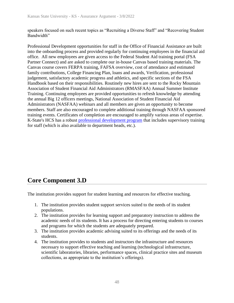speakers focused on such recent topics as "Recruiting a Diverse Staff" and "Recovering Student Bandwidth"

Professional Development opportunities for staff in the Office of Financial Assistance are built into the onboarding process and provided regularly for continuing employees in the financial aid office. All new employees are given access to the Federal Student Aid training portal (FSA Partner Connect) and are asked to complete our in-house Canvas based training materials. The Canvas course covers FERPA training, FAFSA overview, cost of attendance and estimated family contributions, College Financing Plan, loans and awards, Verification, professional judgement, satisfactory academic progress and athletics, and specific sections of the FSA Handbook based on their responsibilities. Routinely new hires are sent to the Rocky Mountain Association of Student Financial Aid Administrators (RMASFAA) Annual Summer Institute Training. Continuing employees are provided opportunities to refresh knowledge by attending the annual Big 12 officers meetings, National Association of Student Financial Aid Administrators (NASFAA) webinars and all members are given an opportunity to become members. Staff are also encouraged to complete additional training through NASFAA sponsored training events. Certificates of completion are encouraged to amplify various areas of expertise. K-State's HCS has a robust [professional development program](file:///C:/Users/evidence/viewfile%3ffileId=1391471) that includes supervisory training for staff (which is also available to department heads, etc.).

## **Core Component 3.D**

The institution provides support for student learning and resources for effective teaching.

- 1. The institution provides student support services suited to the needs of its student populations.
- 2. The institution provides for learning support and preparatory instruction to address the academic needs of its students. It has a process for directing entering students to courses and programs for which the students are adequately prepared.
- 3. The institution provides academic advising suited to its offerings and the needs of its students.
- 4. The institution provides to students and instructors the infrastructure and resources necessary to support effective teaching and learning (technological infrastructure, scientific laboratories, libraries, performance spaces, clinical practice sites and museum collections, as appropriate to the institution's offerings).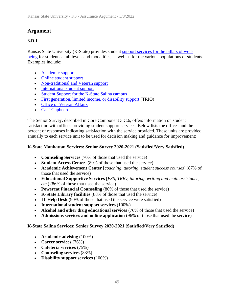## **Argument**

### **3.D.1**

Kansas State University (K-State) provides student [support services for the pillars of well](file:///C:/Users/evidence/viewfile%3ffileId=1355060)[being](file:///C:/Users/evidence/viewfile%3ffileId=1355060) for students at all levels and modalities, as well as for the various populations of students. Examples include:

- [Academic support](file:///C:/Users/evidence/viewfile%3ffileId=1336606)
- [Online student support](file:///C:/Users/evidence/viewfile%3ffileId=1336608)
- [Non-traditional and Veteran support](file:///C:/Users/evidence/viewfile%3ffileId=1336604)
- [International student support](file:///C:/Users/evidence/viewfile%3ffileId=1336605)
- [Student Support for the K-State Salina campus](file:///C:/Users/evidence/viewfile%3ffileId=1336609)
- [First generation, limited income, or disability support](file:///C:/Users/evidence/viewfile%3ffileId=1336607) (TRIO)
- [Office of Veteran Affairs](file:///C:/Users/evidence/viewfile%3ffileId=1355066)
- [Cats' Cupboard](file:///C:/Users/evidence/viewfile%3ffileId=1355167)

The Senior Survey, described in Core Component 3.C.6, offers information on student satisfaction with offices providing student support services. Below lists the offices and the percent of responses indicating satisfaction with the service provided. These units are provided annually to each service unit to be used for decision making and guidance for improvement:

#### **K-State Manhattan Services: Senior Survey 2020-2021 (Satisfied/Very Satisfied)**

- **Counseling Services** (70% of those that used the service)
- **Student Access Center** (89% of those that used the service)
- **Academic Achievement Center** [*coaching, tutoring, student success courses*] (87% of those that used the service)
- **Educational Supportive Services** [*ESS, TRIO, tutoring, writing and math assistance, etc.*) (86% of those that used the service)
- **Powercat Financial Counseling** (86% of those that used the service)
- **K-State Library facilities** (88% of those that used the service)
- **IT Help Desk** (90% of those that used the service were satisfied)
- **International student support services** (100%)
- **Alcohol and other drug educational services** (76% of those that used the service)
- **Admissions services and online application** (96% of those that used the service)

#### **K-State Salina Services: Senior Survey 2020-2021 (Satisfied/Very Satisfied)**

- **Academic advising** (100%)
- **Career services** (76%)
- **Cafeteria services** (75%)
- **Counseling services** (83%)
- **Disability support services** (100%)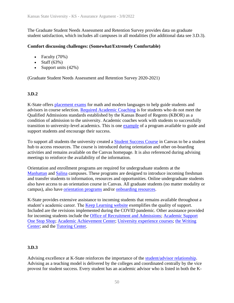The Graduate Student Needs Assessment and Retention Survey provides data on graduate student satisfaction, which includes all campuses in all modalities (for additional data see 3.D.3).

#### **Comfort discussing challenges: (Somewhat/Extremely Comfortable)**

- Faculty  $(70%)$
- Staff  $(63\%)$
- Support units  $(42%)$

(Graduate Student Needs Assessment and Retention Survey 2020-2021)

### **3.D.2**

K-State offers [placement exams](file:///C:/Users/evidence/viewfile%3ffileid=1326862) for math and modern languages to help guide students and advisors in course selection. [Required Academic Coaching](file:///C:/Users/evidence/viewfile%3ffileid=1326861) is for students who do not meet the Qualified Admissions standards established by the Kansas Board of Regents (KBOR) as a condition of admission to the university. Academic coaches work with students to successfully transition to university-level academics. This is one [example](file:///C:/Users/evidence/viewfile%3ffileId=1330394) of a program available to guide and support students and encourage their success.

To support all students the university created a [Student Success Course](file:///C:/Users/evidence/viewfile%3ffileId=1326857) in Canvas to be a student hub to access resources. The course is introduced during orientation and other on-boarding activities and remains available on the Canvas homepage. It is also referenced during advising meetings to reinforce the availability of the information.

Orientation and enrollment programs are required for undergraduate students at the [Manhattan](file:///C:/Users/evidence/viewfile%3ffileId=1326852) and [Salina](file:///C:/Users/evidence/viewfile%3ffileid=1326865) campuses. These programs are designed to introduce incoming freshman and transfer students to information, resources and opportunities. Online undergraduate students also have access to an orientation course in Canvas. All graduate students (no matter modality or campus), also have [orientation programs](file:///C:/Users/evidence/viewfile%3ffileId=1355067) and/or [onboarding resources.](file:///C:/Users/evidence/viewfile%3ffileId=1326863)

K-State provides extensive assistance to incoming students that remains available throughout a student's academic career. The [Keep Learning website](file:///C:/Users/evidence/viewfile%3ffileId=1355068) exemplifies the quality of support. Included are the revisions implemented during the COVID pandemic. Other assistance provided for incoming students include the [Office of Recruitment and Admissions;](file:///C:/Users/evidence/viewfile%3ffileId=1326853) [Academic Support](file:///C:/Users/evidence/viewfile%3ffileId=1326851)  [One Stop Shop;](file:///C:/Users/evidence/viewfile%3ffileId=1326851) [Academic Achievement Center;](file:///C:/Users/evidence/viewfile%3ffileId=1326850) [University experience courses;](file:///C:/Users/evidence/viewfile%3ffileId=1326855) the [Writing](file:///C:/Users/evidence/viewfile%3ffileId=1326856) [Center;](file:///C:/Users/evidence/viewfile%3ffileId=1326856) and the [Tutoring Center.](file:///C:/Users/evidence/viewfile%3ffileId=1326858)

### **3.D.3**

Advising excellence at K-State reinforces the importance of the [student/advisor relationship.](file:///C:/Users/evidence/viewfile%3ffileId=1355099) Advising as a teaching model is delivered by the colleges and coordinated centrally by the vice provost for student success. Every student has an academic advisor who is listed in both the K-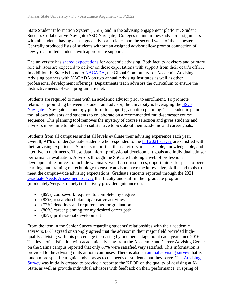State Student Information System (KSIS) and in the advising engagement platform, Student Success Collaborative-Navigate (SSC-Navigate). Colleges maintain these advisor assignments with all students having an assigned advisor no later than the second week of the semester. Centrally produced lists of students without an assigned advisor allow prompt connection of newly readmitted students with appropriate support.

The university has [shared expectations](file:///C:/Users/evidence/viewfile%3ffileId=1326864) for academic advising. Both faculty advisors and primary role advisors are expected to deliver on these expectations with support from their dean's office. In addition, K-State is home to [NACADA,](file:///C:/Users/evidence/viewfile%3ffileId=1326860) the Global Community for Academic Advising. Advising partners with NACADA on two annual Advising Institutes as well as other professional development offerings. Departments teach advisors the curriculum to ensure the distinctive needs of each program are met.

Students are required to meet with an academic advisor prior to enrollment. To promote relationship-building between a student and advisor, the university is leveraging the [SSC-](file:///C:/Users/evidence/viewfile%3ffileId=1326866)[Navigate](file:///C:/Users/evidence/viewfile%3ffileId=1326866) – Navigate technology platform to support graduation planning. The academic planner tool allows advisors and students to collaborate on a recommended multi-semester course sequence. This planning tool removes the mystery of course selection and gives students and advisors more time to interact on substantive topics about their academic and career goals.

Students from all campuses and at all levels evaluate their advising experience each year. Overall, 93% of undergraduate students who responded to the [fall 2021 survey](file:///C:/Users/evidence/viewfile%3ffileId=1357701) are satisfied with their advising experience. Students report that their advisors are accessible, knowledgeable, and attentive to their needs. These data inform professional development goals and individual advisor performance evaluation. Advisors through the SSC are building a web of professional development resources to include webinars, web-based resources, opportunities for peer-to-peer learning, and training on technology to ensure advisors have the knowledge, skills, and tools to meet the campus-wide advising expectations. Graduate students reported through the 2021 [Graduate Needs Assessment Survey](file:///C:/Users/evidence/viewfile%3ffileId=1355150) that faculty and staff in their graduate program (moderately/very/extremely) effectively provided guidance on:

- (89%) coursework required to complete my degree
- (82%) research/scholarship/creative activities
- (72%) deadlines and requirements for graduation
- (80%) career planning for my desired career path
- (83%) professional development

From the item in the Senior Survey regarding students' relationships with their academic advisors, 86% agreed or strongly agreed that the advisor in their major field provided highquality advising with this percentage increasing by one percentage point each year since 2016. The level of satisfaction with academic advising from the Academic and Career Advising Center on the Salina campus reported that only 67% were satisfied/very satisfied. This information is provided to the advising units at both campuses. There is also an [annual advising survey](file:///C:/Users/evidence/viewfile%3ffileId=1342438) that is much more specific to guide advisors as to the needs of students that they serve. The [Advising](file:///C:/Users/evidence/viewfile%3ffileId=1342439)  [Survey](file:///C:/Users/evidence/viewfile%3ffileId=1342439) was initially created to provide a report to the KBOR on the quality of advising at K-State, as well as provide individual advisors with feedback on their performance. In spring of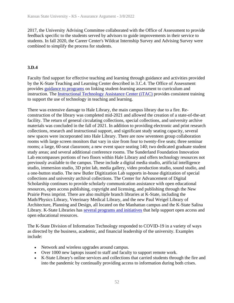2017, the University Advising Committee collaborated with the Office of Assessment to provide feedback specific to the students served by advisors to guide improvements in their service to students. In fall 2020, the Career Center's Wildcat Internship Survey and Advising Survey were combined to simplify the process for students.

### **3.D.4**

Faculty find support for effective teaching and learning through guidance and activities provided by the K-State Teaching and Learning Center described in 3.C.4. The Office of Assessment provides [guidance to programs](file:///C:/Users/evidence/viewfile%3ffileId=1326868) on linking student-learning assessment to curriculum and instruction. The [Instructional Technology Assistance Center \(iTAC\)](file:///C:/Users/evidence/viewfile%3ffileId=1355157) provides consistent training to support the use of technology in teaching and learning.

There was extensive damage to Hale Library, the main campus library due to a fire. Reconstruction of the library was completed mid-2021 and allowed the creation of a state-of-the-art facility. The return of general circulating collections, special collections, and university archive materials was concluded in the fall of 2021. In addition to providing electronic and print research collections, research and instructional support, and significant study seating capacity, several new spaces were incorporated into Hale Library. There are now seventeen group collaboration rooms with large screen monitors that vary in size from four to twenty-five seats; three seminar rooms; a large, 60-seat classroom; a new event space seating 140; two dedicated graduate student study areas; and several additional conference rooms. The Sunderland Foundation Innovation Lab encompasses portions of two floors within Hale Library and offers technology resources not previously available to the campus. These include a digital media studio, artificial intelligence studio, immersion studio, 3D print lab, media gallery, video production studio, sound studio, and a one-button studio. The new Butler Digitization Lab supports in-house digitization of special collections and university archival collections. The Center for Advancement of Digital Scholarship continues to provide scholarly communication assistance with open educational resources, open access publishing, copyright and licensing, and publishing through the New Prairie Press imprint. There are also multiple branch libraries at K-State, including the Math/Physics Library, Veterinary Medical Library, and the new Paul Weigel Library of Architecture, Planning and Design, all located on the Manhattan campus and the K-State Salina Library. K-State Libraries has [several programs and initiatives](file:///C:/Users/evidence/viewfile%3ffileId=1355161) that help support open access and open educational resources.

The K-State Division of Information Technology responded to COVID-19 in a variety of ways as directed by the business, academic, and financial leadership of the university. Examples include:

- Network and wireless upgrades around campus.
- Over 1000 new laptops issued to staff and faculty to support remote work.
- K-State Library's online services and collections that carried students through the fire and into the pandemic by continually providing access to information during both crises.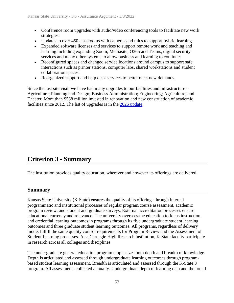- Conference room upgrades with audio/video conferencing tools to facilitate new work strategies.
- Updates to over 450 classrooms with cameras and mics to support hybrid learning.
- Expanded software licenses and services to support remote work and teaching and learning including expanding Zoom, Mediasite, O365 and Teams, digital security services and many other systems to allow business and learning to continue.
- Reconfigured spaces and changed service locations around campus to support safe interactions such as printer stations, computer labs, shared workstations and student collaboration spaces.
- Reorganized support and help desk services to better meet new demands.

Since the last site visit, we have had many upgrades to our facilities and infrastructure – Agriculture; Planning and Design; Business Administration; Engineering; Agriculture; and Theater. More than \$588 million invested in renovation and new construction of academic facilities since 2012. The list of upgrades is in the [2025 update.](file:///C:/Users/evidence/viewfile%3ffileId=1391488)

## **Criterion 3 - Summary**

The institution provides quality education, wherever and however its offerings are delivered.

### **Summary**

Kansas State University (K-State) ensures the quality of its offerings through internal programmatic and institutional processes of regular program/course assessment, academic program review, and student and graduate surveys. External accreditation processes ensure educational currency and relevance. The university oversees the education to focus instruction and credential learning outcomes in programs through its five undergraduate student learning outcomes and three graduate student learning outcomes. All programs, regardless of delivery mode, fulfill the same quality control requirements for Program Review and the Assessment of Student Learning processes. As a Carnegie High Research institution, K-State faculty participate in research across all colleges and disciplines.

The undergraduate general education program emphasizes both depth and breadth of knowledge. Depth is articulated and assessed through undergraduate learning outcomes through programbased student learning assessment. Breadth is articulated and assessed through the K-State 8 program. All assessments collected annually. Undergraduate depth of learning data and the broad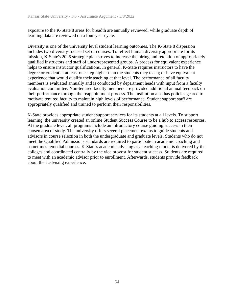exposure to the K-State 8 areas for breadth are annually reviewed, while graduate depth of learning data are reviewed on a four-year cycle.

Diversity is one of the university level student learning outcomes, The K-State 8 dispersion includes two diversity-focused set of courses. To reflect human diversity appropriate for its mission, K-State's 2025 strategic plan strives to increase the hiring and retention of appropriately qualified instructors and staff of underrepresented groups. A process for equivalent experience helps to ensure instructor qualifications. In general, K-State requires instructors to have the degree or credential at least one step higher than the students they teach; or have equivalent experience that would qualify their teaching at that level. The performance of all faculty members is evaluated annually and is conducted by department heads with input from a faculty evaluation committee. Non-tenured faculty members are provided additional annual feedback on their performance through the reappointment process. The institution also has policies geared to motivate tenured faculty to maintain high levels of performance. Student support staff are appropriately qualified and trained to perform their responsibilities.

K-State provides appropriate student support services for its students at all levels. To support learning, the university created an online Student Success Course to be a hub to access resources. At the graduate level, all programs include an introductory course guiding success in their chosen area of study. The university offers several placement exams to guide students and advisors in course selection in both the undergraduate and graduate levels. Students who do not meet the Qualified Admissions standards are required to participate in academic coaching and sometimes remedial courses. K-State's academic advising as a teaching model is delivered by the colleges and coordinated centrally by the vice provost for student success. Students are required to meet with an academic advisor prior to enrollment. Afterwards, students provide feedback about their advising experience.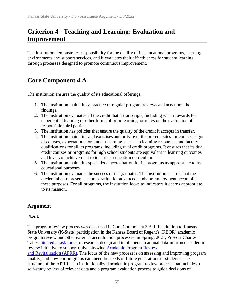# **Criterion 4 - Teaching and Learning: Evaluation and Improvement**

The institution demonstrates responsibility for the quality of its educational programs, learning environments and support services, and it evaluates their effectiveness for student learning through processes designed to promote continuous improvement.

# **Core Component 4.A**

The institution ensures the quality of its educational offerings.

- 1. The institution maintains a practice of regular program reviews and acts upon the findings.
- 2. The institution evaluates all the credit that it transcripts, including what it awards for experiential learning or other forms of prior learning, or relies on the evaluation of responsible third parties.
- 3. The institution has policies that ensure the quality of the credit it accepts in transfer.
- 4. The institution maintains and exercises authority over the prerequisites for courses, rigor of courses, expectations for student learning, access to learning resources, and faculty qualifications for all its programs, including dual credit programs. It ensures that its dual credit courses or programs for high school students are equivalent in learning outcomes and levels of achievement to its higher education curriculum.
- 5. The institution maintains specialized accreditation for its programs as appropriate to its educational purposes.
- 6. The institution evaluates the success of its graduates. The institution ensures that the credentials it represents as preparation for advanced study or employment accomplish these purposes. For all programs, the institution looks to indicators it deems appropriate to its mission.

## **Argument**

### **4.A.1**

The program review process was discussed in Core Component 3.A.1. In addition to Kansas State University (K-State) participation in the Kansas Board of Regent's (KBOR) academic program review and other external accreditation processes, in Spring, 2021, Provost Charles Taber [initiated a](file:///C:/Users/evidence/viewfile%3ffileId=1330355) task force to research, design and implement an annual data-informed academic review initiative to support universitywide [Academic](file:///C:/Users/evidence/viewfile%3ffileId=1357309) Program Review and [Revitalization](file:///C:/Users/evidence/viewfile%3ffileId=1357309) (APRR). The focus of the new process is on assessing and improving program quality, and how our programs can meet the needs of future generations of students. The structure of the APRR is an institutionalized academic program review process that includes a self-study review of relevant data and a program evaluation process to guide decisions of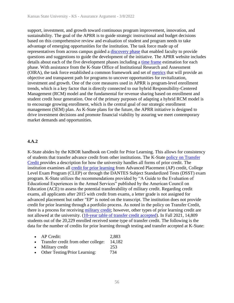support, investment, and growth toward continuous program improvement, innovation, and sustainability. The goal of the APRR is to guide strategic instructional and budget decisions based on this comprehensive review and evaluation of student and program needs to take advantage of emerging opportunities for the institution. The task force made up of representatives from across campus guided a [discovery phase](file:///C:/Users/evidence/viewfile%3ffileId=1330356) that enabled faculty to provide questions and suggestions to guide the development of the initiative. The APRR website includes details about each of the five development phases including a [time frame](file:///C:/Users/evidence/viewfile%3ffileId=1330354) estimation for each phase. With assistance from the K-State Office of Institutional Research and Assessment (OIRA), the task force established a common framework and set of [metrics](file:///C:/Users/evidence/viewfile%3ffileid=1330362) that will provide an objective and transparent path for programs to uncover opportunities for revitalization, investment and growth. One of the core measures used in APRR is program-level enrollment trends, which is a key factor that is directly connected to our hybrid Responsibility-Centered Management (RCM) model and the fundamental for revenue sharing based on enrollment and student credit hour generation. One of the primary purposes of adapting a hybrid RCM model is to encourage growing enrollment, which is the central goal of our strategic enrollment management (SEM) plan. As K-State plans for the future, the APRR initiative is designed to drive investment decisions and promote financial viability by assuring we meet contemporary market demands and opportunities.

#### **4.A.2**

K-State abides by the KBOR handbook on Credit for Prior Learning. This allows for consistency of students that transfer advance credit from other institutions. The K-State [policy on Transfer](file:///C:/Users/evidence/viewfile%3ffileId=1330364)  [Credit p](file:///C:/Users/evidence/viewfile%3ffileId=1330364)rovides a description for how the university handles all forms of prior credit. The institution examines all [credit for prior learning](file:///C:/Users/evidence/viewfile%3ffileId=1330360) from Advanced Placement (AP) credit, College Level Exam Program (CLEP) or through the DANTES Subject Standardized Tests (DSST) exam program. K-State utilizes the recommendations provided by "A Guide to the Evaluation of Educational Experiences in the Armed Services" published by the American Council on Education (ACE) to assess the potential transferability of military credit. Regarding credit exams, all applicants after 2015 with credit from exams, a letter grade is not assigned for advanced placement but rather "EP" is noted on the transcript. The institution does not provide credit for prior learning through a portfolio process. As noted in the policy on Transfer Credit, there is a process for receiving [military](file:///C:/Users/evidence/viewfile%3ffileId=1342446) credit; however, other types of prior learning credit are not allowed at the university. [\(10-year table of transfer credit accepted\)](file:///C:/Users/evidence/viewfile%3ffileId=1357333). In Fall 2021, 14,809 students out of the 20,229 enrolled received some type of transfer credit. The following is the data for the number of credits for prior learning through testing and transfer accepted at K-State:

- AP Credit: 2,883
- Transfer credit from other college: 14,182
- Military credit 253
- Other Testing/Prior Learning: 734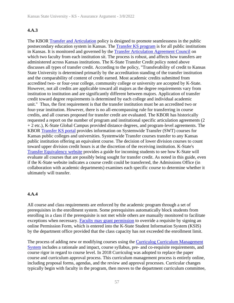### **4.A.3**

The KBOR [Transfer and Articulation](file:///C:/Users/evidence/viewfile%3ffileId=1336531) policy is designed to promote seamlessness in the public postsecondary education system in Kansas. The [Transfer KS program](file:///C:/Users/evidence/viewfile%3ffileid=1357085) is for all public institutions in Kansas. It is monitored and governed by the [Transfer Articulation Agreement Council](file:///C:/Users/evidence/viewfile%3ffileId=1336532) on which two faculty from each institution sit. The process is robust, and affects how transfers are administered across Kansas institutions. The K-State Transfer Credit policy noted above discusses all types of transfer credit. According to the policy, "Transferability of credit to Kansas State University is determined primarily by the accreditation standing of the transfer institution and the comparability of content of credit earned. Most academic credits submitted from accredited two- or four-year college, community college or university are accepted by K-State. However, not all credits are applicable toward all majors as the degree requirements vary from institution to institution and are significantly different between majors. Application of transfer credit toward degree requirements is determined by each college and individual academic unit." Thus, the first requirement is that the transfer institution must be an accredited two or four-year institution. However, there is no all-encompassing rule for transferring in course credits, and all courses proposed for transfer credit are evaluated. The KBOR has historically requested a report on the number of program and institutional specific articulation agreements (2 + 2 etc.), K-State Global Campus provided distance degrees, and program-level agreements. The KBOR [Transfer KS portal](file:///C:/Users/evidence/viewfile%3ffileId=1357085) provides information on Systemwide Transfer (SWT) courses for Kansas public colleges and universities. Systemwide Transfer courses transfer to any Kansas public institution offering an equivalent course. The decision of lower division courses to count toward upper division credit hours is at the discretion of the receiving institution. K-State's [Transfer Equivalency website](file:///C:/Users/evidence/viewfile%3ffileId=1330357) provides a guide for incoming students to see how K-State will evaluate all courses that are possibly being sought for transfer credit. As noted in this guide, even if the K-State website indicates a course credit could be transferred, the Admissions Office (in collaboration with academic departments) examines each specific course to determine whether it ultimately will transfer.

#### **4.A.4**

All course and class requirements are enforced by the academic program through a set of prerequisites in the enrollment system. Some prerequisites automatically block students from enrolling in a class if the prerequisite is not met while others are manually monitored to facilitate exceptions when necessary. [Faculty may grant permission](file:///C:/Users/evidence/viewfile%3ffileId=1330359) to override a requisite by signing an online Permission Form, which is entered into the K-State Student Information System (KSIS) by the department office provided that the class capacity has not exceeded the enrollment limit.

The process of adding new or modifying courses using the [Curriculog Curriculum Management](file:///C:/Users/evidence/viewfile%3ffileId=1335597)  [System](file:///C:/Users/evidence/viewfile%3ffileId=1335597) includes a rationale and impact, course syllabus, pre- and co-requisite requirements, and course rigor in regard to course level. In 2018 Curriculog was adopted to replace the paper course and curriculum approval process. This curriculum management process is entirely online, including proposal forms, agendas, and the review and approval processes. Curricular changes typically begin with faculty in the program, then moves to the department curriculum committee,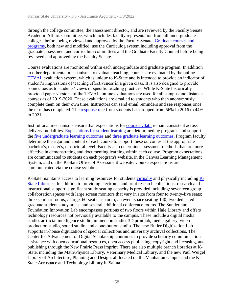through the college committee, the assessment director, and are reviewed by the Faculty Senate Academic Affairs Committee, which includes faculty representation from all undergraduate colleges, before being reviewed and approved by the Faculty Senate. [Graduate courses and](file:///C:/Users/evidence/viewfile%3ffileId=1335596)  [programs,](file:///C:/Users/evidence/viewfile%3ffileId=1335596) both new and modified, use the Curriculog system including approval from the graduate assessment and curriculum committees and the Graduate Faculty Council before being reviewed and approved by the Faculty Senate.

Course evaluations are monitored within each undergraduate and graduate program. In addition to other departmental mechanisms to evaluate teaching, courses are evaluated by the online [TEVAL e](file:///C:/Users/evidence/viewfile%3ffileId=1335595)valuation system, which is unique to K-State and is intended to provide an indicator of student's impressions of teaching effectiveness in a given class. It is also designed to provide some clues as to students' views of specific teaching practices. While K-State historically provided paper versions of the TEVAL, online evaluations are used for all campus and distance courses as of 2019-2020. These evaluations are emailed to students who then anonymously complete them on their own time. Instructors can send email reminders and see responses once the term has completed. The [response rate](file:///C:/Users/evidence/viewfile%3ffileId=1360341) from students has dropped from 56% in 2016 to 44% in 2021.

Institutional mechanisms ensure that expectations for [course syllabi](file:///C:/Users/evidence/viewfile%3ffileId=1335600) remain consistent across delivery modalities. [Expectations for student learning](file:///C:/Users/evidence/viewfile%3ffileId=1326889) are determined by programs and support the [five undergraduate learning outcomes](file:///C:/Users/evidence/viewfile%3ffileId=1326887) and [three graduate learning outcomes.](file:///C:/Users/evidence/viewfile%3ffileId=1326888) Program faculty determine the rigor and content of each course to support these outcomes at the appropriate bachelor's, master's, or doctoral level. Faculty also determine assessment methods that are more effective in demonstrating and documenting learning within each course. Program expectations are communicated to students on each program's website, in the Canvas Learning Management System, and on the K-State Office of Assessment website. Course expectations are communicated via the course syllabus.

K-State maintains access to learning resources for students [virtually](file:///C:/Users/evidence/viewfile%3ffileId=1335594) and physically including [K-](file:///C:/Users/evidence/viewfile%3ffileId=1335598)[State Libraries.](file:///C:/Users/evidence/viewfile%3ffileId=1335598) In addition to providing electronic and print research collections; research and instructional support; significant study seating capacity is provided including: seventeen group collaboration spaces with large screen monitors that vary in size from four to twenty-five seats; three seminar rooms; a large, 60-seat classroom; an event space seating 140; two dedicated graduate student study areas; and several additional conference rooms. The Sunderland Foundation Innovation Lab encompasses portions of two floors within Hale Library and offers technology resources not previously available to the campus. These include a digital media studio, artificial intelligence studio, immersion studio, 3D print lab, media gallery, video production studio, sound studio, and a one-button studio. The new Butler Digitization Lab supports in-house digitization of special collections and university archival collections. The Center for Advancement of Digital Scholarship continues to provide scholarly communication assistance with open educational resources, open access publishing, copyright and licensing, and publishing through the New Prairie Press imprint. There are also multiple branch libraries at K-State, including the Math/Physics Library, Veterinary Medical Library, and the new Paul Weigel Library of Architecture, Planning and Design, all located on the Manhattan campus and the K-State Aerospace and Technology Library in Salina.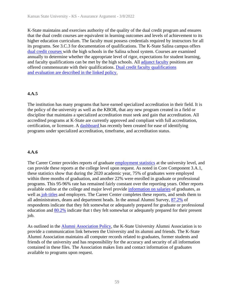K-State maintains and exercises authority of the quality of the dual credit program and ensures that the dual credit courses are equivalent in learning outcomes and levels of achievement to its higher education curriculum. The faculty must possess credentials required by instructors for all its programs. See 3.C.3 for documentation of qualifications. The K-State Salina campus offers [dual credit](file:///C:/Users/evidence/viewfile%3ffileId=1330365) courses with the high schools in the Salina school system. Courses are examined annually to determine whether the appropriate level of rigor, expectations for student learning, and faculty qualifications can be met by the high schools. All [adjunct faculty](file:///C:/Users/evidence/viewfile%3ffileId=1330361) positions are offered commensurate with their qualifications. [Dual credit faculty](file:///C:/Users/evidence/viewfile%3ffileId=1335599) qualifications and evaluation [are described in the linked policy.](file:///C:/Users/evidence/viewfile%3ffileId=1335599)

### **4.A.5**

The institution has many programs that have earned specialized accreditation in their field. It is the policy of the university as well as the KBOR, that any new program created in a field or discipline that maintains a specialized accreditation must seek and gain that accreditation. All accredited programs at K-State are currently approved and compliant with full accreditation, certification, or licensure. A [dashboard](file:///C:/Users/evidence/viewfile%3ffileId=1341815) has recently been created for ease of identifying programs under specialized accreditation, timeframe, and accreditation status.

### **4.A.6**

The Career Center provides reports of graduate [employment statistics](file:///C:/Users/evidence/viewfile%3ffileid=1365619) at the university level, and can provide these reports at the college level upon request. As noted in Core Component 3.A.1, these statistics show that during the 2020 academic year, 75% of graduates were employed within three months of graduation, and another 22% were enrolled in graduate or professional programs. This 95-96% rate has remained fairly constant over the reporting years. Other reports available online at the college and major level provide [information on salaries](file:///C:/Users/evidence/viewfile%3ffileId=1330367) of graduates, as well as [job titles](file:///C:/Users/evidence/viewfile%3ffileId=1330366) and employers. The Career Center completes these reports, and sends them to all administrators, deans and department heads. In the annual Alumni Survey, [87.2%](file:///C:/Users/evidence/viewfile%3ffileId=1330369) of respondents indicate that they felt somewhat or adequately prepared for graduate or professional education and [80.2%](file:///C:/Users/evidence/viewfile%3ffileId=1330370) indicate that t they felt somewhat or adequately prepared for their present job.

As outlined in the **Alumni Association Policy**, the K-State University Alumni Association is to provide a communication link between the University and its alumni and friends. The K-State Alumni Association maintains all computer records related to graduates, former students and friends of the university and has responsibility for the accuracy and security of all information contained in these files. The Association makes lists and contact information of graduates available to programs upon request.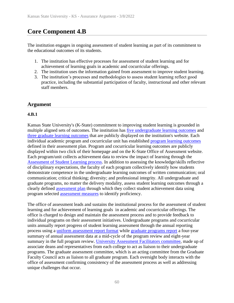# **Core Component 4.B**

The institution engages in ongoing assessment of student learning as part of its commitment to the educational outcomes of its students.

- 1. The institution has effective processes for assessment of student learning and for achievement of learning goals in academic and cocurricular offerings.
- 2. The institution uses the information gained from assessment to improve student learning.
- 3. The institution's processes and methodologies to assess student learning reflect good practice, including the substantial participation of faculty, instructional and other relevant staff members.

## **Argument**

## **4.B.1**

Kansas State University's (K-State) commitment to improving student learning is grounded in multiple aligned sets of outcomes. The institution has [five undergraduate learning outcomes](file:///C:/Users/evidence/viewfile%3ffileId=1326887) and [three graduate learning outcomes](file:///C:/Users/evidence/viewfile%3ffileId=1326888) that are publicly displayed on the institution's website. Each individual academic program and cocurricular unit has established [program learning outcomes](file:///C:/Users/evidence/viewfile%3ffileId=1326889) defined in their assessment plan. Program and cocurricular learning outcomes are publicly displayed within two click of their homepage and on the K-State Office of Assessment website. Each program/unit collects achievement data to review the impact of learning through the [Assessment of Student Learning process.](file:///C:/Users/evidence/viewfile%3ffileid=1330381) In addition to assessing the knowledge/skills reflective of disciplinary expectations, the faculty of each program collectively identify how students demonstrate competence in the undergraduate learning outcomes of written communication; oral communication; critical thinking; diversity; and professional integrity. All undergraduate and graduate programs, no matter the delivery modality, assess student learning outcomes through a clearly defined [assessment plan](file:///C:/Users/evidence/viewfile%3ffileId=1330374) through which they collect student achievement data using program selected [assessment measures](file:///C:/Users/evidence/viewfile%3ffileId=1335601) to identify proficiency.

The office of assessment leads and sustains the institutional process for the assessment of student learning and for achievement of learning goals in academic and cocurricular offerings. The office is charged to design and maintain the assessment process and to provide feedback to individual programs on their assessment initiatives. Undergraduate programs and cocurricular units annually report progress of student learning assessment through the annual reporting process using a uniform [assessment report format](file:///C:/Users/evidence/viewfile%3ffileId=1330375) while [graduate programs report](file:///C:/Users/evidence/viewfile%3ffileId=1330389) a four-year summary of annual assessment data at a mid-cycle of the program review and eight-year summary in the full program review. [University Assessment Facilitators](file:///C:/Users/evidence/viewfile%3ffileId=1330383) committee, made up of associate deans and representatives from each college to act as liaison to their undergraduate programs. The graduate assessment committee, which is an acting committee from the Graduate Faculty Council acts as liaison to all graduate program. Each oversight body interacts with the office of assessment confirming consistency of the assessment process as well as addressing unique challenges that occur.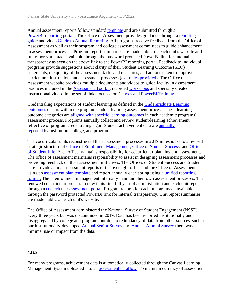Annual assessment reports follow standard [template](file:///C:/Users/evidence/viewfile%3ffileId=1330381) and are submitted through a PowerBI [reporting portal](file:///C:/Users/evidence/viewfile%3ffileid=1330377) . The Office of Assessment provides guidance through a [reporting](file:///C:/Users/evidence/viewfile%3ffileid=1330385)  [guide](file:///C:/Users/evidence/viewfile%3ffileid=1330385) and video Guide [to Annual Reporting.](file:///C:/Users/evidence/viewfile%3ffileid=1330379) All programs receive feedback from the Office of Assessment as well as their program and college assessment committees to guide enhancement in assessment processes. Program report summaries are made public on each unit's website and full reports are made available through the password protected PowerBI link for internal transparency as seen on the above link to the PowerBI reporting portal. Feedback to individual programs provide suggestions about clarity of their Student Learning Outcome (SLO) statements, the quality of the assessment tasks and measures, and actions taken to improve curriculum, instruction, and assessment processes [\(examples provided\)](file:///C:/Users/evidence/viewfile%3ffileId=1335608). The Office of Assessment website provides multiple documents and videos to guide faculty in assessment practices included in the [Assessment](file:///C:/Users/evidence/viewfile%3ffileId=1330378) Toolkit, recorded [workshops](file:///C:/Users/evidence/viewfile%3ffileId=1330387) and specially created instructional videos in the set of links focused on [Canvas and PowerBI Training.](file:///C:/Users/evidence/viewfile%3ffileId=1330382)

Credentialing expectations of student learning as defined in the [Undergraduate Learning](file:///C:/Users/evidence/viewfile%3ffileid=1326887)  [Outcomes](file:///C:/Users/evidence/viewfile%3ffileid=1326887) occurs within the program student learning assessment process. These learning outcome categories are [aligned with specific learning outcomes](file:///C:/Users/evidence/viewfile%3ffileId=1326802) in each academic programs' assessment process. Programs annually collect and review student-learning achievement reflective of program credentialing rigor. Student achievement data are [annually](file:///C:/Users/evidence/viewfile%3ffileId=1326801)  [reported](file:///C:/Users/evidence/viewfile%3ffileId=1326801) by institution, college, and program.

The cocurricular units reconstructed their assessment processes in 2019 in response to a revised strategic structure of Office of [Enrollment Management,](file:///C:/Users/evidence/viewfile%3ffileId=1335605) [Office of Student Success,](file:///C:/Users/evidence/viewfile%3ffileId=1335606) and [Office](file:///C:/Users/evidence/viewfile%3ffileId=1335607)  [of Student Life.](file:///C:/Users/evidence/viewfile%3ffileId=1335607) Each office maintains responsibility for cocurricular planning and assessment. The office of assessment maintains responsibility to assist in designing assessment processes and providing feedback on their assessment initiatives. The Offices of Student Success and Student Life provide annual assessment reports to the oversight office and the Office of Assessment using an [assessment plan template](file:///C:/Users/evidence/viewfile%3ffileId=1330415) and report annually each spring using a [unified reporting](file:///C:/Users/evidence/viewfile%3ffileId=1330414)  [format.](file:///C:/Users/evidence/viewfile%3ffileId=1330414) The in enrollment management internally maintain their own assessment processes. The renewed cocurricular process in now in its first full year of administration and each unit reports through a [cocurricular assessment portal.](file:///C:/Users/evidence/viewfile%3ffileId=1330405) Program reports for each unit are made available through the password protected PowerBI link for internal transparency. Unit report summaries are made public on each unit's website.

The Office of Assessment administered the National Survey of Student Engagement (NSSE) every three years but was discontinued in 2019. Data has been reported institutionally and disaggregated by college and program, but due to redundancy of data from other sources, such as our institutionally-developed Annual [Senior Survey](file:///C:/Users/evidence/viewfile%3ffileid=1330380) and [Annual Alumni Survey](file:///C:/Users/evidence/viewfile%3ffileid=1330388) there was minimal use or impact from the data.

### **4.B.2**

For many programs, achievement data is automatically collected through the Canvas Learning Management System uploaded into an [assessment dataflow.](file:///C:/Users/evidence/viewfile%3ffileid=1330376) To maintain currency of assessment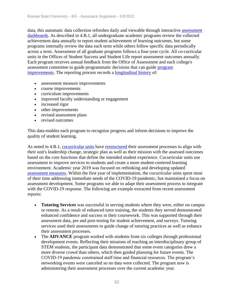data, this automatic data collection refreshes daily and viewable through interactive assessment [dashboards.](file:///C:/Users/evidence/viewfile%3ffileid=1330384) As described in 4.B.1, all undergraduate academic programs review the collected achievement data annually to report student achievement of learning outcomes, but some programs internally review the data each term while others follow specific data periodically across a term. Assessment of all graduate programs follows a four-year cycle. All co-curricular units in the Offices of Student Success and Student Life report assessment outcomes annually. Each program receives annual feedback from the Office of Assessment and each college's assessment committee to guide programmatic decisions that can guide [program](file:///C:/Users/evidence/viewfile%3ffileId=1335610)  [improvements.](file:///C:/Users/evidence/viewfile%3ffileId=1335610) The reporting process records a [longitudinal history](file:///C:/Users/evidence/viewfile%3ffileId=1335611) of:

- assessment measure improvements
- course improvements
- curriculum improvements
- improved faculty understanding or engagement
- increased rigor
- other improvements
- revised assessment plans
- revised outcomes

This data enables each program to recognize progress and inform decisions to improve the quality of student learning.

As noted in 4.B.1, [cocurricular units](file:///C:/Users/evidence/viewfile%3ffileId=1342464) have [restructured](file:///C:/Users/evidence/viewfile%3ffileid=1330414) their assessment processes to align with their unit's leadership change, strategic plan as well as their mission with the assessed outcomes based on the core functions that define the intended student experience. Cocurricular units use assessment to improve services to students and create a more student-centered learning environment. Academic year 2019 was focused on rethinking and developing updated [assessment measures.](file:///C:/Users/evidence/viewfile%3ffileId=1342465) Within the first year of implementation, the cocurricular units spent most of their time addressing immediate needs of the COVID-19 pandemic, but maintained a focus on assessment development. Some programs we able to adapt their assessment process to integrate with the COVID-19 response. The following are example extracted from recent assessment reports:

- **Tutoring Services** was successful in serving students where they were, either on campus or remote. As a result of enhanced tutor training, the students they served demonstrated enhanced confidence and success in their coursework. This was supported through their assessment data, pre and post-testing for student achievement, and surveys. Tutoring services used their assessments to guide change of tutoring practices as well as enhance their assessment processes.
- The **ADVANCE** program worked with students from six colleges through professional development events. Reflecting their missions of reaching an interdisciplinary group of STEM students, the participant data demonstrated that some event categories drew a more diverse crowd than others, which then guided planning for future events. The COVID-19 pandemic constrained staff time and financial resources. The program's networking events were canceled so no data were collected. The program now is administering their assessment processes over the current academic year.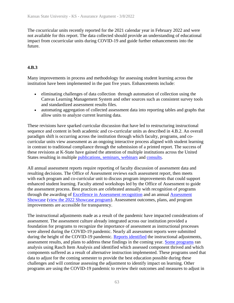The cocurricular units recently reported for the 2021 calendar year in February 2022 and were not available for this report. The data collected should provide an understanding of educational impact from cocurricular units during COVID-19 and guide further enhancements into the future.

### **4.B.3**

Many improvements in process and methodology for assessing student learning across the institution have been implemented in the past five years. Enhancements include:

- eliminating challenges of data collection through automation of collection using the Canvas Learning Management System and other sources such as consistent survey tools and standardized assessment results files.
- automating aggregation of collected assessment data into reporting tables and graphs that allow units to analyze current learning data.

These revisions have sparked curricular discussion that have led to restructuring instructional sequence and content in both academic and co-curricular units as described in 4.B.2. An overall paradigm shift is occurring across the institution through which faculty, programs, and cocurricular units view assessment as an ongoing interactive process aligned with student learning in contrast to traditional compliance through the submission of a printed report. The success of these revisions at K-State have gained the attention of multiple institutions across the United States resulting in multiple [publications, seminars, webinars](file:///C:/Users/evidence/viewfile%3ffileId=1336330) and [consults.](file:///C:/Users/evidence/viewfile%3ffileId=1336329)

All annual assessment reports require reporting of faculty discussion of assessment data and resulting decisions. The Office of Assessment reviews each assessment report, then meets with each program and co-curricular unit to discuss program improvements that could support enhanced student learning. Faculty attend workshops led by the Office of Assessment to guide the assessment process. Best practices are celebrated annually with recognition of programs through the awarding of [Excellence in Assessment recognition](file:///C:/Users/evidence/viewfile%3ffileId=1342488) and an annual [Assessment](file:///C:/Users/evidence/viewfile%3ffileId=1342489)  [Showcase](file:///C:/Users/evidence/viewfile%3ffileId=1342489) [\(view the 2022 Showcase](file:///C:/Users/evidence/viewfile%3ffileId=1359919) program). Assessment outcomes, plans, and program improvements are accessible for transparency.

The instructional adjustments made as a result of the pandemic have impacted considerations of assessment. The assessment culture already integrated across our institution provided a foundation for programs to recognize the importance of assessment as instructional processes were altered during the COVID-19 pandemic. Nearly all assessment reports were submitted during the height of the COVID-19 pandemic. [Reports identified](file:///C:/Users/evidence/viewfile%3ffileId=1342491) the instructional adjustments, assessment results, and plans to address these findings in the coming year. [Some programs](file:///C:/Users/evidence/viewfile%3ffileId=1342492) ran analysis using Rasch Item Analysis and identified which assessed component thrived and which components suffered as a result of alternative instruction implemented. These programs used that data to adjust for the coming semester to provide the best education possible during these challenges and will continue assessing the adjustment to identify impact on learning. Other programs are using the COVID-19 pandemic to review their outcomes and measures to adjust in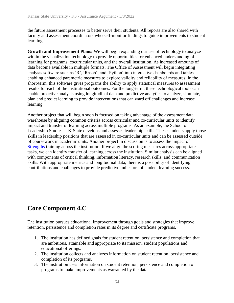the future assessment processes to better serve their students. All reports are also shared with faculty and assessment coordinators who self-monitor findings to guide improvements to student learning.

**Growth and Improvement Plans:** We will begin expanding our use of technology to analyze within the visualization technology to provide opportunities for enhanced understanding of learning for programs, cocurricular units, and the overall institution. As increased amounts of data become available in multiple formats. The Office of Assessment will begin integrating analysis software such as 'R', 'Rasch', and 'Python' into interactive dashboards and tables enabling enhanced parametric measures to explore validity and reliability of measures. In the short-term, this software gives programs the ability to apply statistical measures to assessment results for each of the institutional outcomes. For the long-term, these technological tools can enable proactive analysis using longitudinal data and predictive analytics to analyze, simulate, plan and predict learning to provide interventions that can ward off challenges and increase learning.

Another project that will begin soon is focused on taking advantage of the assessment data warehouse by aligning common criteria across curricular and co-curricular units to identify impact and transfer of learning across multiple programs. As an example, the School of Leadership Studies at K-State develops and assesses leadership skills. These students apply those skills in leadership positions that are assessed in co-curricular units and can be assessed outside of coursework in academic units. Another project in discussion is to assess the impact of [Strengths](file:///C:/Users/evidence/viewfile%3ffileId=1342493) training across the institution. If we align the scoring measures across appropriate tasks, we can identify transfer of learning across the institution. Similar analysis can be aligned with components of critical thinking, information literacy, research skills, and communication skills. With appropriate metrics and longitudinal data, there is a possibility of identifying contributions and challenges to provide predictive indicators of student learning success.

## **Core Component 4.C**

The institution pursues educational improvement through goals and strategies that improve retention, persistence and completion rates in its degree and certificate programs.

- 1. The institution has defined goals for student retention, persistence and completion that are ambitious, attainable and appropriate to its mission, student populations and educational offerings.
- 2. The institution collects and analyzes information on student retention, persistence and completion of its programs.
- 3. The institution uses information on student retention, persistence and completion of programs to make improvements as warranted by the data.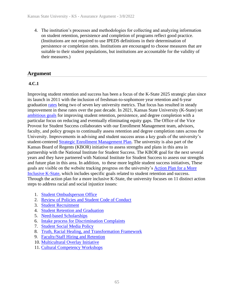4. The institution's processes and methodologies for collecting and analyzing information on student retention, persistence and completion of programs reflect good practice. (Institutions are not required to use IPEDS definitions in their determination of persistence or completion rates. Institutions are encouraged to choose measures that are suitable to their student populations, but institutions are accountable for the validity of their measures.)

## **Argument**

### **4.C.1**

Improving student retention and success has been a focus of the K-State 2025 strategic plan since its launch in 2011 with the inclusion of freshman-to-sophomore year retention and 6-year graduation [rates](file:///C:/Users/evidence/viewfile%3ffileId=1391573) being two of seven key university metrics. That focus has resulted in steady improvement in these rates over the past decade. In 2021, Kansas State University (K-State) set [ambitious goals](file:///C:/Users/evidence/viewfile%3ffileid=1330396) for improving student retention, persistence, and degree completion with a particular focus on reducing and eventually eliminating equity gaps. The Office of the Vice Provost for Student Success collaborates with our Enrollment Management team, advisors, faculty, and policy groups to continually assess retention and degree completion rates across the University. Improvements in advising and student success areas a key goals of the university's student-centered [Strategic Enrollment Management Plan.](file:///C:/Users/evidence/viewfile%3ffileid=1336759) The university is also part of the Kansas Board of Regents (KBOR) initiative to assess strengths and plans in this area in partnership with the National Institute for Student Success. The KBOR goal for the next several years and they have partnered with National Institute for Student Success to assess our strengths and future plan in this area. In addition, to these more legible student success initiatives, These goals are visible on the website tracking progress on the university's [Action Plan for a More](file:///C:/Users/evidence/viewfile%3ffileId=1330391)  [Inclusive K-State,](file:///C:/Users/evidence/viewfile%3ffileId=1330391) which includes specific goals related to student retention and success. Through the action plan for a more inclusive K-State, the university focuses on 11 distinct action steps to address racial and social injustice issues:

- 1. [Student Ombudsperson Office](file:///C:/Users/evidence/viewfile%3ffileid=1336706)
- 2. [Review of Policies and Student Code of Conduct](file:///C:/Users/evidence/viewfile%3ffileid=1336708)
- 3. [Student Recruitment](file:///C:/Users/evidence/viewfile%3ffileid=1336709)
- 4. [Student Retention and Graduation](file:///C:/Users/evidence/viewfile%3ffileid=1336707)
- 5. [Need-based Scholarships](file:///C:/Users/evidence/viewfile%3ffileid=1336705)
- 6. [Intake process for Discrimination Complaints](file:///C:/Users/evidence/viewfile%3ffileid=1336710)
- 7. [Student Social Media Policy](file:///C:/Users/evidence/viewfile%3ffileid=1336704)
- 8. [Truth, Racial Healing, and Transformation Framework](file:///C:/Users/evidence/viewfile%3ffileId=1336631)
- 9. [Faculty/Staff Hiring and Retention](file:///C:/Users/evidence/viewfile%3ffileId=1336720)
- 10. [Multicultural Overlay Initiative](file:///C:/Users/evidence/viewfile%3ffileId=1336721)
- 11. [Cultural Competency Workshops](file:///C:/Users/evidence/viewfile%3ffileId=1336719)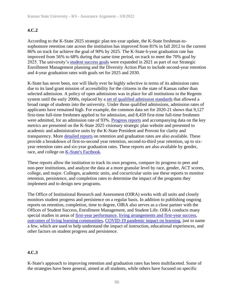## **4.C.2**

According to the K-State 2025 strategic plan ten-year update, the K-State freshman-tosophomore retention rate across the institution has improved from 81% in fall 2012 to the current 86% on track for achieve the goal of 90% by 2025. The K-State 6-year graduation rate has improved from 56% to 68% during that same time period, on track to meet the 70% goal by 2025. The university's [student success goals](file:///C:/Users/evidence/viewfile%3ffileId=1391583) were expanded in 2021 as part of our Strategic Enrollment Management planning and the Diversity Action Plan to include second-year retention and 4-year graduation rates with goals set for 2025 and 2030.

K-State has never been, nor will likely ever be highly selective in terms of its admission rates due to its land grant mission of accessibility for the citizens in the state of Kansas rather than selected admission. A policy of open admissions was in place for all institutions in the Regents system until the early 2000s, replaced by a [set of qualified admission standards](file:///C:/Users/evidence/viewfile%3ffileId=1330408) that allowed a broad range of students into the university. Under those qualified admissions, admission rates of applicants have remained high. For example, the common data set for 2020-21 shows that 9,127 first-time full-time freshmen applied to for admission, and 8,459 first-time full-time freshmen were admitted, for an admission rate of 93%. [Progress reports](file:///C:/Users/evidence/viewfile%3ffileId=1336759) and accompanying data on the key metrics are presented on the K-State 2025 visionary strategic plan website and presented to academic and administrative units by the K-State President and Provost for clarity and transparency. More [detailed reports](file:///C:/Users/evidence/viewfile%3ffileid=1330390) on retention and graduation rates are also available. These provide a breakdown of first-to-second year retention, second-to-third year retention, up to sixyear retention rates and six-year graduation rates. These reports are also available by gender, race, and college on [K-State's Factbook.](file:///C:/Users/evidence/viewfile%3ffileId=1329883)

These reports allow the institution to track its own progress, compare its progress to peer and non-peer institutions, and analyze the data at a more granular level by race, gender, ACT scores, college, and major. Colleges, academic units, and cocurricular units use these reports to monitor retention, persistence, and completion rates to determine the impact of the programs they implement and to design new programs.

The Office of Institutional Research and Assessment (OIRA) works with all units and closely monitors student progress and persistence on a regular basis. In addition to publishing ongoing reports on retention, completion, time to degree, OIRA also serves as a close partner with the Offices of Student Success, Enrollment Management, and Student Life. OIRA conducts many special studies in areas of [first-year performance,](file:///C:/Users/evidence/viewfile%3ffileid=1342478) [living arrangements and first-year success,](file:///C:/Users/evidence/viewfile%3ffileId=1342476) [outcomes of living learning communities,](file:///C:/Users/evidence/viewfile%3ffileId=1342477) [COVID-19 pandemic impact on learning,](file:///C:/Users/evidence/viewfile%3ffileId=1342479) just to name a few, which are used to help understand the impact of instruction, educational experiences, and other factors on student progress and persistence.

### **4.C.3**

K-State's approach to improving retention and graduation rates has been multifaceted. Some of the strategies have been general, aimed at all students, while others have focused on specific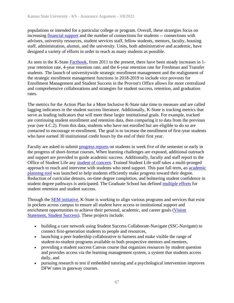populations or intended for a particular college or program. Overall, these strategies focus on increasing [financial support](file:///C:/Users/evidence/viewfile%3ffileId=1342536) and the number of connections for students -- connections with advisers, university resources, student services staff, fellow students, mentors, faculty, housing staff, administration, alumni, and the university. Units, both administrative and academic, have designed a variety of efforts in order to reach as many students as possible.

As seen in the K-State [Factbook,](file:///C:/Users/evidence/viewfile%3ffileId=1336714) from 2011 to the present, there have been steady increases in 1year retention rate, 4-year retention rate, and the 6-year retention rate for Freshman and Transfer students. The launch of universitywide strategic enrollment management and the realignment of the strategic enrollment management functions in 2018-2019 to include vice provosts for Enrollment Management and Student Success in the Provost's Office allows for more centralized and comprehensive collaborations and strategies for student success, retention, and graduation rates.

The metrics for the Action Plan for a More Inclusive K-State take time to measure and are called lagging indicators in the student success literature. Additionally, K-State is tracking metrics that serve as leading indicators that will meet these larger institutional goals. For example, tracked are continuing student enrollment and retention data, then comparing it to data from the previous year (see 4.C.2). From this data, students who have not enrolled but are eligible to do so are contacted to encourage re-enrollment. The goal is to increase the enrollment of first-year students who have earned 30 institutional credit hours by the end of their first year.

Faculty are asked to submit [progress reports](file:///C:/Users/evidence/viewfile%3ffileid=1330393) on students in week five of the semester or early in the progress of short-format courses. When learning challenges are exposed, additional outreach and support are provided to guide academic success. Additionally, faculty and staff report to the Office of Student Life any [student of concern.](file:///C:/Users/evidence/viewfile%3ffileid=1330401) Trained Student Life staff takes a multi-pronged approach to reach and intervene with students who need support. This past fall term, an [academic](file:///C:/Users/evidence/viewfile%3ffileid=1330402)  [planning tool](file:///C:/Users/evidence/viewfile%3ffileid=1330402) was launched to help students efficiently make progress toward their degree. Reduction of curricular detours, on-time degree completion, and bolstering student confidence in student degree pathways is anticipated. The Graduate School has defined [multiple efforts](file:///C:/Users/evidence/viewfile%3ffileId=1357707) for student retention and student success.

Through the [SEM initiative,](file:///C:/Users/evidence/viewfile%3ffileid=1330397) K-State is working to align various programs and services that exist in pockets across campus to ensure all student have access to institutional support and enrichment opportunities to achieve their personal, academic, and career goals (Vision [Statement, Student Success\)](file:///C:/Users/evidence/viewfile%3ffileid=1330398). These projects include:

- building a care network using Student Success Collaborate-Navigate (SSC-Navigate) to connect first-generation students to people and resources,
- launching a peer leadership collaborative to harness and make visible the range of student-to-student programs available to both prospective mentors and mentees,
- providing a student success Canvas course that organizes resources by student question and provides access via the learning management system, a system that students access daily, and
- pursuing research to test if embedded tutoring and a psychological intervention improves DFW rates in gateway courses.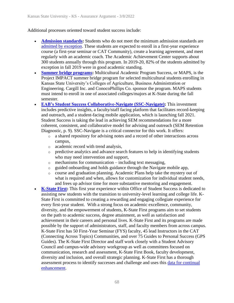Additional processes oriented toward student success include:

- **[Admission standards:](file:///C:/Users/evidence/viewfile%3ffileId=1330408)** Students who do not meet the minimum admission standards are [admitted by exception.](file:///C:/Users/evidence/viewfile%3ffileId=1330409) These students are expected to enroll in a first-year experience course (a first-year seminar or CAT Community), create a learning agreement, and meet regularly with an academic coach. The Academic Achievement Center supports about 300 students annually through this program. In 2019-20, 82% of the students admitted by exception in fall 2019 were in good academic standing.
- **[Summer bridge programs:](file:///C:/Users/evidence/viewfile%3ffileId=1330410)** Multicultural Academic Program Success, or MAPS, is the Project IMPACT summer bridge program for selected multicultural students enrolling in Kansas State University's Colleges of Agriculture, Business Administration or Engineering. Cargill Inc. and ConocoPhillips Co. sponsor the program. MAPS students must intend to enroll in one of associated colleges/majors at K-State during the fall semester.
- **[E](file:///C:/Users/evidence/viewfile%3ffileid=1330411)[AB's Student Success Collaborative-Navigate \(SSC-Navigate\):](file:///C:/Users/evidence/viewfile%3ffileId=1330411)** This investment includes predictive insights, a faculty/staff facing platform that facilitates record-keeping and outreach, and a student-facing mobile application, which is launching fall 2021. Student Success is taking the lead in achieving SEM recommendations for a more coherent, consistent, and collaborative model for advising and outreach (SEM Retention Diagnostic, p. 9). SSC-Navigate is a critical connector for this work. It offers:
	- o a shared repository for advising notes and a record of other interactions across campus,
	- o academic record with trend analysis,
	- o predictive analytics and advance search features to help in identifying students who may need intervention and support,
	- $\circ$  mechanisms for communication including text messaging,
	- o guided onboarding and holds guidance through the Navigate mobile app,
	- o course and graduation planning. Academic Plans help take the mystery out of what is required and when, allows for customization for individual student needs, and frees up advisor time for more substantive mentoring and engagement.
- **[K-State First:](file:///C:/Users/evidence/viewfile%3ffileId=1336332)** This first year experience within Office of Student Success is dedicated to assisting new students with the transition to university-level learning and college life. K-State First is committed to creating a rewarding and engaging collegiate experience for every first-year student. With a strong focus on academic excellence, community, diversity, and the empowerment of students, K-State First programs aim to set students on the path to academic success, degree attainment, as well as satisfaction and achievement in their careers and personal lives. K-State First and its programs are made possible by the support of administrators, staff, and faculty members from across campus. K-State First has 50 First-Year Seminar (FYS) faculty, 45 lead Instructors in the CAT (Connecting Across Topics) Communities, and over 75 Guides to Personal Success (GPS Guides). The K-State First Director and staff work closely with a Student Advisory Council and campus-wide advisory workgroup as well as committees focused on communication, research and assessment, K-State First Book, faculty development, diversity and inclusion, and overall strategic planning. K-State First has a thorough assessment process to identify successes and challenge and uses this [data for continual](file:///C:/Users/evidence/viewfile%3ffileId=1342538)  [enhancement.](file:///C:/Users/evidence/viewfile%3ffileId=1342538)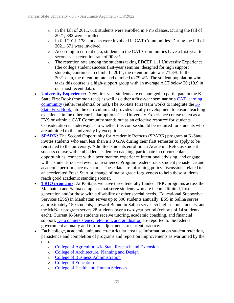- $\circ$  In the fall of 2011, 610 students were enrolled in FYS classes. During the fall of 2021, 882 were enrolled.
- o In fall 2011, 178 students were involved in CAT Communities. During the fall of 2021, 671 were involved.
- o According to current data, students in the CAT Communities have a first-year to second-year retention rate of 90.8%.
- o The retention rate among the students taking EDCEP 111 University Experience (the college student success first-year seminar, designed for high support students) continues to climb. In 2011, the retention rate was 71.8%. In the 2021 data, the retention rate had climbed to 79.4%. The student population who takes this course is a high-support group with an average ACT below 20 (19.9 in our most recent data).
- **[University Experience:](file:///C:/Users/evidence/viewfile%3ffileid=1330399)** New first-year students are encouraged to participate in the K-State First Book (common read) as well as either a first-year seminar or a [CAT learning](file:///C:/Users/evidence/viewfile%3ffileId=1330395)  [community](file:///C:/Users/evidence/viewfile%3ffileId=1330395) (either residential or not). The K-State First team works to integrate the [K-](file:///C:/Users/evidence/viewfile%3ffileid=1330392)[State First Book](file:///C:/Users/evidence/viewfile%3ffileid=1330392) into the curriculum and provides faculty development to ensure teaching excellence in the other curricular options. The University Experience course taken as a FYS or within a CAT Community stands out as an effective resource for students. Consideration is underway as to whether this course should be required for students who are admitted to the university by exception.
- **[SPARK:](file:///C:/Users/evidence/viewfile%3ffileid=1330394)** The Second Opportunity for Academic Refocus (SPARK) program at K-State invites students who earn less than a 1.0 GPA during their first semester to apply to be reinstated to the university. Admitted students enroll in an Academic Refocus student success course with embedded academic coaching, participate in co-curricular opportunities, connect with a peer mentor, experience intentional advising, and engage with a student-focused event on resilience. Program leaders track student persistence and academic performance over time. These data are informing policy discussions related to an accelerated Fresh Start or change of major grade forgiveness to help these students reach good academic standing sooner.
- **[TRIO programs:](file:///C:/Users/evidence/viewfile%3ffileId=1336331)** At K-State, we have three federally funded TRIO programs across the Manhattan and Salina campuses that serve students who are income limited, firstgeneration and/or those with a disability or other special needs. Educational Supportive Services (ESS) in Manhattan serves up to 300 students annually. ESS in Salina serves approximately 150 students; Upward Bound in Salina serves 55 high school students, and the McNair program serves 28 students over a two-year period (cohorts of 14 students each). Current K-State students receive tutoring, academic coaching, and financial support. [Data on persistence, retention, and graduation](file:///C:/Users/evidence/viewfile%3ffileId=1357273) are reported to the federal government annually and inform adjustments to current practice.
- Each college, academic unit, and co-curricular area use information on student retention, persistence and completion of programs and report on improvements as warranted by the data:
	- o [College of Agricultures/K-State Research and Extension](file:///C:/Users/evidence/viewfile%3ffileId=1393165)
	- o [College of Architecture, Planning and Design](file:///C:/Users/evidence/viewfile%3ffileId=1393163)
	- o [College of Business Administration](file:///C:/Users/evidence/viewfile%3ffileId=1393159)
	- o [College of Education](file:///C:/Users/evidence/viewfile%3ffileId=1393161)
	- o [College of Health and Human Sciences](file:///C:/Users/evidence/viewfile%3ffileId=1393162)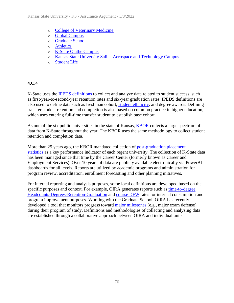- o [College of Veterinary Medicine](file:///C:/Users/evidence/viewfile%3ffileId=1393160)
- o [Global Campus](file:///C:/Users/evidence/viewfile%3ffileId=1393155)
- o [Graduate School](file:///C:/Users/evidence/viewfile%3ffileId=1393164)
- o [Athletics](file:///C:/Users/evidence/viewfile%3ffileId=1393157)
- o [K-State Olathe](file:///C:/Users/evidence/viewfile%3ffileId=1393156) [Campus](file:///C:/Users/evidence/viewfile%3ffileId=1393156)
- o [Kansas State University Salina Aerospace and Technology Campus](file:///C:/Users/evidence/viewfile%3ffileId=1393154)
- o [Student Life](file:///C:/Users/evidence/viewfile%3ffileId=1393153)

### **4.C.4**

K-State uses the IPEDS [definitions](file:///C:/Users/evidence/viewfile%3ffileId=1334687) to collect and analyze data related to student success, such as first-year-to-second-year retention rates and six-year graduation rates. IPEDS definitions are also used to define data such as freshman cohort, [student ethnicity,](file:///C:/Users/evidence/viewfile%3ffileId=1334688) and degree awards. Defining transfer student retention and completion is also based on common practice in higher education, which uses entering full-time transfer student to establish base cohort.

As one of the six public universities in the state of Kansas, [KBOR](file:///C:/Users/evidence/viewfile%3ffileId=1334690) collects a large spectrum of data from K-State throughout the year. The KBOR uses the same methodology to collect student retention and completion data.

More than 25 years ago, the KBOR mandated collection of post-graduation placement [statistics](file:///C:/Users/evidence/viewfile%3ffileId=1336070) as a key performance indicator of each regent university. The collection of K-State data has been managed since that time by the Career Center (formerly known as Career and Employment Services). Over 10 years of data are publicly available electronically via PowerBI dashboards for all levels. Reports are utilized by academic programs and administration for program review, accreditation, enrollment forecasting and other planning initiatives.

For internal reporting and analysis purposes, some local definitions are developed based on the specific purposes and context. For example, OIRA generates reports such as [time-to-degree,](file:///C:/Users/evidence/viewfile%3ffileId=1357260) [Headcounts-Degrees-Retention-Graduation](file:///C:/Users/evidence/viewfile%3ffileId=1357263) and [course DFW](file:///C:/Users/evidence/viewfile%3ffileId=1357261) rates for internal consumption and program improvement purposes. Working with the Graduate School, OIRA has recently developed a tool that monitors progress toward [major milestones](file:///C:/Users/evidence/viewfile%3ffileId=1357334) (e.g., major exam defense) during their program of study. Definitions and methodologies of collecting and analyzing data are established through a collaborative approach between OIRA and individual units.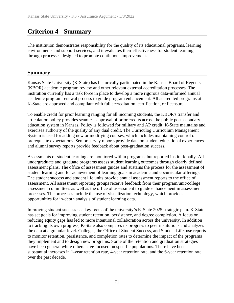# **Criterion 4 - Summary**

The institution demonstrates responsibility for the quality of its educational programs, learning environments and support services, and it evaluates their effectiveness for student learning through processes designed to promote continuous improvement.

### **Summary**

Kansas State University (K-State) has historically participated in the Kansas Board of Regents (KBOR) academic program review and other relevant external accreditation processes. The institution currently has a task force in place to develop a more rigorous data-informed annual academic program renewal process to guide program enhancement. All accredited programs at K-State are approved and compliant with full accreditation, certification, or licensure.

To enable credit for prior learning ranging for all incoming students, the KBOR's transfer and articulation policy provides seamless approval of prior credits across the public postsecondary education system in Kansas. Policy is followed for military and AP credit. K-State maintains and exercises authority of the quality of any dual credit. The Curriculog Curriculum Management System is used for adding new or modifying courses, which includes maintaining control of prerequisite expectations. Senior survey reports provide data on student educational experiences and alumni survey reports provide feedback about post-graduation success.

Assessments of student learning are monitored within programs, but reported institutionally. All undergraduate and graduate programs assess student learning outcomes through clearly defined assessment plans. The office of assessment guides and sustains the process for the assessment of student learning and for achievement of learning goals in academic and cocurricular offerings. The student success and student life units provide annual assessment reports to the office of assessment. All assessment reporting groups receive feedback from their program/unit/college assessment committees as well as the office of assessment to guide enhancement in assessment processes. The processes include the use of visualization technology, which provides opportunities for in-depth analysis of student learning data.

Improving student success is a key focus of the university's K-State 2025 strategic plan. K-State has set goals for improving student retention, persistence, and degree completion. A focus on reducing equity gaps has led to more intentional collaboration across the university. In addition to tracking its own progress, K-State also compares its progress to peer institutions and analyzes the data at a granular level. Colleges, the Office of Student Success, and Student Life, use reports to monitor retention, persistence, and completion rates to determine the impact of the programs they implement and to design new programs. Some of the retention and graduation strategies have been general while others have focused on specific populations. There have been substantial increases in 1-year retention rate, 4-year retention rate, and the 6-year retention rate over the past decade.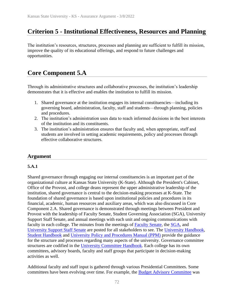# **Criterion 5 - Institutional Effectiveness, Resources and Planning**

The institution's resources, structures, processes and planning are sufficient to fulfill its mission, improve the quality of its educational offerings, and respond to future challenges and opportunities.

## **Core Component 5.A**

Through its administrative structures and collaborative processes, the institution's leadership demonstrates that it is effective and enables the institution to fulfill its mission.

- 1. Shared governance at the institution engages its internal constituencies—including its governing board, administration, faculty, staff and students—through planning, policies and procedures.
- 2. The institution's administration uses data to reach informed decisions in the best interests of the institution and its constituents.
- 3. The institution's administration ensures that faculty and, when appropriate, staff and students are involved in setting academic requirements, policy and processes through effective collaborative structures.

## **Argument**

### **5.A.1**

Shared governance through engaging our internal constituencies is an important part of the organizational culture at Kansas State University (K-State). Although the President's Cabinet, Office of the Provost, and college deans represent the upper administrative leadership of the institution, shared governance is central to the decision-making processes at K-State. The foundation of shared governance is based upon institutional policies and procedures in its financial, academic, human resources and auxiliary areas, which was also discussed in Core Component 2.A. Shared governance is demonstrated through meetings between President and Provost with the leadership of Faculty Senate, Student Governing Association (SGA), University Support Staff Senate, and annual meetings with each unit and ongoing communications with faculty in each college. The minutes from the meetings of [Faculty Senate,](file:///C:/Users/evidence/viewfile%3ffileId=1318327) the [SGA,](file:///C:/Users/evidence/viewfile%3ffileId=1318326) and [University Support Staff Senate](file:///C:/Users/evidence/viewfile%3ffileId=1318328) are posted for all stakeholders to see. The [University Handbook,](http://www.k-state.edu/provost/universityhb/) [Student Handbook](https://www.k-state.edu/studentlife/policies/studentlifehandbook/index.html) and [University Policy and Procedures Manual \(PPM\)](file:///C:/Users/evidence/viewfile%3ffileId=1352081) provide the guidance for the structure and processes regarding many aspects of the university. Governance committee structures are codified in the [University Committee Handbook.](file:///C:/Users/evidence/viewfile%3ffileId=1399689) Each college has its own committees, advisory boards, faculty and staff groups that participate in decision-making activities as well.

Additional faculty and staff input is gathered through various Presidential Committees. Some committees have been evolving over time. For example, the [Budget Advisory Committee](file:///C:/Users/evidence/viewfile%3ffileId=1213010) was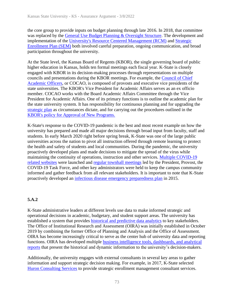the core group to provide inputs on budget planning through late 2016. In 2018, that committee was replaced by the [General Use Budget Planning & Oversight Structure.](file:///C:/Users/evidence/viewfile%3ffileId=1318029) The development and implementation of the [University's Resource Centered Management \(RCM\)](file:///C:/Users/evidence/viewfile%3ffileid=1318519) and [Strategic](file:///C:/Users/evidence/viewfile%3ffileid=1318089)  [Enrollment Plan \(SEM\)](file:///C:/Users/evidence/viewfile%3ffileid=1318089) both involved careful preparation, ongoing communication, and broad participation throughout the university.

At the State level, the Kansas Board of Regents (KBOR), the single governing board of public higher education in Kansas, holds ten formal meetings each fiscal year. K-State is closely engaged with KBOR in its decision-making processes through representations on multiple councils and presentations during the KBOR meetings. For example, the [Council of Chief](file:///C:/Users/evidence/viewfile%3ffileId=1357539)  [Academic Officers,](file:///C:/Users/evidence/viewfile%3ffileId=1357539) or COCAO, is composed of provosts and executive vice presidents of the state universities. The KBOR's Vice President for Academic Affairs serves as an ex officio member. COCAO works with the Board Academic Affairs Committee through the Vice President for Academic Affairs. One of its primary functions is to outline the academic plan for the state university system. It has responsibility for continuous planning and for upgrading the [strategic plan](file:///C:/Users/evidence/viewfile%3ffileId=1334218) as circumstances dictate, and for carrying out the procedures outlined in the [KBOR's policy for Approval of New Programs.](file:///C:/Users/evidence/viewfile%3ffileId=1357537)

K-State's response to the COVID-19 pandemic is the best and most recent example on how the university has prepared and made all major decisions through broad input from faculty, staff and students. In early March 2020 right before spring break, K-State was one of the large public universities across the nation to pivot all instruction offered through remote learning to protect the health and safety of students and local communities. During the pandemic, the university proactively developed plans and made decisions to mitigate the spread of the virus while maintaining the continuity of operations, instruction and other services. [Multiple COVID-19](file:///C:/Users/evidence/viewfile%3ffileId=1318253)  [related websites](file:///C:/Users/evidence/viewfile%3ffileId=1318253) were launched and regular [townhall meetings](file:///C:/Users/evidence/viewfile%3ffileId=1318747) led by the President, Provost, the COVID-19 Task Force, and other key administrators were held to keep the campus community informed and gather feedback from all relevant stakeholders. It is important to note that K-State proactively developed an [infectious disease emergency preparedness plan](file:///C:/Users/evidence/viewfile%3ffileId=1352082) in 2015.

### **5.A.2**

K-State administrative leaders at different levels use data to make informed strategic and operational decisions in academic, budgetary, and student support areas. The university has established a system that provides [historical and predictive data analytics](file:///C:/Users/evidence/viewfile%3ffileId=1318027) to key stakeholders. The Office of Institutional Research and Assessment (OIRA) was initially established in October 2019 by combining the former Office of Planning and Analysis and the Office of Assessment. OIRA has become increasingly critical to serve as the center hub of university data and reporting functions. OIRA has developed multiple [business intelligence tools, dashboards, and analytical](file:///C:/Users/evidence/viewfile%3ffileId=1334835)  [reports](file:///C:/Users/evidence/viewfile%3ffileId=1334835) that present the historical and dynamic information to the university's decision-makers.

Additionally, the university engages with external consultants in several key areas to gather information and support strategic decision making. For example, in 2017, K-State selected [Huron Consulting Services](file:///C:/Users/evidence/viewfile%3ffileId=1318082) to provide strategic enrollment management consultant services.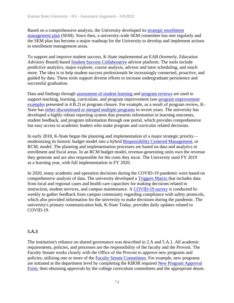Based on a comprehensive analysis, the University developed its [strategic enrollment](file:///C:/Users/evidence/viewfile%3ffileId=1318089)  [management plan](file:///C:/Users/evidence/viewfile%3ffileId=1318089) (SEM). Since then, a university-wide SEM committee has met regularly and the SEM plan has become a major roadmap for the University to develop and implement actions in enrollment management areas.

To support and improve student success, K-State implemented an EAB (formerly, Education Advisory Board) based [Student Success Collaborative](file:///C:/Users/evidence/viewfile%3ffileId=1318090) advisor platform. The tools include predictive analytics, major explorer, course analysis, advisor and tutor scheduling, and much more. The idea is to help student success professionals be increasingly connected, proactive, and guided by data. These tools support diverse efforts to increase undergraduate persistence and successful graduation.

Data and findings through [assessment of student learning](file:///C:/Users/evidence/viewfile%3ffileId=1318330) and [program reviews](file:///C:/Users/evidence/viewfile%3ffileId=1318332) are used to support teaching, learning, curriculum, and [program improvement](file:///C:/Users/evidence/viewfile%3ffileId=1351531) (see program improvement [examples](file:///C:/Users/evidence/viewfile%3ffileId=1351531) presented in 4.B.2) or program closure. For example, as a result of program review, K-State has [either discontinued or merged multiple programs](file:///C:/Users/evidence/viewfile%3ffileId=1351528) in recent years. The university has developed a highly robust reporting system that presents information in learning outcomes, student feedback, and program information through one portal, which provides comprehensive but easy access to academic leaders who make program and curricular related decisions.

In early 2018, K-State began the planning and implementation of a major strategic priority modernizing its historic budget model into a hybrid [Responsibility Centered Management,](file:///C:/Users/evidence/viewfile%3ffileId=1318519) or RCM, model. The planning and implementation processes are based on data and analytics in enrollment and fiscal areas. In an RCM budget model, revenue-generating units own the revenue they generate and are also responsible for the costs they incur. The University used FY 2019 as a learning year, with full implementation in FY 2020.

In 2020, many academic and operation decisions during the COVID-19 pandemic were based on comprehensive analysis of data. The university developed a [Triggers Matrix](file:///C:/Users/evidence/viewfile%3ffileId=1357543) that includes data from local and regional cases and health care capacities for making decisions related to instruction, student services, and campus maintenance. A [COVID-19 survey](file:///C:/Users/evidence/viewfile%3ffileId=1318735) is conducted biweekly to gather feedback from campus community regarding compliance with safety protocols, which also provided information for the university to make decisions during the pandemic. The university's primary communication hub, K-State Today, provides daily updates related to COVID-19.

#### **5.A.3**

The institution's reliance on shared governance was described in 2.A and 5.A.1. All academic requirements, policies, and processes are the responsibility of the faculty and the Provost. The Faculty Senate works closely with the Office of the Provost to approve new programs and policies, utilizing one or more of the [Faculty Senate Committees.](file:///C:/Users/evidence/viewfile%3ffileId=1322220) For example, new programs are initiated at the department level by completing the KBOR required [New Program Approval](file:///C:/Users/evidence/viewfile%3ffileId=1322225)  [Form,](file:///C:/Users/evidence/viewfile%3ffileId=1322225) then obtaining approvals by the college curriculum committees and the appropriate deans.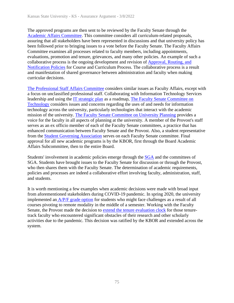The approved programs are then sent to be reviewed by the Faculty Senate through th[e](file:///C:/Users/evidence/viewfile%3ffileId=1322235) [Academic Affairs Committee.](file:///C:/Users/evidence/viewfile%3ffileId=1322235) This committee considers all curriculum-related proposals, assuring that all stakeholders have been represented in discussions and that university policy has been followed prior to bringing issues to a vote before the Faculty Senate. The Faculty Affairs Committee examines all processes related to faculty members, including appointments, evaluations, promotion and tenure, grievances, and many other policies. An example of such a collaborative process is the ongoing development and revision of [Approval, Routing, and](file:///C:/Users/evidence/viewfile%3ffileId=1322247)  [Notification Policies](file:///C:/Users/evidence/viewfile%3ffileId=1322247) for Course and Curriculum Process. The collaborative process is a result and manifestation of shared governance between administration and faculty when making curricular decisions.

[The Professional Staff Affairs Committee](file:///C:/Users/evidence/viewfile%3ffileId=1322249) considers similar issues as Faculty Affairs, except with a focus on unclassified professional staff. Collaborating with Information Technology Services leadership and using the [IT strategic plan](file:///C:/Users/evidence/viewfile%3ffileId=1352093) as a roadmap, [The Faculty Senate Committee on](file:///C:/Users/evidence/viewfile%3ffileId=1322248)  [Technology](file:///C:/Users/evidence/viewfile%3ffileId=1322248) considers issues and concerns regarding the uses of and needs for information technology across the university, particularly technologies that interact with the academic mission of the university. [The Faculty Senate Committee on University Planning](file:///C:/Users/evidence/viewfile%3ffileId=1322250) provides a voice for the faculty in all aspects of planning at the university. A member of the Provost's staff serves as an ex officio member of each of the Faculty Senate committees, a practice that has enhanced communication between Faculty Senate and the Provost. Also, a student representative from the [Student Governing Association](file:///C:/Users/evidence/viewfile%3ffileid=1318326) serves on each Faculty Senate committee. Final approval for all new academic programs is by the KBOR, first through the Board Academic Affairs Subcommittee, then to the entire Board.

Students' involvement in academic policies emerge through the [SGA](file:///C:/Users/evidence/viewfile%3ffileid=1318326) and the committees of SGA. Students have brought issues to the Faculty Senate for discussion or through the Provost, who then shares them with the Faculty Senate. The determination of academic requirements, policies and processes are indeed a collaborative effort involving faculty, administration, staff, and students.

It is worth mentioning a few examples when academic decisions were made with broad input from aforementioned stakeholders during COVID-19 pandemic. In spring 2020, the university implemented an [A/P/F grade option](file:///C:/Users/evidence/viewfile%3ffileId=1322505) for students who might face challenges as a result of all courses pivoting to remote modality in the middle of a semester. Working with the Faculty Senate, the Provost made the decision to extend the [tenure evaluation clock](file:///C:/Users/evidence/viewfile%3ffileId=1322506) for those tenuretrack faculty who encountered significant obstacles of their research and other scholarly activities due to the pandemic. This decision was ratified by the KBOR and extended across the system.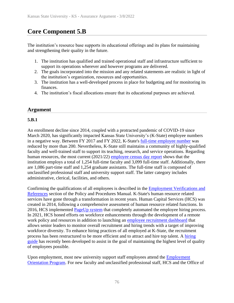# **Core Component 5.B**

The institution's resource base supports its educational offerings and its plans for maintaining and strengthening their quality in the future.

- 1. The institution has qualified and trained operational staff and infrastructure sufficient to support its operations wherever and however programs are delivered.
- 2. The goals incorporated into the mission and any related statements are realistic in light of the institution's organization, resources and opportunities.
- 3. The institution has a well-developed process in place for budgeting and for monitoring its finances.
- 4. The institution's fiscal allocations ensure that its educational purposes are achieved.

## **Argument**

## **5.B.1**

An enrollment decline since 2014, coupled with a protracted pandemic of COVID-19 since March 2020, has significantly impacted Kansas State University's (K-State) employee numbers in a negative way. Between FY 2017 and FY 2022, K-State's [full-time employee number](file:///C:/Users/evidence/viewfile%3ffileId=1336949) was reduced by more than 200. Nevertheless, K-State still maintains a community of highly-qualified faculty and well-trained staff to support its teaching, research, and service operations. Regarding human resources, the most current (2021/22) [employee census day report](file:///C:/Users/evidence/viewfile%3ffileId=1357535) shows that the institution employs a total of 1,254 full-time faculty and 3,099 full-time staff. Additionally, there are 1,086 part-time staff and 1,254 graduate assistants. The full-time staff is composed of unclassified professional staff and university support staff. The latter category includes administrative, clerical, facilities, and others.

Confirming the qualifications of all employees is described in the [Employment Verifications and](file:///C:/Users/evidence/viewfile%3ffileId=1322215)  [References](file:///C:/Users/evidence/viewfile%3ffileId=1322215) section of the Policy and Procedures Manual. K-State's human resource related services have gone through a transformation in recent years. Human Capital Services (HCS) was created in 2014, following a comprehensive assessment of human resource related functions. In 2016, HCS implemented [PageUp system](file:///C:/Users/evidence/viewfile%3ffileId=1337355) that completely automated the employee hiring process. In 2021, HCS honed efforts on workforce enhancements through the development of a remote work policy and resources in addition to launching an [employee recruitment dashboard](file:///C:/Users/evidence/viewfile%3ffileId=1357542) that allows senior leaders to monitor overall recruitment and hiring trends with a target of improving workforce diversity. To enhance hiring practices of all employed at K-State, the recruitment process has been restructured to be more efficient and to attract and hire top talent. A [hiring](file:///C:/Users/evidence/viewfile%3ffileId=1336950)  [guide](file:///C:/Users/evidence/viewfile%3ffileId=1336950) has recently been developed to assist in the goal of maintaining the highest level of quality of employees possible.

Upon employment, most new university support staff employees attend the [Employment](file:///C:/Users/evidence/viewfile%3ffileId=1322219)  [Orientation Program.](file:///C:/Users/evidence/viewfile%3ffileId=1322219) For new faculty and unclassified professional staff, HCS and the Office of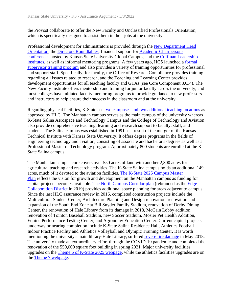the Provost collaborate to offer the New Faculty and Unclassified Professionals Orientation, which is specifically designed to assist them in their jobs at the university.

Professional development for administrators is provided through the [New Department Head](file:///C:/Users/evidence/viewfile%3ffileId=1323758)  [Orientation,](file:///C:/Users/evidence/viewfile%3ffileId=1323758) the [Directors Roundtables,](file:///C:/Users/evidence/viewfile%3ffileId=1323759) financial support for [Academic Chairpersons](file:///C:/Users/evidence/viewfile%3ffileId=1323757)  [conferences](file:///C:/Users/evidence/viewfile%3ffileId=1323757) hosted by Kansas State University Global Campus, and the [Coffman Leadership](file:///C:/Users/evidence/viewfile%3ffileId=1323768)  [institutes,](file:///C:/Users/evidence/viewfile%3ffileId=1323768) as well as informal mentoring programs. A few years ago, HCS launched a [formal](file:///C:/Users/evidence/viewfile%3ffileId=1351533)  [supervisor training program](file:///C:/Users/evidence/viewfile%3ffileId=1351533) and also provides a variety of training opportunities for professional and support staff. Specifically, for faculty, the Office of Research Compliance provides training regarding all issues related to research, and the Teaching and Learning Center provides development opportunities for all teaching faculty and GTAs (see Core Component 3.C.4). The New Faculty Institute offers mentorship and training for junior faculty across the university, and most colleges have initiated faculty mentoring programs to provide guidance to new professors and instructors to help ensure their success in the classroom and at the university.

Regarding physical facilities, K-State has [two campuses and two additional teaching locations](file:///C:/Users/evidence/viewfile%3ffileId=1352064) as approved by HLC. The Manhattan campus serves as the main campus of the university whereas K-State Salina Aerospace and Technology Campus and the College of Technology and Aviation also provide comprehensive teaching, learning and research support to faculty, staff, and students. The Salina campus was established in 1991 as a result of the merger of the Kansas Technical Institute with Kansas State University. It offers degree programs in the fields of engineering technology and aviation, consisting of associate and bachelor's degrees as well as a Professional Master of Technology program. Approximately 800 students are enrolled at the K-State Salina campus.

The Manhattan campus core covers over 550 acres of land with another 2,300 acres for agricultural teaching and research activities. The K-State Salina campus holds an additional 149 acres, much of it devoted to the aviation facilities. [The K-State 2025 Campus Master](file:///C:/Users/evidence/viewfile%3ffileId=1323770)  [Plan](file:///C:/Users/evidence/viewfile%3ffileId=1323770) reflects the vision for growth and development on the Manhattan campus as funding for capital projects becomes available. [The North Campus Corridor plan](file:///C:/Users/evidence/viewfile%3ffileId=1323771) (rebranded as the [Edge](file:///C:/Users/evidence/viewfile%3ffileId=1354948)  [Collaboration District](file:///C:/Users/evidence/viewfile%3ffileId=1354948) in 2019) provides additional space planning for areas adjacent to campus. Since the last HLC assurance review in 2016, completed construction projects include the Multicultural Student Center, Architecture Planning and Design renovation, renovation and expansion of the South End Zone at Bill Snyder Family Stadium, renovation of Derby Dining Center, the renovation of Hale Library from its damage in 2018, McCain Lobby addition, renovation of Tointon Baseball Stadium, new Soccer Stadium, Mosier Pet Health Addition, Equine Performance Testing Center, and Agronomy Education Center. Current capital projects underway or nearing completion include K-State Salina Residence Hall, Athletics Football Indoor Practice Facility and Athletics Volleyball and Olympic Training Center. It is worth mentioning the university's main library-Hale Library, suffered [severe fire damage](file:///C:/Users/evidence/viewfile%3ffileId=1344213) in May 2018. The university made an extraordinary effort through the COVID-19 pandemic and completed the renovation of the 550,000 square foot building in spring 2021. Major university facilities upgrades on the [Theme 6 of K-State 2025 webpage,](file:///C:/Users/evidence/viewfile%3ffileId=1392975) while the athletics facilities upgrades are on the [Theme 7 webpage.](file:///C:/Users/evidence/viewfile%3ffileId=1392976)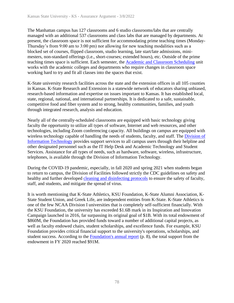The Manhattan campus has 127 classrooms and 6 studio classrooms/labs that are centrally managed with an additional 537 classrooms and class labs that are managed by departments. At present, the classroom space is not sufficient for accommodating prime teaching times (Monday-Thursday's from 9:00 am to 3:00 pm) nor allowing for new teaching modalities such as a blocked set of courses, flipped classroom, studio learning, late start/late admissions, minimesters, non-standard offerings (i.e., short-courses; extended hours), etc. Outside of the prime teaching times space is sufficient. Each semester, the [Academic and Classroom Scheduling](file:///C:/Users/evidence/viewfile%3ffileId=1331021) unit works with the academic colleges and departments who require changes in classroom space working hard to try and fit all classes into the spaces that exist.

K-State university research facilities across the state and the extension offices in all 105 counties in Kansas. K-State Research and Extension is a statewide network of educators sharing unbiased, research-based information and expertise on issues important to Kansas. It has established local, state, regional, national, and international partnerships. It is dedicated to a safe, sustainable, competitive food and fiber system and to strong, healthy communities, families, and youth through integrated research, analysis and education.

Nearly all of the centrally-scheduled classrooms are equipped with basic technology giving faculty the opportunity to utilize all types of software, Internet and web resources, and other technologies, including Zoom conferencing capacity. All buildings on campus are equipped with wireless technology capable of handling the needs of students, faculty, and staff. The [Division of](file:///C:/Users/evidence/viewfile%3ffileId=1331022)  [Information Technology](file:///C:/Users/evidence/viewfile%3ffileId=1331022) provides support services to all campus users through their helpline and other designated personnel such as the IT Help Desk and Academic Technology and Student Services. Assistance for all types of needs, such as hardware, software, wireless, infrastructure, telephones, is available through the Division of Information Technology.

During the COVID-19 pandemic, especially, in fall 2020 and spring 2021 when students began to return to campus, the Division of Facilities followed strictly the CDC guidelines on safety and healthy and further developed [cleaning and disinfecting protocols](file:///C:/Users/evidence/viewfile%3ffileId=1351574) to ensure the safety of faculty, staff, and students, and mitigate the spread of virus.

It is worth mentioning that K-State Athletics, KSU Foundation, K-State Alumni Association, K-State Student Union, and Greek Life, are independent entities from K-State. K-State Athletics is one of the few NCAA Division I universities that is completely self-sufficient financially. With the KSU Foundation, the university has exceeded \$1.6B mark in its Inspiration and Innovation Campaign launched in 2016, far surpassing its original goal of \$1B. With its total endowment of \$860M, the Foundation has provided funds toward a number of additional capital projects, as well as faculty endowed chairs, student scholarships, and excellence funds. For example, KSU Foundation provides critical financial support to the university's operations, scholarships, and student success. According to the [Foundation's annual report](file:///C:/Users/evidence/viewfile%3ffileId=1337480) (p. 8), the total support from the endowment in FY 2020 reached \$91M.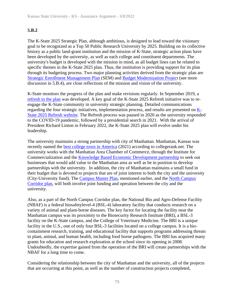## **5.B.2**

The K-State 2025 Strategic Plan, although ambitious, is designed to lead toward the visionary goal to be recognized as a Top 50 Public Research University by 2025. Building on its collective history as a public land-grant institution and the mission of K-State, strategic action plans have been developed by the university, as well as each college and constituent departments. The university's budget is developed with the mission in mind, as all budget lines can be related to specific themes in the K-State 2025 plan. Thus, the institution is providing support for its plan through its budgeting process. Two major planning activities derived from the strategic plan are [Strategic Enrollment Management Plan](file:///C:/Users/evidence/viewfile%3ffileId=1318089) (SEM) and [Budget Modernization Project](file:///C:/Users/evidence/viewfile%3ffileId=1318519) (see more discussion in 5.B.4), are close reflections of the mission and vision of the university.

K-State monitors the progress of the plan and make revisions regularly. In September 2019, a [refresh to the plan](file:///C:/Users/evidence/viewfile%3ffileId=1323909) was developed. A key goal of the K-State 2025 Refresh initiative was to reengage the K-State community in university strategic planning. Detailed communications regarding the four strategic initiatives, implementation process, and results are presented on [K-](file:///C:/Users/evidence/viewfile%3ffileid=1323909)[State 2025 Refresh website.](file:///C:/Users/evidence/viewfile%3ffileid=1323909) The Refresh process was paused in 2020 as the university responded to the COVID-19 pandemic, followed by a presidential search in 2021. With the arrival of President Richard Linton in February 2022, the K-State 2025 plan will evolve under his leadership.

The university maintains a strong partnership with city of Manhattan. Manhattan, Kansas was recently named the [best college town in America](file:///C:/Users/evidence/viewfile%3ffileId=1323914) (2021) according to collegerank.net. The university works with the Manhattan Area Chamber of Commerce, through the Institute for Commercialization and the [Knowledge Based Economic Development partnership](file:///C:/Users/evidence/viewfile%3ffileId=1323921) to seek out businesses that would add value to the Manhattan area as well as be in position to develop partnerships with the university. In addition, the city of Manhattan maintains a small fund in their budget that is devoted to projects that are of joint interest to both the city and the university (City-University fund). The [Campus Master Plan,](file:///C:/Users/evidence/viewfile%3ffileid=1323770) mentioned earlier, and the [North Campus](file:///C:/Users/evidence/viewfile%3ffileid=1323771)  [Corridor plan,](file:///C:/Users/evidence/viewfile%3ffileid=1323771) will both involve joint funding and operation between the city and the university.

Also, as a part of the North Campus Corridor plan, the National Bio and Agro-Defense Facility (NBAF) is a federal biosafetylevel-4 (BSL-4) laboratory facility that conducts research on a variety of animal and plant-borne diseases. The key factor for locating the facility near the Manhattan campus was its proximity to the Biosecurity Research Institute (BRI), a BSL-3 facility on the K-State campus, and the College of Veterinary Medicine. The BRI is a unique facility in the U.S., one of only four BSL-3 facilities located on a college campus. It is a biocontainment research, training, and educational facility that supports programs addressing threats to plant, animal, and human health, including food borne pathogens. The BRI has acquired many grants for education and research exploration at the school since its opening in 2008. Undoubtedly, the expertise gained from the operation of the BRI will create partnerships with the NBAF for a long time to come.

Considering the relationship between the city of Manhattan and the university, all of the projects that are occurring at this point, as well as the number of construction projects completed,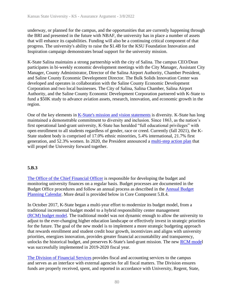underway, or planned for the campus, and the opportunities that are currently happening through the BRI and presented in the future with NBAF, the university has in place a number of assets that will enhance its capabilities. Funding will also be a continuing critical component of that progress. The university's ability to raise the \$1.4B for the KSU Foundation Innovation and Inspiration campaign demonstrates broad support for the university mission.

K-State Salina maintains a strong partnership with the city of Salina. The campus CEO/Dean participates in bi-weekly economic development meetings with the City Manager, Assistant City Manager, County Administrator, Director of the Salina Airport Authority, Chamber President, and Saline County Economic Development Director. The Bulk Solids Innovation Center was developed and operates in collaboration with the Saline County Economic Development Corporation and two local businesses. The City of Salina, Salina Chamber, Salina Airport Authority, and the Saline County Economic Development Corporation partnered with K-State to fund a \$50K study to advance aviation assets, research, innovation, and economic growth in the region.

One of the key elements in [K-State's mission and vision statements](file:///C:/Users/evidence/viewfile%3ffileId=1315556) is diversity. K-State has long maintained a demonstrable commitment to diversity and inclusion. Since 1863, as the nation's first operational land-grant university, K-State has heralded "full educational privileges" with open enrollment to all students regardless of gender, race or creed. Currently (fall 2021), the K-State student body is comprised of 17.0% ethnic minorities, 5.4% international, 21.7% first generation, and 52.3% women. In 2020, the President announced a [multi-step action plan](file:///C:/Users/evidence/viewfile%3ffileId=1323930) that will propel the University forward together.

### **5.B.3**

[The Office of the Chief Financial Officer](file:///C:/Users/evidence/viewfile%3ffileId=1331036) is responsible for developing the budget and monitoring university finances on a regular basis. Budget processes are documented in the Budget Office procedures and follow an annual process as described in the Annual [Budget](file:///C:/Users/evidence/viewfile%3ffileId=1323932)  [Planning Calendar.](file:///C:/Users/evidence/viewfile%3ffileId=1323932) More detail is provided below in Core Component 5.B.4.

In October 2017, K-State began a multi-year effort to modernize its budget model, from a traditional incremental budget model to a hybrid responsibility center management (RCM) [budget model.](file:///C:/Users/evidence/viewfile%3ffileid=1331032) The traditional model was not dynamic enough to allow the university to adjust to the ever-changing higher education landscape or effectively invest in strategic priorities for the future. The goal of the new model is to implement a more strategic budgeting approach that rewards enrollment and student credit hour growth, incentivizes and aligns with university priorities, energizes innovation, provides greater financial accountability and transparency, unlocks the historical budget, and preserves K-State's land-grant mission. The new [RCM model](file:///C:/Users/evidence/viewfile%3ffileId=1331032) was successfully implemented in 2019-2020 fiscal year.

[The Division of Financial Services](file:///C:/Users/evidence/viewfile%3ffileId=1331034) provides fiscal and accounting services to the campus and serves as an interface with external agencies for all fiscal matters. The Division ensures funds are properly received, spent, and reported in accordance with University, Regent, State,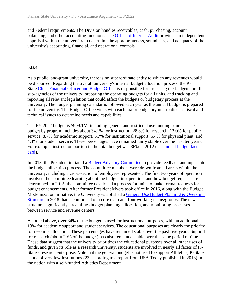and Federal requirements. The Division handles receivables, cash, purchasing, account balancing, and other accounting functions. The [O](file:///C:/Users/evidence/viewfile%3ffileid=1331033)[ffice of Internal Audit](file:///C:/Users/evidence/viewfile%3ffileId=1331033) provides an independent appraisal within the university to determine the appropriateness, soundness, and adequacy of the university's accounting, financial, and operational controls.

### **5.B.4**

As a public land-grant university, there is no superordinate entity to which any revenues would be disbursed. Regarding the overall university's internal budget allocation process, the K-State [Chief Financial Officer and](file:///C:/Users/evidence/viewfile%3ffileId=1331036) Budget Office is responsible for preparing the budgets for all sub-agencies of the university, preparing the operating budgets for all units, and tracking and reporting all relevant legislation that could affect the budgets or budgetary process at the university. The budget planning calendar is followed each year as the annual budget is prepared for the university. The Budget Office visits with each major budgetary unit to discuss fiscal and technical issues to determine needs and capabilities.

The FY 2022 budget is \$909.1M, including general and restricted use funding sources. The budget by program includes about 34.1% for instruction, 28.8% for research, 12.0% for public service, 8.7% for academic support, 6.7% for institutional support, 5.4% for physical plant, and 4.3% for student service. These percentages have remained fairly stable over the past ten years. For example, instruction portion in the total budget was 36% in 2012 (see [annual budget fact](file:///C:/Users/evidence/viewfile%3ffileId=1351846)  [card\)](file:///C:/Users/evidence/viewfile%3ffileId=1351846).

In 2013, the President initiated a [Budget Advisory Committee](file:///C:/Users/evidence/viewfile%3ffileId=1213021) to provide feedback and input into the budget allocation process. The committee members were drawn from all areas within the university, including a cross-section of employees represented. The first two years of operation involved the committee learning about the budget, its operation, and how budget requests are determined. In 2015, the committee developed a process for units to make formal requests for budget enhancements. After former President Myers took office in 2016, along with the Budget Modernization initiative, the University established a General Use Budget Planning & Oversight [Structure](file:///C:/Users/evidence/viewfile%3ffileId=1318029) in 2018 that is comprised of a core team and four working teams/groups. The new structure significantly streamlines budget planning, allocation, and monitoring processes between service and revenue centers.

As noted above, over 34% of the budget is used for instructional purposes, with an additional 13% for academic support and student services. The educational purposes are clearly the priority for resource allocation. These percentages have remained stable over the past five years. Support for research (about 29% of the budget) has also remained stable over the same period of time. These data suggest that the university prioritizes the educational purposes over all other uses of funds, and given its role as a research university, students are involved in nearly all facets of K-State's research enterprise. Note that the general budget is not used to support Athletics; K-State is one of very few institutions (23 according to a report from USA Today published in 2013) in the nation with a self-funded Athletics Department.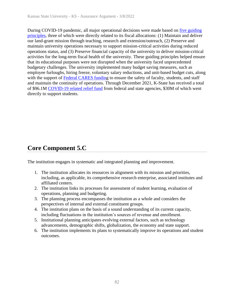During COVID-19 pandemic, all major operational decisions were made based on [five guiding](file:///C:/Users/evidence/viewfile%3ffileId=1331043)  [principles,](file:///C:/Users/evidence/viewfile%3ffileId=1331043) three of which were directly related to its fiscal allocations: (1) Maintain and deliver our land-grant mission through teaching, research and extension/outreach, (2) Preserve and maintain university operations necessary to support mission-critical activities during reduced operations status, and (3) Preserve financial capacity of the university to deliver mission-critical activities for the long-term fiscal health of the university. These guiding principles helped ensure that its educational purposes were not disrupted when the university faced unprecedented budgetary challenges. The university implemented many budget saving measures, such as employee furloughs, hiring freeze, voluntary salary reductions, and unit-based budget cuts, along with the support of [Federal CARES funding](file:///C:/Users/evidence/viewfile%3ffileId=1331044) to ensure the safety of faculty, students, and staff and maintain the continuity of operations. Through December 2021, K-State has received a total of \$96.1M [COVID-19 related relief fund](file:///C:/Users/evidence/viewfile%3ffileId=1351847) from federal and state agencies, \$30M of which went directly to support students.

# **Core Component 5.C**

The institution engages in systematic and integrated planning and improvement.

- 1. The institution allocates its resources in alignment with its mission and priorities, including, as applicable, its comprehensive research enterprise, associated institutes and affiliated centers.
- 2. The institution links its processes for assessment of student learning, evaluation of operations, planning and budgeting.
- 3. The planning process encompasses the institution as a whole and considers the perspectives of internal and external constituent groups.
- 4. The institution plans on the basis of a sound understanding of its current capacity, including fluctuations in the institution's sources of revenue and enrollment.
- 5. Institutional planning anticipates evolving external factors, such as technology advancements, demographic shifts, globalization, the economy and state support.
- 6. The institution implements its plans to systematically improve its operations and student outcomes.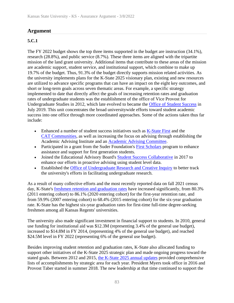## **Argument**

## **5.C.1**

The FY 2022 budget shows the top three items supported in the budget are instruction (34.1%), research (28.8%), and public service (8.7%). These three items are aligned with the tripartite mission of the land grant university. Additional items that contribute to these areas of the mission are academic support, student service, and institutional support, which combine to make up 19.7% of the budget. Thus, 91.3% of the budget directly supports mission related activities. As the university implements plans for the K-State 2025 visionary plan, existing and new resources are utilized to advance specific programs that can have an impact on the eight key outcomes, and short or long-term goals across seven thematic areas. For example, a specific strategy implemented to date that directly affect the goals of increasing retention rates and graduation rates of undergraduate students was the establishment of the office of Vice Provost for Undergraduate Studies in 2012, which late evolved to became the [Office of Student Success](file:///C:/Users/evidence/viewfile%3ffileId=1329885) in July 2019. This unit concentrates the broad universitywide efforts toward student academic success into one office through more coordinated approaches. Some of the actions taken thus far include:

- Enhanced a number of student success initiatives such as [K-State First](file:///C:/Users/evidence/viewfile%3ffileId=1329889) and the CAT [Communities,](file:///C:/Users/evidence/viewfile%3ffileId=1329890) as well as increasing the focus on advising through establishing the Academic Advising Institute and an [Academic Advising Committee.](file:///C:/Users/evidence/viewfile%3ffileId=1329891)
- Participated in a grant from the Suder Foundation's [First Scholars](file:///C:/Users/evidence/viewfile%3ffileId=1329897) program to enhance assistance and support for first generation students.
- Joined the Educational Advisory Board's [Student Success Collaborative](file:///C:/Users/evidence/viewfile%3ffileId=1329896) in 2017 to enhance our efforts in proactive advising using student level data.
- Established the [Office of Undergraduate Research and Creative Inquiry](file:///C:/Users/evidence/viewfile%3ffileId=1331185) to better track the university's efforts in facilitating undergraduate research.

As a result of many collective efforts and the most recently reported data on fall 2021 census day, K-State's [freshmen retention and graduation rates](file:///C:/Users/evidence/viewfile%3ffileId=1329883) have increased significantly, from 80.3% (2011 entering cohort) to 86.1% (2020 entering cohort) for the first-year retention rate, and from 59.9% (2007 entering cohort) to 68.4% (2015 entering cohort) for the six-year graduation rate. K-State has the highest six-year graduation rates for first-time full-time degree-seeking freshmen among all Kansas Regents' universities.

The university also made significant investment in financial support to students. In 2010, general use funding for institutional aid was \$12.3M (representing 3.4% of the general use budget), increased to \$14.8M in FY 2014, (representing 4% of the general use budget), and reached \$24.5M level in FY 2022 (representing 6% of the general use budget).

Besides improving student retention and graduation rates, K-State also allocated funding to support other initiatives of the K-State 2025 strategic plan and made ongoing progress toward the stated goals. Between 2012 and 2015, [t](file:///C:/Users/evidence/viewfile%3ffileid=1213087)[he K-State 2025 annual](file:///C:/Users/evidence/viewfile%3ffileId=1213087) updates provided comprehensive lists of accomplishments by strategic area for each year. President Myers took office in 2016 and Provost Taber started in summer 2018. The new leadership at that time continued to support the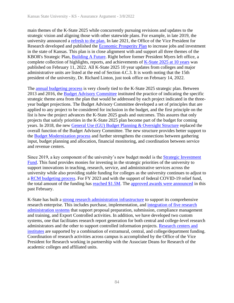main themes of the K-State 2025 while concurrently pursuing revisions and updates to the strategic vision and aligning those with other statewide plans. For example, in late 2019, the university announced a [refresh to the plan.](file:///C:/Users/evidence/viewfile%3ffileid=1332599) In late 2021, the Office of the Vice President for Research developed and published the [Economic Prosperity Plan](file:///C:/Users/evidence/viewfile%3ffileId=1354941) to increase jobs and investment in the state of Kansas. This plan is in close alignment with and support all three themes of the KBOR's Strategic Plan, [Building A Future.](file:///C:/Users/evidence/viewfile%3ffileid=1334218) Right before former President Myers left office, a complete collection of highlights, reports, and achievements of [K-State 2025 at 10 years](file:///C:/Users/evidence/viewfile%3ffileid=1385143) was published on February 11, 2022. All K-State 2025 10 year updates from colleges and major administrative units are listed at the end of Section 4.C.3. It is worth noting that the 15th president of the university, Dr. Richard Linton, just took office on February 14, 2022.

The [annual budgeting process](file:///C:/Users/evidence/viewfile%3ffileId=1323932) is very closely tied to the K-State 2025 strategic plan. Between 2013 and 2016, the [Budget Advisory Committee](file:///C:/Users/evidence/viewfile%3ffileId=1213021) instituted the practice of indicating the specific strategic theme area from the plan that would be addressed by each project indicated in the threeyear budget projections. The Budget Advisory Committee developed a set of principles that are applied to any project to be considered for inclusion in the budget, and the first principle on the list is how the project advances the K-State 2025 goals and outcomes. This assures that only projects that satisfy priorities in the K-State 2025 plan become part of the budget for coming years. In 2018, the new [General Use \(GU\) Budget Planning & Oversight Structure](file:///C:/Users/evidence/viewfile%3ffileId=1318029) replaced the overall function of the Budget Advisory Committee. The new structure provides better support to the [Budget Modernization process](file:///C:/Users/evidence/viewfile%3ffileId=1318519) and further strengthens the connections between gathering input, budget planning and allocation, financial monitoring, and coordination between service and revenue centers.

Since 2019, a key component of the university's new budget model is the [Strategic Investment](file:///C:/Users/evidence/viewfile%3ffileId=1332607)  [Fund.](file:///C:/Users/evidence/viewfile%3ffileId=1332607) This fund provides monies for investing in the strategic priorities of the university to support innovations in teaching, research, service, and administrative services across the university while also providing stable funding for colleges as the university continues to adjust to a [RCM budgeting process.](file:///C:/Users/evidence/viewfile%3ffileid=1318519) For FY 2023 and with the support of federal COVID-19 relief fund, the total amount of the funding has [reached \\$1.5M.](file:///C:/Users/evidence/viewfile%3ffileId=1333154) The [approved awards were announced](file:///C:/Users/evidence/viewfile%3ffileId=1384877) in this past February.

K-State has built a [strong research administration infrastructure](file:///C:/Users/evidence/viewfile%3ffileId=1345514) to support its comprehensive research enterprise. This includes purchase, implementation, and [integration of five research](file:///C:/Users/evidence/viewfile%3ffileId=1345513)  [administration systems](file:///C:/Users/evidence/viewfile%3ffileId=1345513) that support proposal preparation, submission, compliance management and training, and Export Controlled activities. In addition, we have developed two custom systems, one that facilitates research report generation for both central and college-level research administrators and the other to support controlled information projects. Research [centers and](file:///C:/Users/evidence/viewfile%3ffileId=1345515)  [institutes](file:///C:/Users/evidence/viewfile%3ffileId=1345515) are supported by a combination of extramural, central, and college/department funding. Coordination of research activities across campus is accomplished by the Office of the Vice President for Research working in partnership with the Associate Deans for Research of the academic colleges and affiliated units.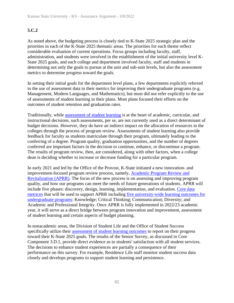## **5.C.2**

As noted above, the budgeting process is closely tied to K-State 2025 strategic plan and the priorities in each of the K-State 2025 thematic areas. The priorities for each theme reflect considerable evaluation of current operations. Focus groups including faculty, staff, administration, and students were involved in the establishment of the initial university level K-State 2025 goals, and each college and department involved faculty, staff and students in determining not only the goals to pursue at the unit and sub-unit levels, but also the assessment metrics to determine progress toward the goals.

In setting their initial goals for the department level plans, a few departments explicitly referred to the use of assessment data in their metrics for improving their undergraduate programs (e.g. Management, Modern Languages, and Mathematics), but most did not refer explicitly to the use of assessments of student learning in their plans. Most plans focused their efforts on the outcomes of student retention and graduation rates.

Traditionally, while [assessment of student learning](file:///C:/Users/evidence/viewfile%3ffileId=1333335) is at the heart of academic, curricular, and instructional decisions, such assessments, per se, are not currently used as a direct determinant of budget decisions. However, they do have an indirect impact on the allocation of resources in the colleges through the process of program review. Assessments of student learning also provide feedback for faculty as students matriculate through their program, ultimately leading to the conferring of a degree. Program quality, graduation opportunities, and the number of degrees conferred are important factors in the decision to continue, enhance, or discontinue a program. The results of program review, then, are considered, along with other factors, when a college dean is deciding whether to increase or decrease funding for a particular program.

In early 2021 and led by the Office of the Provost, K-State initiated a new innovation- and improvement-focused program review process, namely, [Academic Program Review and](file:///C:/Users/evidence/viewfile%3ffileId=1333160)  [Revitalization \(APRR\).](file:///C:/Users/evidence/viewfile%3ffileId=1333160) The focus of the new process is on assessing and improving program quality, and how our programs can meet the needs of future generations of students. APRR will include five phases: discovery, design, learning, implementation, and evaluation. Core data [metrices](file:///C:/Users/evidence/viewfile%3ffileId=1399966) that will be used to support APRR including five [university-wide learning outcomes for](file:///C:/Users/evidence/viewfile%3ffileId=1333336)  [undergraduate programs:](file:///C:/Users/evidence/viewfile%3ffileId=1333336) Knowledge; Critical Thinking; Communication; Diversity; and Academic and Professional Integrity. Once APRR is fully implemented in 2022/23 academic year, it will serve as a direct bridge between program innovation and improvement, assessment of student learning and certain aspects of budget planning.

In nonacademic areas, the Division of Student Life and the Office of Student Success specifically utilize their [assessment of student learning outcomes](file:///C:/Users/evidence/viewfile%3ffileId=1333379) to report on their progress toward their K-State 2025 goals. The results of the Senior Survey, as discussed in Core Component 3.D.1, provide direct evidence as to students' satisfaction with all student services. The decisions to enhance student experiences are partially a consequence of their performance on this survey. For example, Residence Life staff monitor student success data closely and develops programs to support student learning and persistence.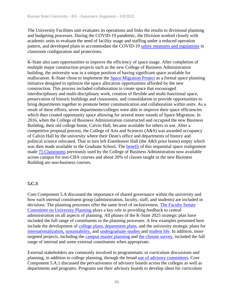The University Facilities unit evaluates its operations and links the results to divisional planning and budgeting processes. During the COVID-19 pandemic, the Division worked closely with academic units to evaluate the need of facility usage and staffing under a reduced operation pattern, and developed plans to accommodate the COVID-19 [safety measures and regulations](file:///C:/Users/evidence/viewfile%3ffileId=1337487) in classroom configuration and protections.

K-State also uses opportunities to improve the efficiency of space usage. After completion of multiple major construction projects such as the new College of Business Administration building, the university was in a unique position of having significant space available for reallocation. K-State chose to implement the [Space Migration Project](file:///C:/Users/evidence/viewfile%3ffileId=1399874) as a formal space planning initiative designed to optimize the space allocation opportunities afforded by the new construction. This process included collaboration to create space that encouraged interdisciplinary and multi-disciplinary work, creation of flexible and multi-functional space, preservation of historic buildings and classrooms, and consolidation to provide opportunities to bring departments together to promote better communication and collaboration within units. As a result of these efforts, seven departments/colleges were able to improve their space efficiencies which then created opportunity space allowing for several more rounds of Space Migration. In 2016, when the College of Business Administration constructed and occupied the new Business Building, their old college home, Calvin Hall, became available for others to use. After a competitive proposal process, the College of Arts and Sciences (A&S) was awarded occupancy of Calvin Hall by the university where their Dean's office and departments of history and political science relocated. That in turn left Eisenhower Hall (the A&S prior home) empty which was then made available to the Graduate School. The [benefit](file:///C:/Users/evidence/viewfile%3ffileId=1337485) of this sequential space realignment made [75 Classrooms](file:///C:/Users/evidence/viewfile%3ffileId=1337486) previously used by the College of Business Administration now available across campus for non-CBA courses and about 20% of classes taught in the new Business Building are non-business courses.

## **5.C.3**

Core Component 5.A discussed the importance of shared governance within the university and how each internal constituent group (administration, faculty, staff, and students) are included in decisions. The planning processes offer the same level of inclusiveness. [The Faculty Senate](file:///C:/Users/evidence/viewfile%3ffileId=1322250)  [Committee on University Planning](file:///C:/Users/evidence/viewfile%3ffileId=1322250) plays a key role in providing feedback to central administration on all aspects of planning. All phases of the K-State 2025 strategic plan have included the full range of constituents in the planning processes. A few examples presented here include the development of [college plans,](file:///C:/Users/evidence/viewfile%3ffileId=1342530) [department plans,](file:///C:/Users/evidence/viewfile%3ffileId=1342541) and the university strategic plans for [internationalization,](file:///C:/Users/evidence/viewfile%3ffileId=1333380) [sustainability,](file:///C:/Users/evidence/viewfile%3ffileId=1213092) and [undergraduate studies](file:///C:/Users/evidence/viewfile%3ffileId=1213093) and [student life.](file:///C:/Users/evidence/viewfile%3ffileId=1342529) In addition, more targeted projects, including the [campus master planning](file:///C:/Users/evidence/viewfile%3ffileId=1323770) and [the climate survey,](file:///C:/Users/evidence/viewfile%3ffileId=1342531) included the full range of internal and some external constituents when appropriate.

External stakeholders are commonly involved in programmatic or curriculum discussions and planning, in addition to college planning, through the broad [use of advisory committees.](file:///C:/Users/evidence/viewfile%3ffileId=1334216) Core Component 5.A.1 discussed the pervasiveness of advisory boards across the colleges as well as departments and programs. Programs use their advisory boards to develop ideas for curriculum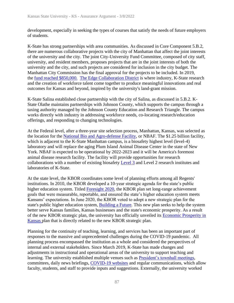development, especially in seeking the types of courses that satisfy the needs of future employers of students.

K-State has strong partnerships with area communities. As discussed in Core Component 5.B.2, there are numerous collaborative projects with the city of Manhattan that affect the joint interests of the university and the city. The joint City-University Fund Committee, composed of city staff, university, and resident members, proposes projects that are in the joint interests of both the university and the city, and such projects are considered for inclusion in the city budget. The Manhattan City Commission has the final approval for the projects to be included. In 2019, the [fund reached \\$850,000.](file:///C:/Users/evidence/viewfile%3ffileId=1334215) [The Edge Collaboration District](file:///C:/Users/evidence/viewfile%3ffileId=1342542) is where industry, K-State research and the creation of workforce talent come together to produce meaningful innovations and real outcomes for Kansas and beyond, inspired by the university's land-grant mission.

K-State Salina established close partnership with the city of Salina, as discussed in 5.B.2. K-State Olathe maintains partnerships with Johnson County, which supports the campus through a taxing authority managed by the Johnson County Education and Research Triangle. The campus works directly with industry in addressing workforce needs, co-locating research/education offerings, and responding to changing technologies.

At the Federal level, after a three-year site selection process, Manhattan, Kansas, was selected as the location for the [National Bio and Agro-defense Facility,](file:///C:/Users/evidence/viewfile%3ffileId=1342543) or NBAF. The \$1.25 billion facility, which is adjacent to the K-State Manhattan campus, is a biosafety highest level (level-4) laboratory and will replace the aging Plum Island Animal Disease Center in the state of New York. NBAF is expected to be operational by 2022-2023 and it will be America's foremost animal disease research facility. The facility will provide opportunities for research collaborations with a number of existing biosafety [Level 3](file:///C:/Users/evidence/viewfile%3ffileId=1342544) and Level 2 research institutes and laboratories of K-State.

At the state level, the KBOR coordinates some level of planning efforts among all Regents' institutions. In 2010, the KBOR developed a 10-year strategic agenda for the state's public higher education system. Titled [Foresight 2020,](file:///C:/Users/evidence/viewfile%3ffileid=1212749) the KBOR plan set long-range achievement goals that were measurable, reportable, and ensured the state's higher education system meets Kansans' expectations. In June 2020, the KBOR voted to adopt a new strategic plan for the state's public higher education system, [Building a Future.](file:///C:/Users/evidence/viewfile%3ffileId=1334218) This new plan seeks to help the system better serve Kansas families, Kansas businesses and the state's economic prosperity. As a result of the new KBOR strategic plan, the university has officially unveiled its [Economic Prosperity in](file:///C:/Users/evidence/viewfile%3ffileid=1354941)  [Kansas p](file:///C:/Users/evidence/viewfile%3ffileid=1354941)lan that is directly related to the new KBOR strategic plan.

Planning for the continuity of teaching, learning, and services has been an important part of responses to the massive and unprecedented challenges during the COVID-19 pandemic. All planning process encompassed the institution as a whole and considered the perspectives of internal and external stakeholders. Since March 2019, K-State has made changes and adjustments in instructional and operational areas of the university to support teaching and learning. The university established multiple venues such as [President's townhall meetings,](file:///C:/Users/evidence/viewfile%3ffileId=1334271) committees, daily news briefings, [COVID-19 websites](file:///C:/Users/evidence/viewfile%3ffileId=1318253) and regular communications, which allow faculty, students, and staff to provide inputs and suggestions. Externally, the university worked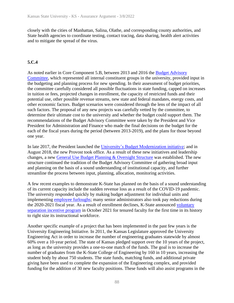closely with the cities of Manhattan, Salina, Olathe, and corresponding county authorities, and State health agencies to coordinate testing, contact tracing, data sharing, health alert activities and to mitigate the spread of the virus.

### **5.C.4**

As noted earlier in Core Component 5.B, between 2013 and 2016 the Budget Advisory [Committee,](file:///C:/Users/evidence/viewfile%3ffileid=1213021) which represented all internal constituent groups in the university, provided input in the budgeting and planning process for new spending. In their assessment of budget priorities, the committee carefully considered all possible fluctuations in state funding, capped on increases in tuition or fees, projected changes in enrollment, the capacity of restricted funds and their potential use, other possible revenue streams, new state and federal mandates, energy costs, and other economic factors. Budget scenarios were considered through the lens of the impact of all such factors. The proposal of any new projects was carefully vetted by the committee, to determine their ultimate cost to the university and whether the budget could support them. The recommendations of the Budget Advisory Committee were taken by the President and Vice President for Administration and Finance who made the final decisions on the budget for the each of the fiscal years during the period (between 2013-2019), and the plans for those beyond one year.

In late 2017, the President launched the [University's Budget Modernization initiative;](file:///C:/Users/evidence/viewfile%3ffileid=1318519) and in August 2018, the new Provost took office. As a result of these new initiatives and leadership changes, a new [General Use Budget Planning & Oversight Structure](file:///C:/Users/evidence/viewfile%3ffileid=1318029) was established. The new structure continued the tradition of the Budget Advisory Committee of gathering broad input and planning on the basis of a sound understanding of institutional capacity, and further streamline the process between input, planning, allocation, monitoring activities.

A few recent examples to demonstrate K-State has planned on the basis of a sound understanding of its current capacity include the sudden revenue loss as a result of the COVID-19 pandemic. The university responded quickly by making budget adjustment for individual units and implementing **employee furloughs**; many senior administrators also took pay reductions during the 2020-2021 fiscal year. As a result of enrollment declines, K-State announced [voluntary](file:///C:/Users/evidence/viewfile%3ffileId=1334277)  [separation incentive program](file:///C:/Users/evidence/viewfile%3ffileId=1334277) in October 2021 for tenured faculty for the first time in its history to right size its instructional workforce.

Another specific example of a project that has been implemented in the past few years is the University Engineering Initiative. In 2011, the Kansas Legislature approved the University Engineering Act in order to increase the number of engineering graduates statewide by almost 60% over a 10-year period. The state of Kansas pledged support over the 10 years of the project, as long as the university provides a one-to-one match of the funds. The goal is to increase the number of graduates from the K-State College of Engineering by 160 in 10 years, increasing the student body by about 750 students. The state funds, matching funds, and additional private giving have been used to complete the expansion of the Engineering complex, and provided funding for the addition of 30 new faculty positions. These funds will also assist programs in the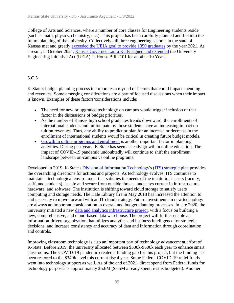College of Arts and Sciences, where a number of core classes for Engineering students reside (such as math, physics, chemistry, etc.). This project has been carefully planned and fits into the future planning of the university. Collectively, all three engineering schools in the state of Kansas met and greatly [exceeded the UEIA goal to provide 1350 graduates](file:///C:/Users/evidence/viewfile%3ffileId=1334293) by the year 2021. As a result, in October 2021, [Kansas Governor Laura Kelly signed and extended](file:///C:/Users/evidence/viewfile%3ffileId=1334583) the University Engineering Initiative Act (UEIA) as House Bill 2101 for another 10 Years.

## **5.C.5**

K-State's budget planning process incorporates a myriad of factors that could impact spending and revenues. Some emerging considerations are a part of focused discussions when their impact is known. Examples of these factors/considerations include:

- The need for new or upgraded technology on campus would trigger inclusion of that factor in the discussions of budget priorities.
- As the number of Kansas high school graduates trends downward, the enrollments of international students and tuition paid by those students have an increasing impact on tuition revenues. Thus, any ability to predict or plan for an increase or decrease in the enrollment of international students would be critical in creating future budget models.
- [Growth in online programs and enrollment](file:///C:/Users/evidence/viewfile%3ffileId=1334281) is another important factor in planning activities. During past years, K-State has seen a steady growth in online education. The impact of COVID-19 pandemic undoubtedly will continue to shift the enrollment landscape between on-campus vs online programs.

Developed in 2019, K-State's *Division of Information Technology's* (ITS) strategic plan provides the overarching directions for actions and projects. As technology evolves, ITS continues to maintain a technological environment that satisfies the needs of the institution's users (faculty, staff, and students), is safe and secure from outside threats, and stays current in infrastructure, hardware, and software. The institution is shifting toward cloud storage to satisfy users' computing and storage needs. The Hale Library fire in May 2018 has increased the attention to and necessity to move forward with an IT cloud strategy. Future investments in new technology are always an important consideration in overall and budget planning processes. In late 2020, the university initiated a new [data and analytics infrastructure project,](file:///C:/Users/evidence/viewfile%3ffileId=1342545) with a focus on building a new, comprehensive, and cloud-based data warehouse. The project will further enable an information-driven organization that utilizes analytics and business intelligence for strategic decisions, and increase consistency and accuracy of data and information through coordination and controls.

Improving classroom technology is also an important part of technology advancement effort of K-State. Before 2019, the university allocated between \$300k-\$500k each year to enhance smart classrooms. The COVID-19 pandemic created a funding gap for this project, but the funding has been restored to the \$340k level this current fiscal year. Some Federal COVID-19 relief funds went into technology support as well. As of the end of 2021, direct spend from Federal funds for technology purposes is approximately \$5.6M (\$3.5M already spent, rest is budgeted). Another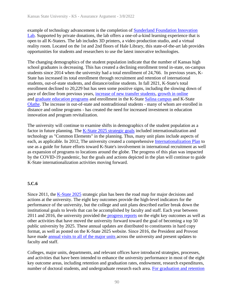example of technology advancement is the completion of [Sunderland Foundation Innovation](file:///C:/Users/evidence/viewfile%3ffileId=1342547)  [Lab.](file:///C:/Users/evidence/viewfile%3ffileId=1342547) Supported by private donations, the lab offers a one-of-a-kind learning experience that is open to all K-Staters. The lab includes 3D printers, a video production studio, and a virtual reality room. Located on the 1st and 2nd floors of Hale Library, this state-of-the-art lab provides opportunities for students and researchers to use the latest innovative technologies.

The changing demographics of the student population indicate that the number of Kansas high school graduates is decreasing. This has created a declining enrollment trend in-state, on-campus students since 2014 when the university had a total enrollment of 24,766. In previous years, K-State has increased its total enrollment through recruitment and retention of international students, out-of-state students, and distance/online students. In fall 2021, K-State's total enrollment declined to 20,229 but has seen some positive signs, including the slowing down of pace of decline from previous years, [increase of new transfer students,](file:///C:/Users/evidence/viewfile%3ffileId=1334285) [growth in online](file:///C:/Users/evidence/viewfile%3ffileid=1334281) and [graduate education programs](file:///C:/Users/evidence/viewfile%3ffileId=1334282) and enrollment in the K-State [Salina campus](file:///C:/Users/evidence/viewfile%3ffileId=1334283) and K-State [Olathe.](file:///C:/Users/evidence/viewfile%3ffileId=1334284) The increase in out-of-state and nontraditional students - many of whom are enrolled in distance and online programs - has created the need for increased investment in education innovation and program revitalization.

The university will continue to examine shifts in demographics of the student population as a factor in future planning. The [K-State 2025 strategic goals](file:///C:/Users/evidence/viewfile%3ffileid=1212633) included internationalization and technology as "Common Elements" in the planning. Thus, many unit plans include aspects of each, as applicable. In 2012, The university created a comprehensive [Internationalization Plan](file:///C:/Users/evidence/viewfile%3ffileid=1333380) to use as a guide for future efforts toward K-State's involvement in international recruitment as well as expansion of programs to locations around the globe. The progress of this plan was impacted by the COVID-19 pandemic, but the goals and actions depicted in the plan will continue to guide K-State internationalization activities moving forward.

### **5.C.6**

Since 2011, the [K-State 2025](file:///C:/Users/evidence/viewfile%3ffileId=1212633) strategic plan has been the road map for major decisions and actions at the university. The eight key outcomes provide the high-level indicators for the performance of the university, but the college and unit plans described earlier break down the institutional goals to levels that can be accomplished by faculty and staff. Each year between 2011 and 2016, the university provided the [progress](file:///C:/Users/evidence/viewfile%3ffileid=1213087) reports on the eight key outcomes as well as other activities that have moved the university forward toward the goal of becoming a top 50 public university by 2025. These annual updates are distributed to constituents in hard copy format, as well as posted on the K-State 2025 website. Since 2016, the President and Provost have made [annual visits to all of the major units a](file:///C:/Users/evidence/viewfile%3ffileId=1334309)cross the university and present updates to faculty and staff.

Colleges, major units, departments, and relevant offices have introduced strategies, processes, and activities that have been intended to enhance the university performance in most of the eight key outcome areas, including retention and graduation rates, endowment, research expenditures, number of doctoral students, and undergraduate research each area. [For graduation and retention](file:///C:/Users/evidence/viewfile%3ffileid=1329883)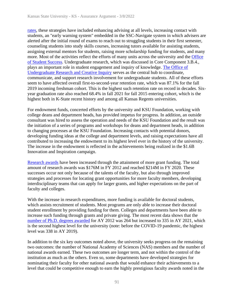[rates,](file:///C:/Users/evidence/viewfile%3ffileid=1329883) these strategies have included enhancing advising at all levels, increasing contact with students, an "early warning system" embedded in the SSC-Navigate system in which advisers are alerted after the initial round of exams to reach out to struggling students in their first semester, counseling students into study skills courses, increasing tutors available for assisting students, assigning external mentors for students, raising more scholarship funding for students, and many more. Most of the activities reflect the efforts of many units across the university and the Office [of Student Success.](file:///C:/Users/evidence/viewfile%3ffileId=1339835) Undergraduate research, which was discussed in Core Component 3.B.4., plays an important role in student engagement and inquiry of knowledge. [The Office of](file:///C:/Users/evidence/viewfile%3ffileid=1331185)  [Undergraduate Research and Creative Inquiry](file:///C:/Users/evidence/viewfile%3ffileid=1331185) serves as the central hub to coordinate, communicate, and support research involvement for undergraduate students. All of these efforts seem to have affected overall first-to-second-year retention rate, which was 87.1% for the fall 2019 incoming freshman cohort. This is the highest such retention rate on record in decades. Sixyear graduation rate also reached 68.4% in fall 2021 for fall 2015 entering cohort, which is the highest both in K-State recent history and among all Kansas Regents universities.

For endowment funds, concerted efforts by the university and KSU Foundation, working with college deans and department heads, has provided impetus for progress. In addition, an outside consultant was hired to assess the operation and needs of the KSU Foundation and the result was the initiation of a series of programs and workshops for deans and department heads, in addition to changing processes at the KSU Foundation. Increasing contacts with potential donors, developing funding ideas at the college and department levels, and raising expectations have all contributed to increasing the endowment to its highest level ever in the history of the university. The increase in the endowment is reflected in the achievements being realized in the \$1.6B Innovation and Inspiration campaign.

[Research](file:///C:/Users/evidence/viewfile%3ffileId=1355147) awards have been increased through the attainment of more grant funding. The total amount of research awards was \$176M in FY 2012 and reached \$214M in FY 2020. These successes occur not only because of the talents of the faculty, but also through improved strategies and processes for locating grant opportunities for more faculty members, developing interdisciplinary teams that can apply for larger grants, and higher expectations on the part of faculty and colleges.

With the increase in research expenditures, more funding is available for doctoral students, which assists recruitment of students. Most programs are only able to increase their doctoral student enrollment by providing funding for them. Colleges and departments have been able to increase such funding through grants and private giving. The most recent data shows that the [number of Ph.D. degrees awarded](file:///C:/Users/evidence/viewfile%3ffileId=1355146) for AY 2012 was 264 but increased to 335 in AY 2021, which is the second highest level for the university (note: before the COVID-19 pandemic, the highest level was 338 in AY 2019).

In addition to the six key outcomes noted above, the university seeks progress on the remaining two outcomes: the number of National Academy of Sciences (NAS) members and the number of national awards earned. These two outcomes are longer term, and not within the control of the institution as much as the others. Even so, some departments have developed strategies for nominating their faculty for other national awards that would enhance their achievements to a level that could be competitive enough to earn the highly prestigious faculty awards noted in the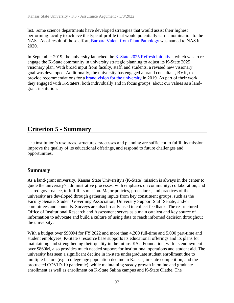list. Some science departments have developed strategies that would assist their highest performing faculty to achieve the type of profile that would potentially earn a nomination to the NAS. As of result of those effort, [Barbara Valent from Plant Pathology](file:///C:/Users/evidence/viewfile%3ffileId=1399960) was named to NAS in 2020.

In September 2019, the university launched the K-State [2025 Refresh initiative,](file:///C:/Users/evidence/viewfile%3ffileid=1332598) which was to reengage the K-State community in university strategic planning to adjust its K-State 2025 visionary plan. With broad input from faculty, staff, and students, a revised new visionary goal was developed. Additionally, the university has engaged a brand consultant, BVK, to provide recommendations for a [brand vision for the university](file:///C:/Users/evidence/viewfile%3ffileId=1337483) in 2019. As part of their work, they engaged with K-Staters, both individually and in focus groups, about our values as a landgrant institution.

# **Criterion 5 - Summary**

The institution's resources, structures, processes and planning are sufficient to fulfill its mission, improve the quality of its educational offerings, and respond to future challenges and opportunities.

## **Summary**

As a land-grant university, Kansas State University's (K-State) mission is always in the center to guide the university's administrative processes, with emphases on community, collaboration, and shared governance, to fulfill its mission. Major policies, procedures, and practices of the university are developed through gathering inputs from key constituent groups, such as the Faculty Senate, Student Governing Association, University Support Staff Senate, and/or committees and councils. Surveys are also broadly used to collect feedback. The restructured Office of Institutional Research and Assessment serves as a main catalyst and key source of information to advocate and build a culture of using data to reach informed decision throughout the university.

With a budget over \$900M for FY 2022 and more than 4,200 full-time and 5,000 part-time and student employees, K-State's resource base supports its educational offerings and its plans for maintaining and strengthening their quality in the future. KSU Foundation, with its endowment over \$860M, also provides much needed support for institutional operations and student aid. The university has seen a significant decline in in-state undergraduate student enrollment due to multiple factors (e.g., college-age population decline in Kansas, in-state competition, and the protracted COVID-19 pandemic), while maintaining steady growth in online and graduate enrollment as well as enrollment on K-State Salina campus and K-State Olathe. The